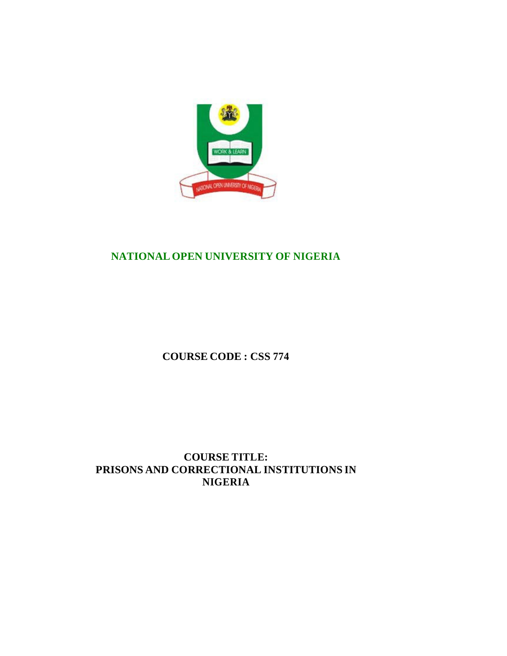

# **NATIONAL OPEN UNIVERSITY OF NIGERIA**

**COURSE CODE : CSS 774**

**COURSE TITLE: PRISONS AND CORRECTIONAL INSTITUTIONS IN NIGERIA**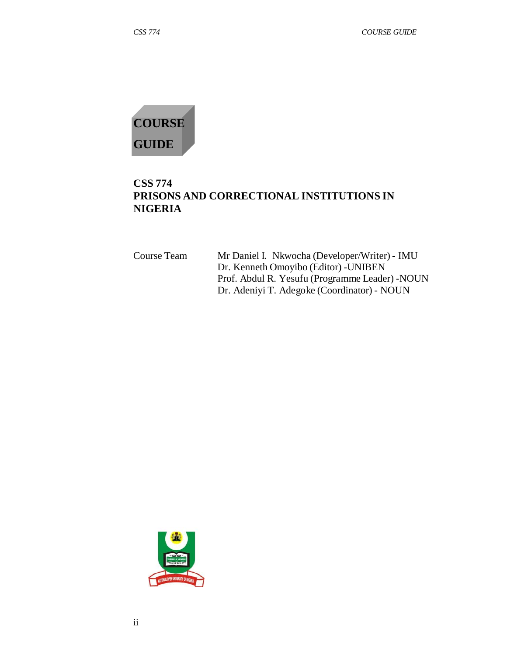

## **CSS 774 PRISONS AND CORRECTIONAL INSTITUTIONS IN NIGERIA**

| Course Team | Mr Daniel I. Nkwocha (Developer/Writer) - IMU   |
|-------------|-------------------------------------------------|
|             | Dr. Kenneth Omoyibo (Editor) - UNIBEN           |
|             | Prof. Abdul R. Yesufu (Programme Leader) - NOUN |
|             | Dr. Adeniyi T. Adegoke (Coordinator) - NOUN     |

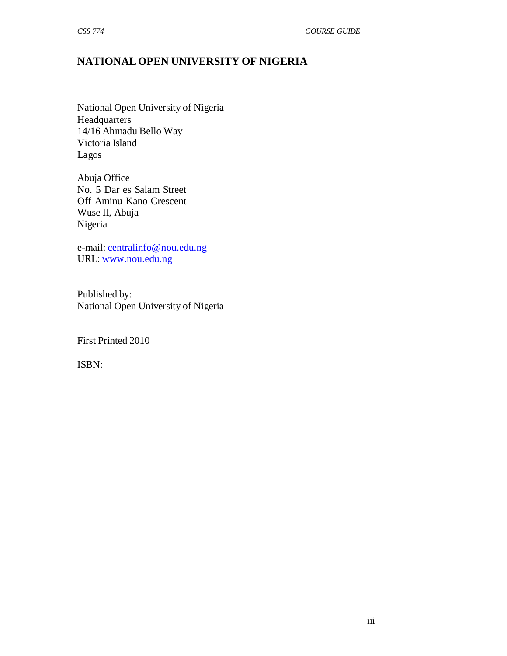# **NATIONAL OPEN UNIVERSITY OF NIGERIA**

National Open University of Nigeria **Headquarters** 14/16 Ahmadu Bello Way Victoria Island Lagos

Abuja Office No. 5 Dar es Salam Street Off Aminu Kano Crescent Wuse II, Abuja Nigeria

e-mail: centralinfo@nou.edu.ng URL: www.nou.edu.ng

Published by: National Open University of Nigeria

First Printed 2010

ISBN: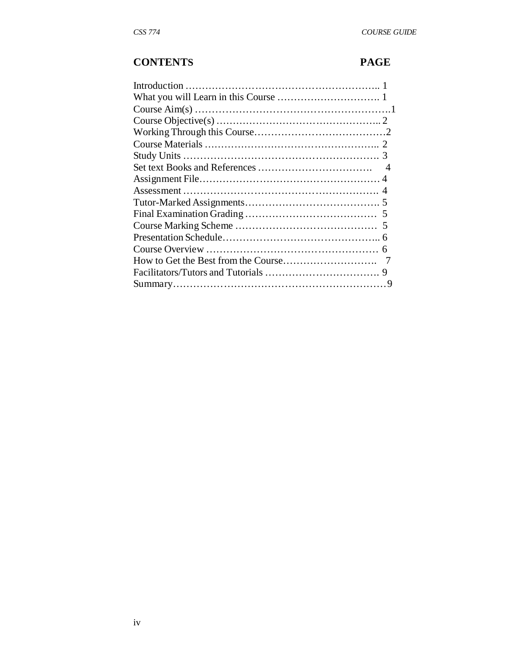# **CONTENTS PAGE**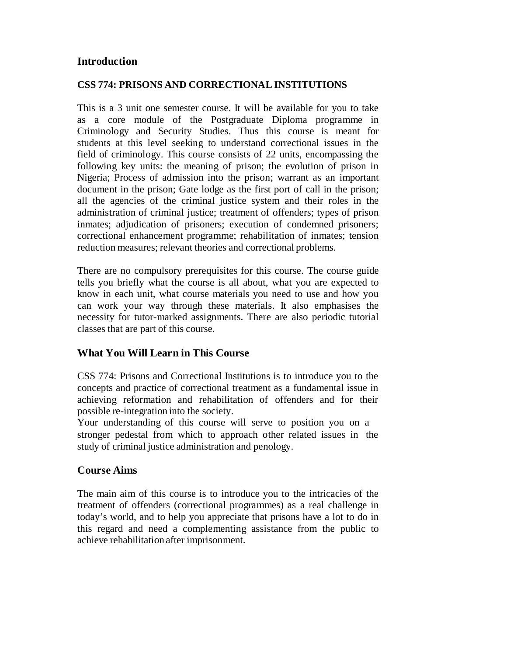## **Introduction**

### **CSS 774: PRISONS AND CORRECTIONAL INSTITUTIONS**

This is a 3 unit one semester course. It will be available for you to take as a core module of the Postgraduate Diploma programme in Criminology and Security Studies. Thus this course is meant for students at this level seeking to understand correctional issues in the field of criminology. This course consists of 22 units, encompassing the following key units: the meaning of prison; the evolution of prison in Nigeria; Process of admission into the prison; warrant as an important document in the prison; Gate lodge as the first port of call in the prison; all the agencies of the criminal justice system and their roles in the administration of criminal justice; treatment of offenders; types of prison inmates; adjudication of prisoners; execution of condemned prisoners; correctional enhancement programme; rehabilitation of inmates; tension reduction measures; relevant theories and correctional problems.

There are no compulsory prerequisites for this course. The course guide tells you briefly what the course is all about, what you are expected to know in each unit, what course materials you need to use and how you can work your way through these materials. It also emphasises the necessity for tutor-marked assignments. There are also periodic tutorial classes that are part of this course.

## **What You Will Lear n in This Course**

CSS 774: Prisons and Correctional Institutions is to introduce you to the concepts and practice of correctional treatment as a fundamental issue in achieving reformation and rehabilitation of offenders and for their possible re-integration into the society.

Your understanding of this course will serve to position you on a stronger pedestal from which to approach other related issues in the study of criminal justice administration and penology.

### **Course Aims**

The main aim of this course is to introduce you to the intricacies of the treatment of offenders (correctional programmes) as a real challenge in today's world, and to help you appreciate that prisons have a lot to do in this regard and need a complementing assistance from the public to achieve rehabilitation after imprisonment.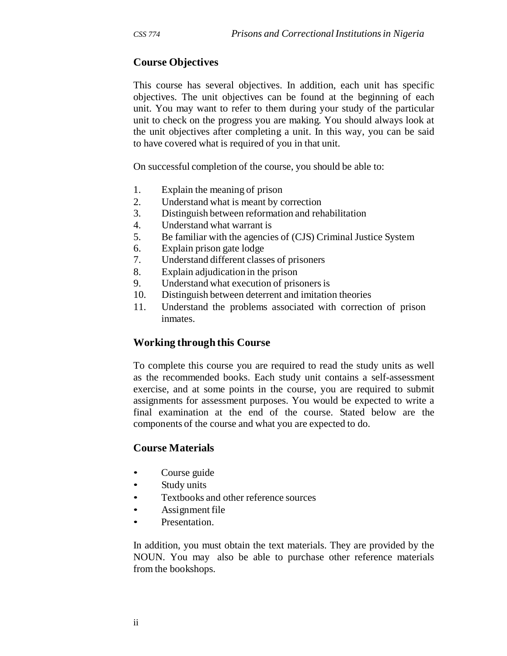## **Course Objectives**

This course has several objectives. In addition, each unit has specific objectives. The unit objectives can be found at the beginning of each unit. You may want to refer to them during your study of the particular unit to check on the progress you are making. You should always look at the unit objectives after completing a unit. In this way, you can be said to have covered what is required of you in that unit.

On successful completion of the course, you should be able to:

- 1. Explain the meaning of prison
- 2. Understand what is meant by correction
- 3. Distinguish between reformation and rehabilitation
- 4. Understand what warrant is
- 5. Be familiar with the agencies of (CJS) Criminal Justice System
- 6. Explain prison gate lodge
- 7. Understand different classes of prisoners
- 8. Explain adjudication in the prison
- 9. Understand what execution of prisoners is
- 10. Distinguish between deterrent and imitation theories
- 11. Understand the problems associated with correction of prison inmates.

### **Working through this Course**

To complete this course you are required to read the study units as well as the recommended books. Each study unit contains a self-assessment exercise, and at some points in the course, you are required to submit assignments for assessment purposes. You would be expected to write a final examination at the end of the course. Stated below are the components of the course and what you are expected to do.

### **Course Materials**

- Course guide
- Study units
- Textbooks and other reference sources
- Assignment file
- Presentation.

In addition, you must obtain the text materials. They are provided by the NOUN. You may also be able to purchase other reference materials from the bookshops.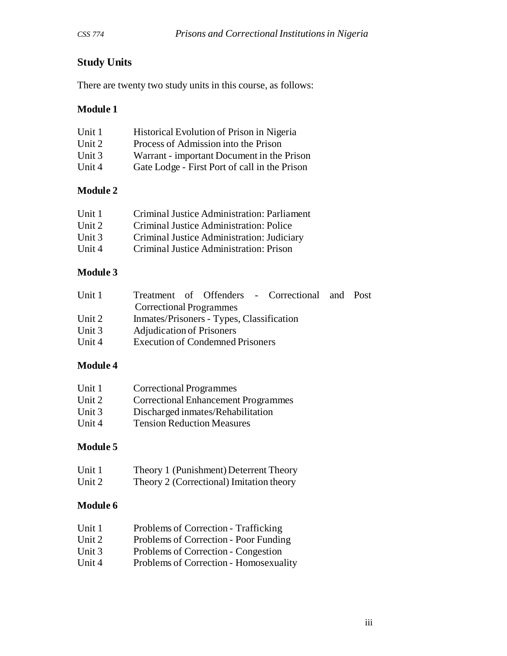# **Study Units**

There are twenty two study units in this course, as follows:

## **Module 1**

| Unit 1 | Historical Evolution of Prison in Nigeria     |
|--------|-----------------------------------------------|
| Unit 2 | Process of Admission into the Prison          |
| Unit 3 | Warrant - important Document in the Prison    |
| Unit 4 | Gate Lodge - First Port of call in the Prison |

## **Module 2**

| Unit 1   | Criminal Justice Administration: Parliament |
|----------|---------------------------------------------|
| Unit $2$ | Criminal Justice Administration: Police     |
| Unit 3   | Criminal Justice Administration: Judiciary  |
| Unit $4$ | Criminal Justice Administration: Prison     |

## **Module 3**

| Unit 1 | Treatment of Offenders - Correctional and Post |  |
|--------|------------------------------------------------|--|
|        | <b>Correctional Programmes</b>                 |  |
| Unit 2 | Inmates/Prisoners - Types, Classification      |  |
| Unit 3 | <b>Adjudication of Prisoners</b>               |  |
| Unit 4 | <b>Execution of Condemned Prisoners</b>        |  |

## **Module 4**

| Unit 1   | <b>Correctional Programmes</b>             |
|----------|--------------------------------------------|
| Unit 2   | <b>Correctional Enhancement Programmes</b> |
| Unit $3$ | Discharged inmates/Rehabilitation          |
| Unit 4   | <b>Tension Reduction Measures</b>          |

## **Module 5**

| Unit 1 | Theory 1 (Punishment) Deterrent Theory   |
|--------|------------------------------------------|
| Unit 2 | Theory 2 (Correctional) Imitation theory |

## **Module 6**

| Unit 1   | Problems of Correction - Trafficking   |
|----------|----------------------------------------|
| Unit $2$ | Problems of Correction - Poor Funding  |
| Unit $3$ | Problems of Correction - Congestion    |
| Unit $4$ | Problems of Correction - Homosexuality |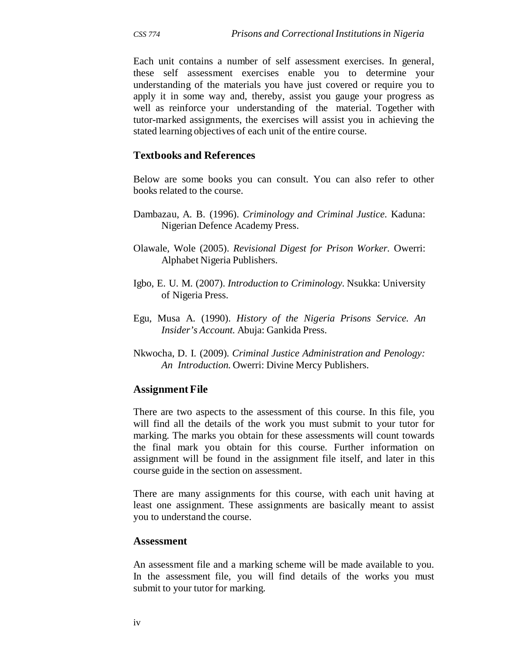Each unit contains a number of self assessment exercises. In general, these self assessment exercises enable you to determine your understanding of the materials you have just covered or require you to apply it in some way and, thereby, assist you gauge your progress as well as reinforce your understanding of the material. Together with tutor-marked assignments, the exercises will assist you in achieving the stated learning objectives of each unit of the entire course.

## **Textbooks and References**

Below are some books you can consult. You can also refer to other books related to the course.

- Dambazau, A. B. (1996). *Criminology and Criminal Justice.* Kaduna: Nigerian Defence Academy Press.
- Olawale, Wole (2005). *Revisional Digest for Prison Worker.* Owerri: Alphabet Nigeria Publishers.
- Igbo, E. U. M. (2007). *Introduction to Criminology.* Nsukka: University of Nigeria Press.
- Egu, Musa A. (1990). *History of the Nigeria Prisons Service. An Insider's Account.* Abuja: Gankida Press.
- Nkwocha, D. I. (2009). *Criminal Justice Administration and Penology: An Introduction.* Owerri: Divine Mercy Publishers.

### **Assignment File**

There are two aspects to the assessment of this course. In this file, you will find all the details of the work you must submit to your tutor for marking. The marks you obtain for these assessments will count towards the final mark you obtain for this course. Further information on assignment will be found in the assignment file itself, and later in this course guide in the section on assessment.

There are many assignments for this course, with each unit having at least one assignment. These assignments are basically meant to assist you to understand the course.

#### **Assessment**

An assessment file and a marking scheme will be made available to you. In the assessment file, you will find details of the works you must submit to your tutor for marking.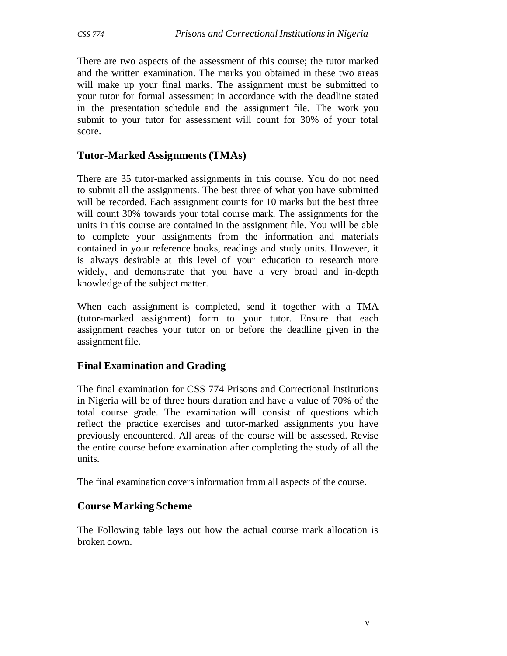There are two aspects of the assessment of this course; the tutor marked and the written examination. The marks you obtained in these two areas will make up your final marks. The assignment must be submitted to your tutor for formal assessment in accordance with the deadline stated in the presentation schedule and the assignment file. The work you submit to your tutor for assessment will count for 30% of your total score.

### **Tutor-Marked Assignments (TMAs)**

There are 35 tutor-marked assignments in this course. You do not need to submit all the assignments. The best three of what you have submitted will be recorded. Each assignment counts for 10 marks but the best three will count 30% towards your total course mark. The assignments for the units in this course are contained in the assignment file. You will be able to complete your assignments from the information and materials contained in your reference books, readings and study units. However, it is always desirable at this level of your education to research more widely, and demonstrate that you have a very broad and in-depth knowledge of the subject matter.

When each assignment is completed, send it together with a TMA (tutor-marked assignment) form to your tutor. Ensure that each assignment reaches your tutor on or before the deadline given in the assignment file.

### **Final Examination and Grading**

The final examination for CSS 774 Prisons and Correctional Institutions in Nigeria will be of three hours duration and have a value of 70% of the total course grade. The examination will consist of questions which reflect the practice exercises and tutor-marked assignments you have previously encountered. All areas of the course will be assessed. Revise the entire course before examination after completing the study of all the units.

The final examination covers information from all aspects of the course.

## **Course Marking Scheme**

The Following table lays out how the actual course mark allocation is broken down.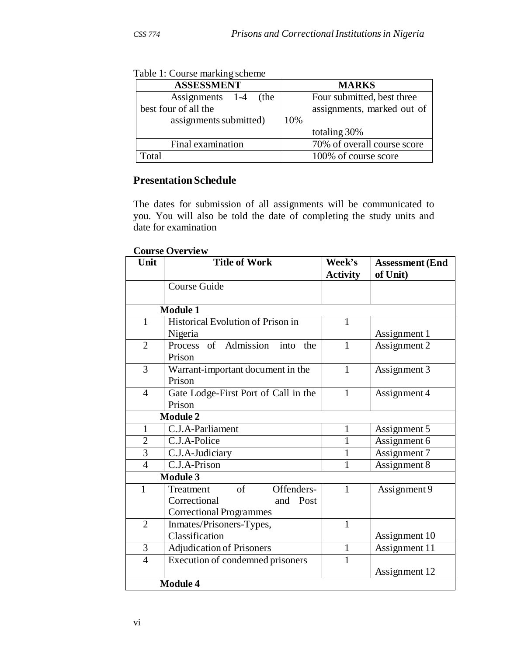| <b>ASSESSMENT</b>       | <b>MARKS</b>                |
|-------------------------|-----------------------------|
| Assignments 1-4<br>(the | Four submitted, best three  |
| best four of all the    | assignments, marked out of  |
| assignments submitted)  | 10%                         |
|                         | totaling 30%                |
| Final examination       | 70% of overall course score |
| 'otal                   | 100% of course score        |

Table 1: Course marking scheme

## **Presentation Schedule**

The dates for submission of all assignments will be communicated to you. You will also be told the date of completing the study units and date for examination

#### **Course Overview**

| Unit            | <b>Title of Work</b>                  | Week's<br><b>Activity</b> | <b>Assessment (End</b><br>of Unit) |
|-----------------|---------------------------------------|---------------------------|------------------------------------|
|                 | Course Guide                          |                           |                                    |
|                 |                                       |                           |                                    |
|                 | <b>Module 1</b>                       |                           |                                    |
| $\mathbf{1}$    | Historical Evolution of Prison in     | 1                         |                                    |
|                 | Nigeria                               |                           | Assignment 1                       |
| $\overline{2}$  | Process of Admission into<br>the      | $\mathbf{1}$              | Assignment 2                       |
|                 | Prison                                |                           |                                    |
| 3               | Warrant-important document in the     | 1                         | Assignment 3                       |
|                 | Prison                                |                           |                                    |
| $\overline{4}$  | Gate Lodge-First Port of Call in the  | 1                         | Assignment 4                       |
|                 | Prison                                |                           |                                    |
|                 | <b>Module 2</b>                       |                           |                                    |
| $\mathbf{1}$    | C.J.A-Parliament                      | 1                         | Assignment 5                       |
| $\overline{2}$  | C.J.A-Police                          | 1                         | Assignment 6                       |
| $\overline{3}$  | C.J.A-Judiciary                       | $\mathbf{1}$              | Assignment 7                       |
| $\overline{4}$  | C.J.A-Prison                          | 1                         | Assignment 8                       |
| <b>Module 3</b> |                                       |                           |                                    |
| 1               | $\sigma$ f<br>Offenders-<br>Treatment | 1                         | Assignment 9                       |
|                 | Correctional<br>and Post              |                           |                                    |
|                 | <b>Correctional Programmes</b>        |                           |                                    |
| $\overline{2}$  | Inmates/Prisoners-Types,              | $\mathbf{1}$              |                                    |
|                 | Classification                        |                           | Assignment 10                      |
| 3               | <b>Adjudication of Prisoners</b>      | $\mathbf{1}$              | Assignment 11                      |
| $\overline{4}$  | Execution of condemned prisoners      | 1                         |                                    |
|                 |                                       |                           | Assignment 12                      |
|                 | <b>Module 4</b>                       |                           |                                    |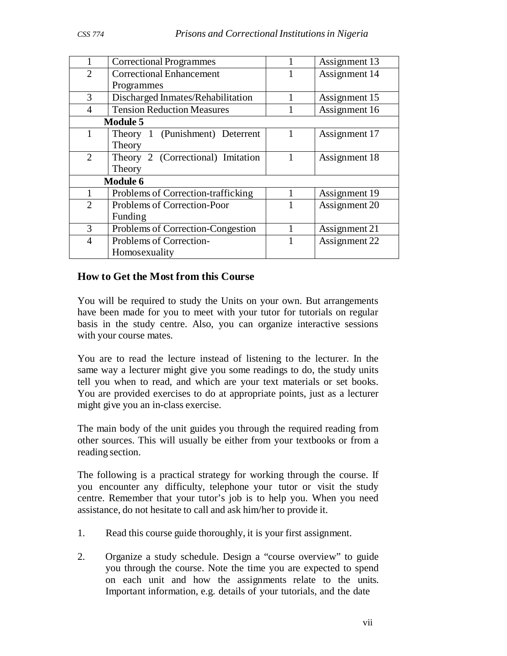| 1               | <b>Correctional Programmes</b>     |  | Assignment 13 |
|-----------------|------------------------------------|--|---------------|
| $\overline{2}$  | <b>Correctional Enhancement</b>    |  | Assignment 14 |
|                 | Programmes                         |  |               |
| 3               | Discharged Inmates/Rehabilitation  |  | Assignment 15 |
| $\overline{4}$  | <b>Tension Reduction Measures</b>  |  | Assignment 16 |
|                 | <b>Module 5</b>                    |  |               |
| 1               | Theory 1 (Punishment) Deterrent    |  | Assignment 17 |
|                 | Theory                             |  |               |
| $\overline{2}$  | Theory 2 (Correctional) Imitation  |  | Assignment 18 |
|                 | Theory                             |  |               |
| <b>Module 6</b> |                                    |  |               |
|                 | Problems of Correction-trafficking |  | Assignment 19 |
| $\overline{2}$  | Problems of Correction-Poor        |  | Assignment 20 |
|                 | Funding                            |  |               |
| 3               | Problems of Correction-Congestion  |  | Assignment 21 |
| $\overline{4}$  | Problems of Correction-            |  | Assignment 22 |
|                 | Homosexuality                      |  |               |

## **How to Get the Most from this Course**

You will be required to study the Units on your own. But arrangements have been made for you to meet with your tutor for tutorials on regular basis in the study centre. Also, you can organize interactive sessions with your course mates.

You are to read the lecture instead of listening to the lecturer. In the same way a lecturer might give you some readings to do, the study units tell you when to read, and which are your text materials or set books. You are provided exercises to do at appropriate points, just as a lecturer might give you an in-class exercise.

The main body of the unit guides you through the required reading from other sources. This will usually be either from your textbooks or from a reading section.

The following is a practical strategy for working through the course. If you encounter any difficulty, telephone your tutor or visit the study centre. Remember that your tutor's job is to help you. When you need assistance, do not hesitate to call and ask him/her to provide it.

- 1. Read this course guide thoroughly, it is your first assignment.
- 2. Organize a study schedule. Design a "course overview" to guide you through the course. Note the time you are expected to spend on each unit and how the assignments relate to the units. Important information, e.g. details of your tutorials, and the date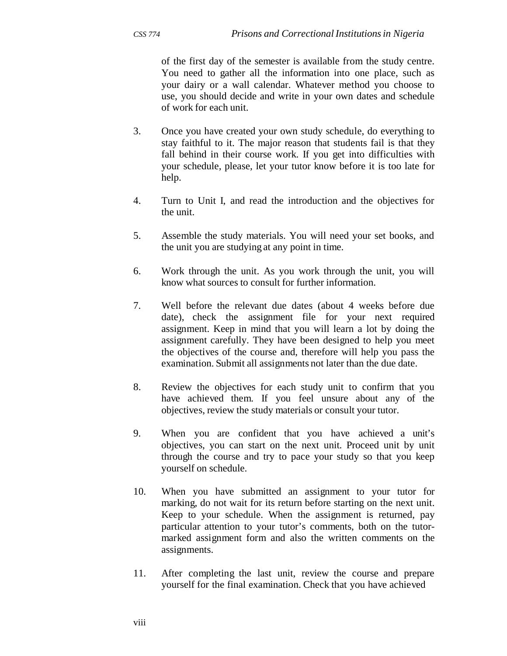of the first day of the semester is available from the study centre. You need to gather all the information into one place, such as your dairy or a wall calendar. Whatever method you choose to use, you should decide and write in your own dates and schedule of work for each unit.

- 3. Once you have created your own study schedule, do everything to stay faithful to it. The major reason that students fail is that they fall behind in their course work. If you get into difficulties with your schedule, please, let your tutor know before it is too late for help.
- 4. Turn to Unit I, and read the introduction and the objectives for the unit.
- 5. Assemble the study materials. You will need your set books, and the unit you are studying at any point in time.
- 6. Work through the unit. As you work through the unit, you will know what sources to consult for further information.
- 7. Well before the relevant due dates (about 4 weeks before due date), check the assignment file for your next required assignment. Keep in mind that you will learn a lot by doing the assignment carefully. They have been designed to help you meet the objectives of the course and, therefore will help you pass the examination. Submit all assignments not later than the due date.
- 8. Review the objectives for each study unit to confirm that you have achieved them. If you feel unsure about any of the objectives, review the study materials or consult your tutor.
- 9. When you are confident that you have achieved a unit's objectives, you can start on the next unit. Proceed unit by unit through the course and try to pace your study so that you keep yourself on schedule.
- 10. When you have submitted an assignment to your tutor for marking, do not wait for its return before starting on the next unit. Keep to your schedule. When the assignment is returned, pay particular attention to your tutor's comments, both on the tutormarked assignment form and also the written comments on the assignments.
- 11. After completing the last unit, review the course and prepare yourself for the final examination. Check that you have achieved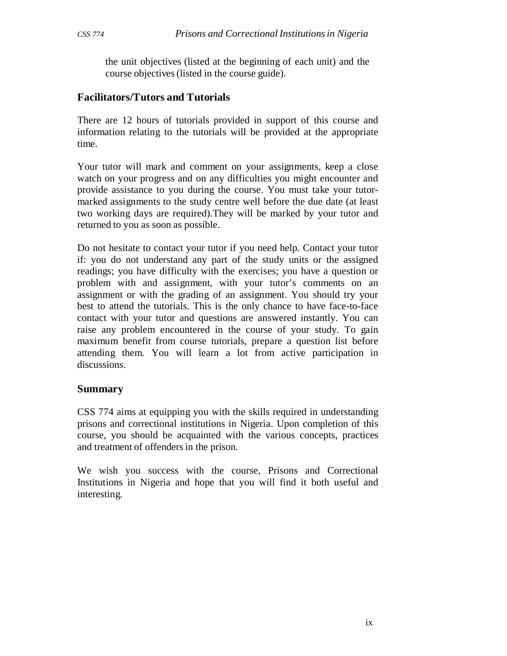the unit objectives (listed at the beginning of each unit) and the course objectives (listed in the course guide).

## **Facilitators/Tutors and Tutorials**

There are 12 hours of tutorials provided in support of this course and information relating to the tutorials will be provided at the appropriate time.

Your tutor will mark and comment on your assignments, keep a close watch on your progress and on any difficulties you might encounter and provide assistance to you during the course. You must take your tutormarked assignments to the study centre well before the due date (at least two working days are required).They will be marked by your tutor and returned to you as soon as possible.

Do not hesitate to contact your tutor if you need help. Contact your tutor if: you do not understand any part of the study units or the assigned readings; you have difficulty with the exercises; you have a question or problem with and assignment, with your tutor's comments on an assignment or with the grading of an assignment. You should try your best to attend the tutorials. This is the only chance to have face-to-face contact with your tutor and questions are answered instantly. You can raise any problem encountered in the course of your study. To gain maximum benefit from course tutorials, prepare a question list before attending them. You will learn a lot from active participation in discussions.

### **Summary**

CSS 774 aims at equipping you with the skills required in understanding prisons and correctional institutions in Nigeria. Upon completion of this course, you should be acquainted with the various concepts, practices and treatment of offenders in the prison.

We wish you success with the course, Prisons and Correctional Institutions in Nigeria and hope that you will find it both useful and interesting.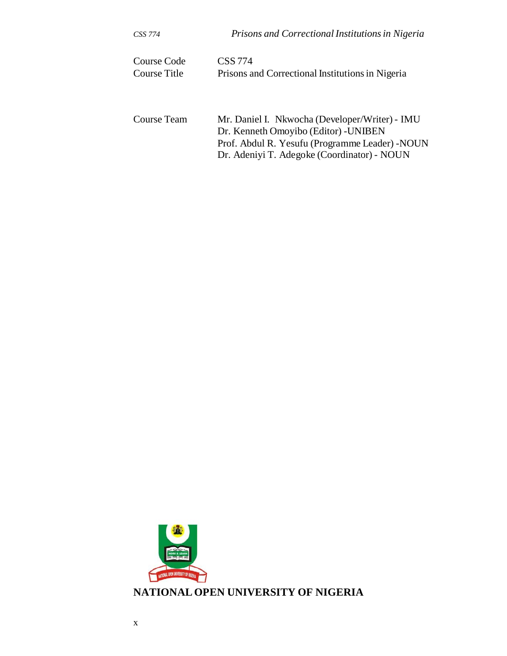| CSS 774      | Prisons and Correctional Institutions in Nigeria |
|--------------|--------------------------------------------------|
| Course Code  | <b>CSS</b> 774                                   |
| Course Title | Prisons and Correctional Institutions in Nigeria |
| Course Team  | Mr. Daniel I. Nkwocha (Developer/Writer) - IMU   |
|              | Dr. Kenneth Omoyibo (Editor) - UNIBEN            |
|              | Prof. Abdul R. Yesufu (Programme Leader) - NOUN  |
|              | Dr. Adeniyi T. Adegoke (Coordinator) - NOUN      |

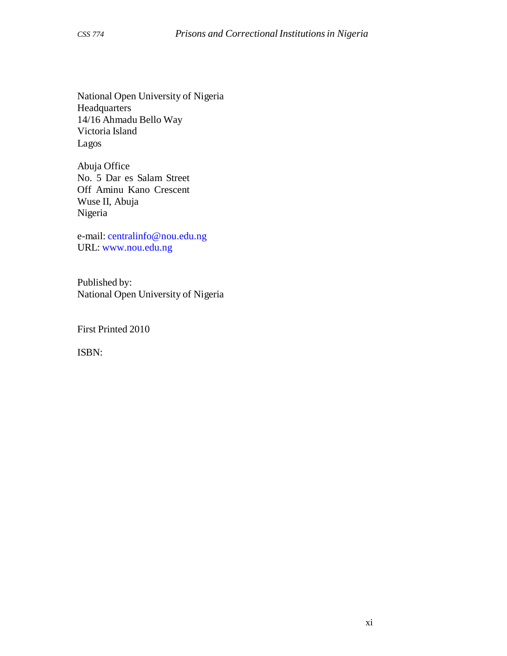National Open University of Nigeria Headquarters 14/16 Ahmadu Bello Way Victoria Island Lagos

Abuja Office No. 5 Dar es Salam Street Off Aminu Kano Crescent Wuse II, Abuja Nigeria

e-mail: centralinfo@nou.edu.ng URL: www.nou.edu.ng

Published by: National Open University of Nigeria

First Printed 2010

ISBN: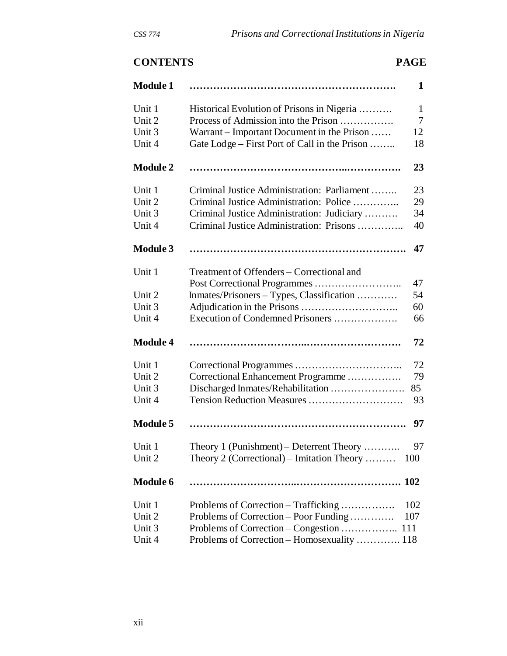# **CONTENTS PAGE**

| <b>Module 1</b> |                                               | $\mathbf 1$ |
|-----------------|-----------------------------------------------|-------------|
| Unit 1          | Historical Evolution of Prisons in Nigeria    | 1           |
| Unit 2          | Process of Admission into the Prison          | 7           |
| Unit 3          | Warrant – Important Document in the Prison    | 12          |
| Unit 4          | Gate Lodge – First Port of Call in the Prison | 18          |
| <b>Module 2</b> |                                               | 23          |
| Unit 1          | Criminal Justice Administration: Parliament   | 23          |
| Unit 2          | Criminal Justice Administration: Police       | 29          |
| Unit 3          | Criminal Justice Administration: Judiciary    | 34          |
| Unit 4          | Criminal Justice Administration: Prisons      | 40          |
| <b>Module 3</b> |                                               | 47          |
| Unit 1          | Treatment of Offenders – Correctional and     |             |
|                 |                                               | 47          |
| Unit 2          | Inmates/Prisoners - Types, Classification     | 54          |
| Unit 3          |                                               | 60          |
| Unit 4          | Execution of Condemned Prisoners              | 66          |
| <b>Module 4</b> |                                               | 72          |
| Unit 1          |                                               | 72          |
| Unit 2          | Correctional Enhancement Programme            | 79          |
| Unit 3          |                                               | 85          |
| Unit 4          | Tension Reduction Measures                    | 93          |
| <b>Module 5</b> |                                               | 97          |
| Unit 1          | Theory 1 (Punishment) – Deterrent Theory      | 97          |
| Unit 2          | Theory 2 (Correctional) – Imitation Theory    | 100         |
| <b>Module 6</b> |                                               | <b>102</b>  |
| Unit 1          | Problems of Correction – Trafficking          | 102         |
| Unit 2          | Problems of Correction – Poor Funding         | 107         |
| Unit 3          | Problems of Correction – Congestion           | 111         |
| Unit 4          | Problems of Correction – Homosexuality  118   |             |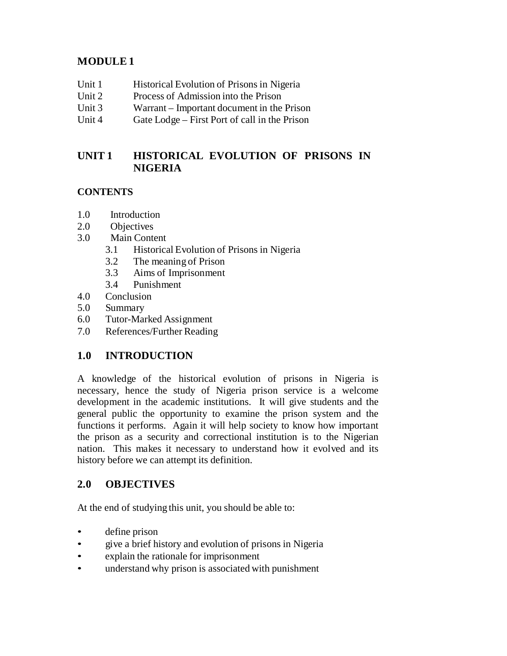# **MODULE 1**

- Unit 1 Historical Evolution of Prisons in Nigeria
- Unit 2 Process of Admission into the Prison
- Unit 3 Warrant Important document in the Prison
- Unit 4 Gate Lodge First Port of call in the Prison

# **UNIT 1 HISTORICAL EVOLUTION OF PRISONS IN NIGERIA**

## **CONTENTS**

- 1.0 Introduction
- 2.0 Objectives
- 3.0 Main Content
	- 3.1 Historical Evolution of Prisons in Nigeria
	- 3.2 The meaning of Prison
	- 3.3 Aims of Imprisonment
	- 3.4 Punishment
- 4.0 Conclusion
- 5.0 Summary
- 6.0 Tutor-Marked Assignment
- 7.0 References/Further Reading

## **1.0 INTRODUCTION**

A knowledge of the historical evolution of prisons in Nigeria is necessary, hence the study of Nigeria prison service is a welcome development in the academic institutions. It will give students and the general public the opportunity to examine the prison system and the functions it performs. Again it will help society to know how important the prison as a security and correctional institution is to the Nigerian nation. This makes it necessary to understand how it evolved and its history before we can attempt its definition.

## **2.0 OBJECTIVES**

At the end of studying this unit, you should be able to:

- define prison
- give a brief history and evolution of prisons in Nigeria
- explain the rationale for imprisonment
- understand why prison is associated with punishment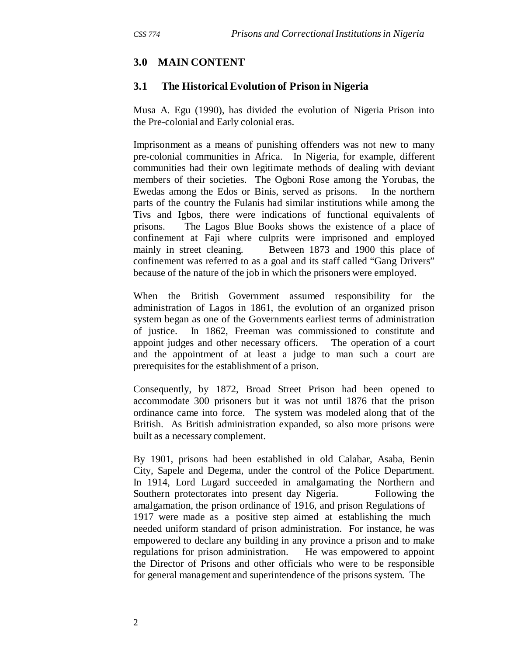## **3.0 MAIN CONTENT**

## **3.1 The Historical Evolution of Prison in Nigeria**

Musa A. Egu (1990), has divided the evolution of Nigeria Prison into the Pre-colonial and Early colonial eras.

Imprisonment as a means of punishing offenders was not new to many pre-colonial communities in Africa. In Nigeria, for example, different communities had their own legitimate methods of dealing with deviant members of their societies. The Ogboni Rose among the Yorubas, the Ewedas among the Edos or Binis, served as prisons. In the northern parts of the country the Fulanis had similar institutions while among the Tivs and Igbos, there were indications of functional equivalents of prisons. The Lagos Blue Books shows the existence of a place of confinement at Faji where culprits were imprisoned and employed mainly in street cleaning. Between 1873 and 1900 this place of confinement was referred to as a goal and its staff called "Gang Drivers" because of the nature of the job in which the prisoners were employed.

When the British Government assumed responsibility for the administration of Lagos in 1861, the evolution of an organized prison system began as one of the Governments earliest terms of administration of justice. In 1862, Freeman was commissioned to constitute and appoint judges and other necessary officers. The operation of a court and the appointment of at least a judge to man such a court are prerequisites for the establishment of a prison.

Consequently, by 1872, Broad Street Prison had been opened to accommodate 300 prisoners but it was not until 1876 that the prison ordinance came into force. The system was modeled along that of the British. As British administration expanded, so also more prisons were built as a necessary complement.

By 1901, prisons had been established in old Calabar, Asaba, Benin City, Sapele and Degema, under the control of the Police Department. In 1914, Lord Lugard succeeded in amalgamating the Northern and Southern protectorates into present day Nigeria. Following the amalgamation, the prison ordinance of 1916, and prison Regulations of 1917 were made as a positive step aimed at establishing the much needed uniform standard of prison administration. For instance, he was empowered to declare any building in any province a prison and to make regulations for prison administration. He was empowered to appoint the Director of Prisons and other officials who were to be responsible for general management and superintendence of the prisons system. The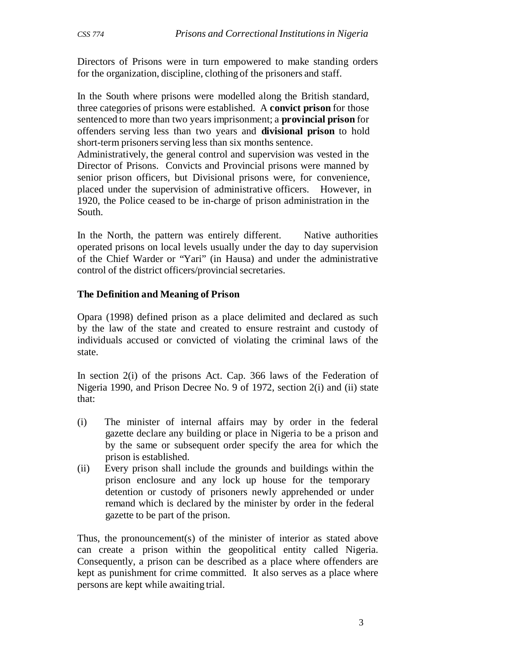Directors of Prisons were in turn empowered to make standing orders for the organization, discipline, clothing of the prisoners and staff.

In the South where prisons were modelled along the British standard, three categories of prisons were established. A **convict prison** for those sentenced to more than two years imprisonment; a **provincial prison** for offenders serving less than two years and **divisional prison** to hold short-term prisoners serving less than six months sentence.

Administratively, the general control and supervision was vested in the Director of Prisons. Convicts and Provincial prisons were manned by senior prison officers, but Divisional prisons were, for convenience, placed under the supervision of administrative officers. However, in 1920, the Police ceased to be in-charge of prison administration in the South.

In the North, the pattern was entirely different. Native authorities operated prisons on local levels usually under the day to day supervision of the Chief Warder or "Yari" (in Hausa) and under the administrative control of the district officers/provincial secretaries.

#### **The Definition and Meaning of Prison**

Opara (1998) defined prison as a place delimited and declared as such by the law of the state and created to ensure restraint and custody of individuals accused or convicted of violating the criminal laws of the state.

In section 2(i) of the prisons Act. Cap. 366 laws of the Federation of Nigeria 1990, and Prison Decree No. 9 of 1972, section 2(i) and (ii) state that:

- (i) The minister of internal affairs may by order in the federal gazette declare any building or place in Nigeria to be a prison and by the same or subsequent order specify the area for which the prison is established.
- (ii) Every prison shall include the grounds and buildings within the prison enclosure and any lock up house for the temporary detention or custody of prisoners newly apprehended or under remand which is declared by the minister by order in the federal gazette to be part of the prison.

Thus, the pronouncement(s) of the minister of interior as stated above can create a prison within the geopolitical entity called Nigeria. Consequently, a prison can be described as a place where offenders are kept as punishment for crime committed. It also serves as a place where persons are kept while awaiting trial.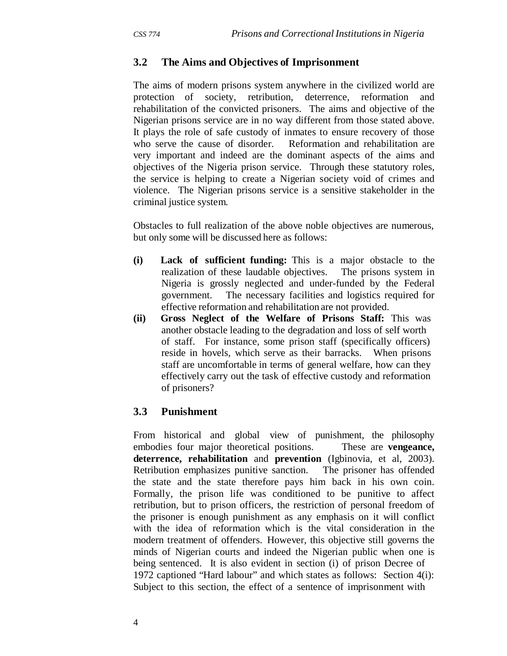## **3.2 The Aims and Objectives of Imprisonment**

The aims of modern prisons system anywhere in the civilized world are protection of society, retribution, deterrence, reformation and rehabilitation of the convicted prisoners. The aims and objective of the Nigerian prisons service are in no way different from those stated above. It plays the role of safe custody of inmates to ensure recovery of those who serve the cause of disorder. Reformation and rehabilitation are very important and indeed are the dominant aspects of the aims and objectives of the Nigeria prison service. Through these statutory roles, the service is helping to create a Nigerian society void of crimes and violence. The Nigerian prisons service is a sensitive stakeholder in the criminal justice system.

Obstacles to full realization of the above noble objectives are numerous, but only some will be discussed here as follows:

- **(i) Lack of sufficient funding:** This is a major obstacle to the realization of these laudable objectives. The prisons system in Nigeria is grossly neglected and under-funded by the Federal government. The necessary facilities and logistics required for effective reformation and rehabilitation are not provided.
- **(ii) Gross Neglect of the Welfare of Prisons Staff:** This was another obstacle leading to the degradation and loss of self worth of staff. For instance, some prison staff (specifically officers) reside in hovels, which serve as their barracks. When prisons staff are uncomfortable in terms of general welfare, how can they effectively carry out the task of effective custody and reformation of prisoners?

### **3.3 Punishment**

From historical and global view of punishment, the philosophy embodies four major theoretical positions. These are **vengeance, deterrence, rehabilitation** and **prevention** (Igbinovia, et al, 2003). Retribution emphasizes punitive sanction. The prisoner has offended the state and the state therefore pays him back in his own coin. Formally, the prison life was conditioned to be punitive to affect retribution, but to prison officers, the restriction of personal freedom of the prisoner is enough punishment as any emphasis on it will conflict with the idea of reformation which is the vital consideration in the modern treatment of offenders. However, this objective still governs the minds of Nigerian courts and indeed the Nigerian public when one is being sentenced. It is also evident in section (i) of prison Decree of 1972 captioned "Hard labour" and which states as follows: Section 4(i): Subject to this section, the effect of a sentence of imprisonment with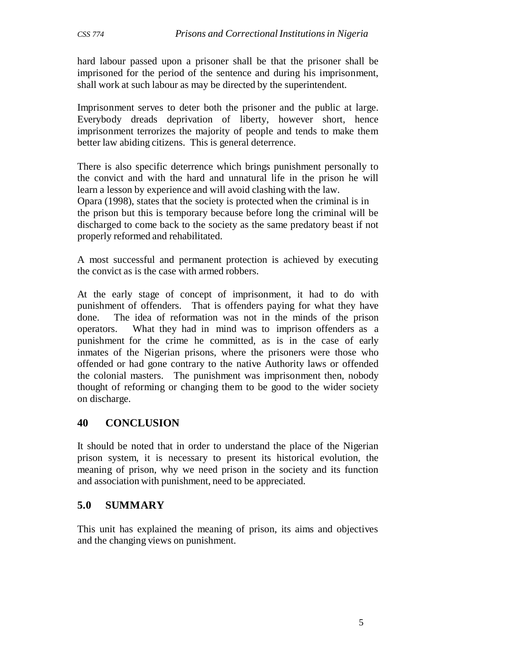hard labour passed upon a prisoner shall be that the prisoner shall be imprisoned for the period of the sentence and during his imprisonment, shall work at such labour as may be directed by the superintendent.

Imprisonment serves to deter both the prisoner and the public at large. Everybody dreads deprivation of liberty, however short, hence imprisonment terrorizes the majority of people and tends to make them better law abiding citizens. This is general deterrence.

There is also specific deterrence which brings punishment personally to the convict and with the hard and unnatural life in the prison he will learn a lesson by experience and will avoid clashing with the law. Opara (1998), states that the society is protected when the criminal is in the prison but this is temporary because before long the criminal will be discharged to come back to the society as the same predatory beast if not properly reformed and rehabilitated.

A most successful and permanent protection is achieved by executing the convict as is the case with armed robbers.

At the early stage of concept of imprisonment, it had to do with punishment of offenders. That is offenders paying for what they have done. The idea of reformation was not in the minds of the prison operators. What they had in mind was to imprison offenders as a punishment for the crime he committed, as is in the case of early inmates of the Nigerian prisons, where the prisoners were those who offended or had gone contrary to the native Authority laws or offended the colonial masters. The punishment was imprisonment then, nobody thought of reforming or changing them to be good to the wider society on discharge.

## **40 CONCLUSION**

It should be noted that in order to understand the place of the Nigerian prison system, it is necessary to present its historical evolution, the meaning of prison, why we need prison in the society and its function and association with punishment, need to be appreciated.

## **5.0 SUMMARY**

This unit has explained the meaning of prison, its aims and objectives and the changing views on punishment.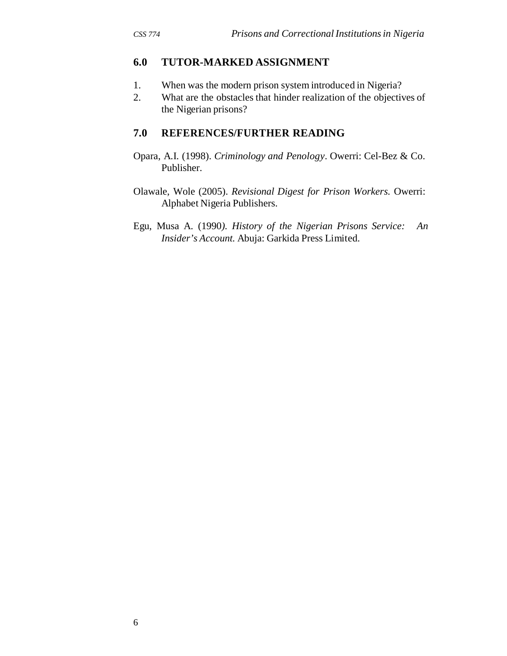## **6.0 TUTOR-MARKED ASSIGNMENT**

- 1. When was the modern prison system introduced in Nigeria?
- 2. What are the obstacles that hinder realization of the objectives of the Nigerian prisons?

## **7.0 REFERENCES/FURTHER READING**

Opara, A.I. (1998). *Criminology and Penology*. Owerri: Cel-Bez & Co. Publisher.

Olawale, Wole (2005). *Revisional Digest for Prison Workers.* Owerri: Alphabet Nigeria Publishers.

Egu, Musa A. (1990*). History of the Nigerian Prisons Service: An Insider's Account.* Abuja: Garkida Press Limited.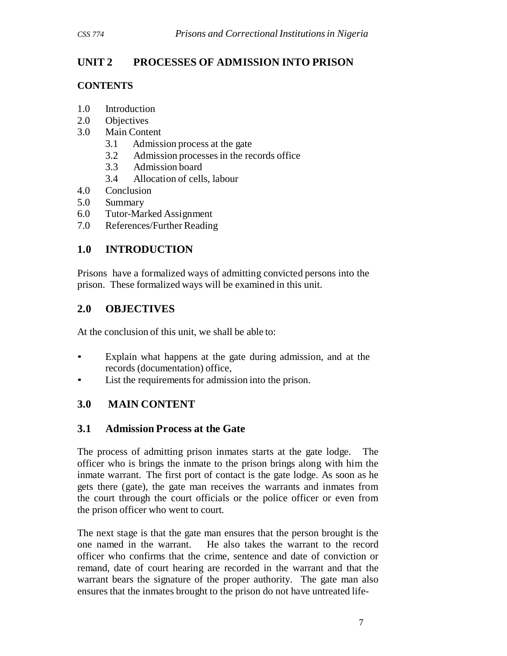# **UNIT 2 PROCESSES OF ADMISSION INTO PRISON**

## **CONTENTS**

- 1.0 Introduction
- 2.0 Objectives
- 3.0 Main Content
	- 3.1 Admission process at the gate
	- 3.2 Admission processes in the records office
	- 3.3 Admission board
	- 3.4 Allocation of cells, labour
- 4.0 Conclusion
- 5.0 Summary
- 6.0 Tutor-Marked Assignment
- 7.0 References/Further Reading

# **1.0 INTRODUCTION**

Prisons have a formalized ways of admitting convicted persons into the prison. These formalized ways will be examined in this unit.

# **2.0 OBJECTIVES**

At the conclusion of this unit, we shall be able to:

- Explain what happens at the gate during admission, and at the records (documentation) office,
- List the requirements for admission into the prison.

## **3.0 MAIN CONTENT**

## **3.1 Admission Process at the Gate**

The process of admitting prison inmates starts at the gate lodge. The officer who is brings the inmate to the prison brings along with him the inmate warrant. The first port of contact is the gate lodge. As soon as he gets there (gate), the gate man receives the warrants and inmates from the court through the court officials or the police officer or even from the prison officer who went to court.

The next stage is that the gate man ensures that the person brought is the one named in the warrant. He also takes the warrant to the record officer who confirms that the crime, sentence and date of conviction or remand, date of court hearing are recorded in the warrant and that the warrant bears the signature of the proper authority. The gate man also ensures that the inmates brought to the prison do not have untreated life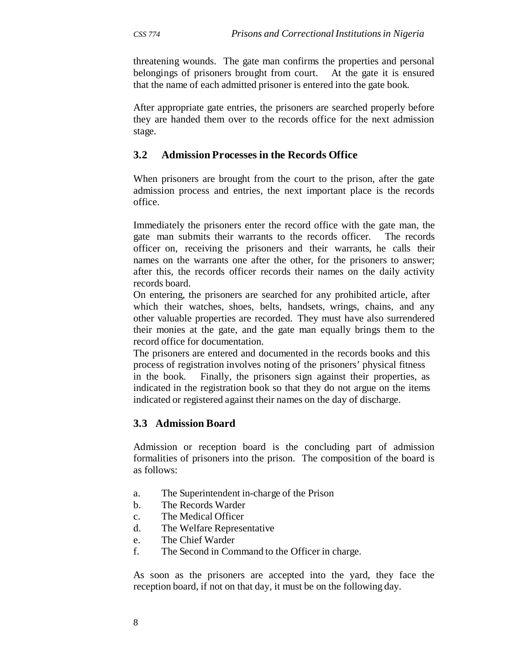threatening wounds. The gate man confirms the properties and personal belongings of prisoners brought from court. At the gate it is ensured that the name of each admitted prisoner is entered into the gate book.

After appropriate gate entries, the prisoners are searched properly before they are handed them over to the records office for the next admission stage.

## **3.2 Admission Processes in the Records Office**

When prisoners are brought from the court to the prison, after the gate admission process and entries, the next important place is the records office.

Immediately the prisoners enter the record office with the gate man, the gate man submits their warrants to the records officer. The records officer on, receiving the prisoners and their warrants, he calls their names on the warrants one after the other, for the prisoners to answer; after this, the records officer records their names on the daily activity records board.

On entering, the prisoners are searched for any prohibited article, after which their watches, shoes, belts, handsets, wrings, chains, and any other valuable properties are recorded. They must have also surrendered their monies at the gate, and the gate man equally brings them to the record office for documentation.

The prisoners are entered and documented in the records books and this process of registration involves noting of the prisoners' physical fitness in the book. Finally, the prisoners sign against their properties, as indicated in the registration book so that they do not argue on the items indicated or registered against their names on the day of discharge.

## **3.3 Admission Board**

Admission or reception board is the concluding part of admission formalities of prisoners into the prison. The composition of the board is as follows:

- a. The Superintendent in-charge of the Prison
- b. The Records Warder
- c. The Medical Officer
- d. The Welfare Representative
- e. The Chief Warder
- f. The Second in Command to the Officer in charge.

As soon as the prisoners are accepted into the yard, they face the reception board, if not on that day, it must be on the following day.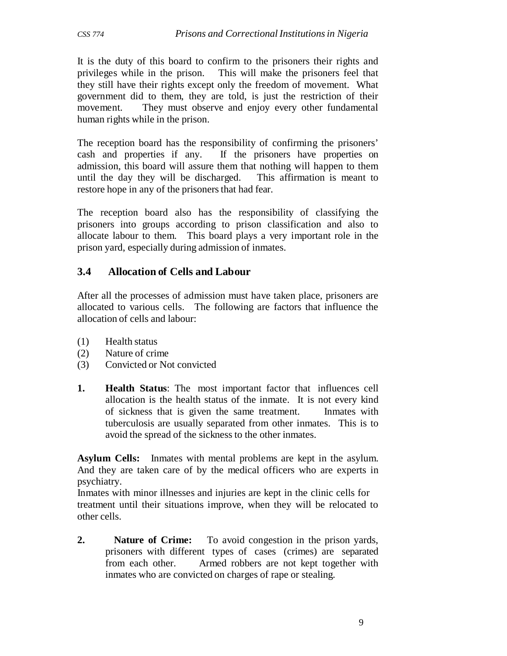It is the duty of this board to confirm to the prisoners their rights and privileges while in the prison. This will make the prisoners feel that they still have their rights except only the freedom of movement. What government did to them, they are told, is just the restriction of their movement. They must observe and enjoy every other fundamental human rights while in the prison.

The reception board has the responsibility of confirming the prisoners' cash and properties if any. If the prisoners have properties on admission, this board will assure them that nothing will happen to them until the day they will be discharged. This affirmation is meant to restore hope in any of the prisoners that had fear.

The reception board also has the responsibility of classifying the prisoners into groups according to prison classification and also to allocate labour to them. This board plays a very important role in the prison yard, especially during admission of inmates.

## **3.4 Allocation of Cells and Labour**

After all the processes of admission must have taken place, prisoners are allocated to various cells. The following are factors that influence the allocation of cells and labour:

- (1) Health status
- (2) Nature of crime
- (3) Convicted or Not convicted
- **1. Health Status**: The most important factor that influences cell allocation is the health status of the inmate. It is not every kind of sickness that is given the same treatment. Inmates with tuberculosis are usually separated from other inmates. This is to avoid the spread of the sickness to the other inmates.

**Asylum Cells:** Inmates with mental problems are kept in the asylum. And they are taken care of by the medical officers who are experts in psychiatry.

Inmates with minor illnesses and injuries are kept in the clinic cells for treatment until their situations improve, when they will be relocated to other cells.

**2. Nature of Crime:** To avoid congestion in the prison yards, prisoners with different types of cases (crimes) are separated from each other. Armed robbers are not kept together with inmates who are convicted on charges of rape or stealing.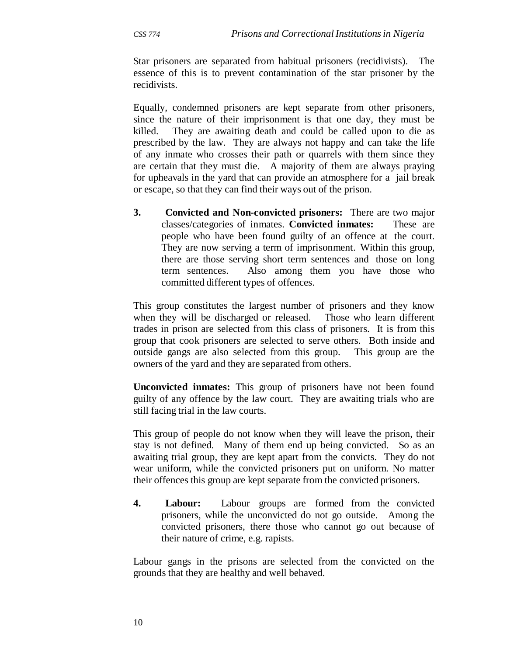Star prisoners are separated from habitual prisoners (recidivists). The essence of this is to prevent contamination of the star prisoner by the recidivists.

Equally, condemned prisoners are kept separate from other prisoners, since the nature of their imprisonment is that one day, they must be killed. They are awaiting death and could be called upon to die as prescribed by the law. They are always not happy and can take the life of any inmate who crosses their path or quarrels with them since they are certain that they must die. A majority of them are always praying for upheavals in the yard that can provide an atmosphere for a jail break or escape, so that they can find their ways out of the prison.

**3. Convicted and Non-convicted prisoners:** There are two major classes/categories of inmates. **Convicted inmates:** These are people who have been found guilty of an offence at the court. They are now serving a term of imprisonment. Within this group, there are those serving short term sentences and those on long term sentences. Also among them you have those who committed different types of offences.

This group constitutes the largest number of prisoners and they know when they will be discharged or released. Those who learn different trades in prison are selected from this class of prisoners. It is from this group that cook prisoners are selected to serve others. Both inside and outside gangs are also selected from this group. This group are the owners of the yard and they are separated from others.

**Unconvicted inmates:** This group of prisoners have not been found guilty of any offence by the law court. They are awaiting trials who are still facing trial in the law courts.

This group of people do not know when they will leave the prison, their stay is not defined. Many of them end up being convicted. So as an awaiting trial group, they are kept apart from the convicts. They do not wear uniform, while the convicted prisoners put on uniform. No matter their offences this group are kept separate from the convicted prisoners.

**4. Labour:** Labour groups are formed from the convicted prisoners, while the unconvicted do not go outside. Among the convicted prisoners, there those who cannot go out because of their nature of crime, e.g. rapists.

Labour gangs in the prisons are selected from the convicted on the grounds that they are healthy and well behaved.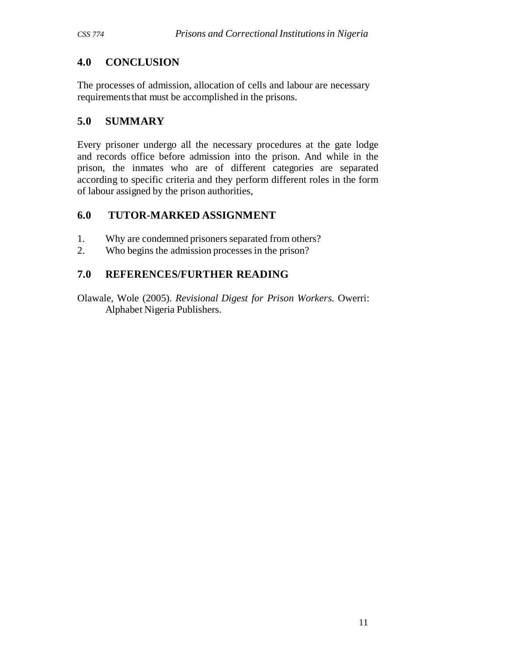# **4.0 CONCLUSION**

The processes of admission, allocation of cells and labour are necessary requirements that must be accomplished in the prisons.

## **5.0 SUMMARY**

Every prisoner undergo all the necessary procedures at the gate lodge and records office before admission into the prison. And while in the prison, the inmates who are of different categories are separated according to specific criteria and they perform different roles in the form of labour assigned by the prison authorities,

## **6.0 TUTOR-MARKED ASSIGNMENT**

- 1. Why are condemned prisoners separated from others?
- 2. Who begins the admission processes in the prison?

# **7.0 REFERENCES/FURTHER READING**

Olawale, Wole (2005). *Revisional Digest for Prison Workers.* Owerri: Alphabet Nigeria Publishers.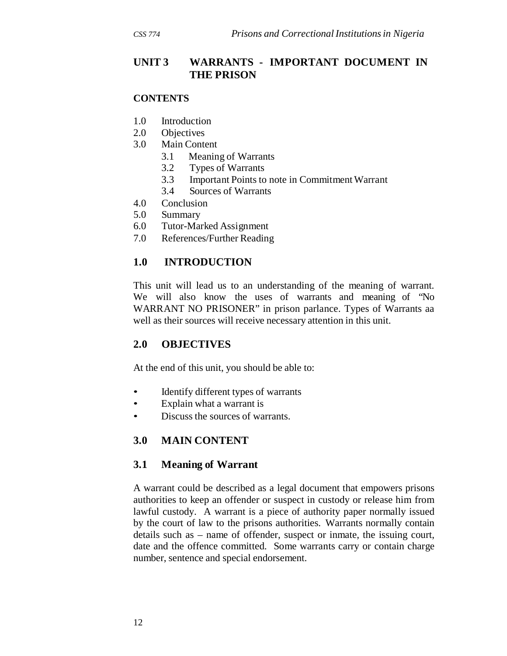## **UNIT 3 WARRANTS - IMPORTANT DOCUMENT IN THE PRISON**

#### **CONTENTS**

- 1.0 Introduction
- 2.0 Objectives
- 3.0 Main Content
	- 3.1 Meaning of Warrants
	- 3.2 Types of Warrants
	- 3.3 Important Points to note in Commitment Warrant
	- 3.4 Sources of Warrants
- 4.0 Conclusion
- 5.0 Summary
- 6.0 Tutor-Marked Assignment
- 7.0 References/Further Reading

## **1.0 INTRODUCTION**

This unit will lead us to an understanding of the meaning of warrant. We will also know the uses of warrants and meaning of "No WARRANT NO PRISONER" in prison parlance. Types of Warrants aa well as their sources will receive necessary attention in this unit.

### **2.0 OBJECTIVES**

At the end of this unit, you should be able to:

- Identify different types of warrants
- Explain what a warrant is
- Discuss the sources of warrants.

## **3.0 MAIN CONTENT**

### **3.1 Meaning of Warrant**

A warrant could be described as a legal document that empowers prisons authorities to keep an offender or suspect in custody or release him from lawful custody. A warrant is a piece of authority paper normally issued by the court of law to the prisons authorities. Warrants normally contain details such as – name of offender, suspect or inmate, the issuing court, date and the offence committed. Some warrants carry or contain charge number, sentence and special endorsement.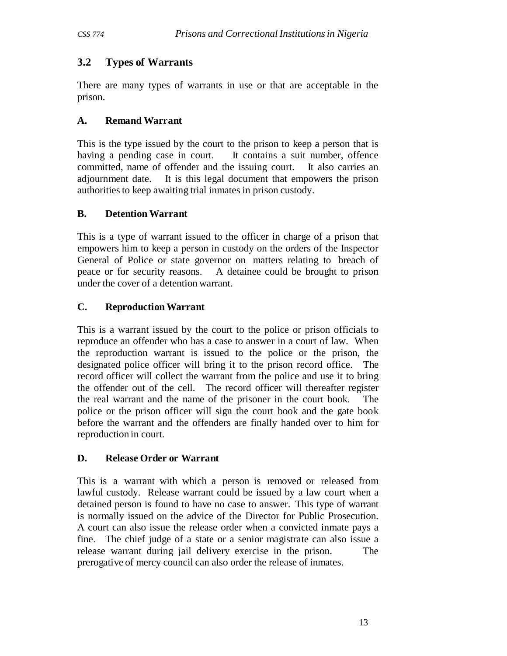# **3.2 Types of Warrants**

There are many types of warrants in use or that are acceptable in the prison.

## **A. Remand Warrant**

This is the type issued by the court to the prison to keep a person that is having a pending case in court. It contains a suit number, offence committed, name of offender and the issuing court. It also carries an adjournment date. It is this legal document that empowers the prison authorities to keep awaiting trial inmates in prison custody.

## **B. Detention Warrant**

This is a type of warrant issued to the officer in charge of a prison that empowers him to keep a person in custody on the orders of the Inspector General of Police or state governor on matters relating to breach of peace or for security reasons. A detainee could be brought to prison under the cover of a detention warrant.

# **C. Reproduction Warrant**

This is a warrant issued by the court to the police or prison officials to reproduce an offender who has a case to answer in a court of law. When the reproduction warrant is issued to the police or the prison, the designated police officer will bring it to the prison record office. The record officer will collect the warrant from the police and use it to bring the offender out of the cell. The record officer will thereafter register the real warrant and the name of the prisoner in the court book. The police or the prison officer will sign the court book and the gate book before the warrant and the offenders are finally handed over to him for reproduction in court.

## **D. Release Order or Warrant**

This is a warrant with which a person is removed or released from lawful custody. Release warrant could be issued by a law court when a detained person is found to have no case to answer. This type of warrant is normally issued on the advice of the Director for Public Prosecution. A court can also issue the release order when a convicted inmate pays a fine. The chief judge of a state or a senior magistrate can also issue a release warrant during jail delivery exercise in the prison. The prerogative of mercy council can also order the release of inmates.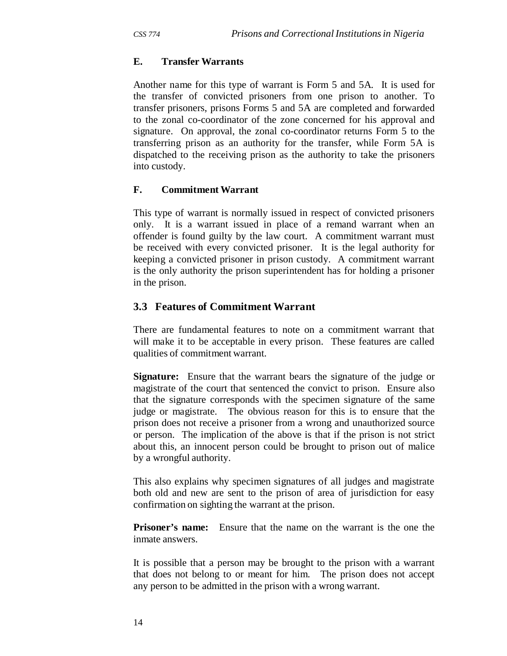## **E. Transfer Warrants**

Another name for this type of warrant is Form 5 and 5A. It is used for the transfer of convicted prisoners from one prison to another. To transfer prisoners, prisons Forms 5 and 5A are completed and forwarded to the zonal co-coordinator of the zone concerned for his approval and signature. On approval, the zonal co-coordinator returns Form 5 to the transferring prison as an authority for the transfer, while Form 5A is dispatched to the receiving prison as the authority to take the prisoners into custody.

### **F. Commitment Warrant**

This type of warrant is normally issued in respect of convicted prisoners only. It is a warrant issued in place of a remand warrant when an offender is found guilty by the law court. A commitment warrant must be received with every convicted prisoner. It is the legal authority for keeping a convicted prisoner in prison custody. A commitment warrant is the only authority the prison superintendent has for holding a prisoner in the prison.

## **3.3 Features of Commitment Warrant**

There are fundamental features to note on a commitment warrant that will make it to be acceptable in every prison. These features are called qualities of commitment warrant.

**Signature:** Ensure that the warrant bears the signature of the judge or magistrate of the court that sentenced the convict to prison. Ensure also that the signature corresponds with the specimen signature of the same judge or magistrate. The obvious reason for this is to ensure that the prison does not receive a prisoner from a wrong and unauthorized source or person. The implication of the above is that if the prison is not strict about this, an innocent person could be brought to prison out of malice by a wrongful authority.

This also explains why specimen signatures of all judges and magistrate both old and new are sent to the prison of area of jurisdiction for easy confirmation on sighting the warrant at the prison.

**Prisoner's name:** Ensure that the name on the warrant is the one the inmate answers.

It is possible that a person may be brought to the prison with a warrant that does not belong to or meant for him. The prison does not accept any person to be admitted in the prison with a wrong warrant.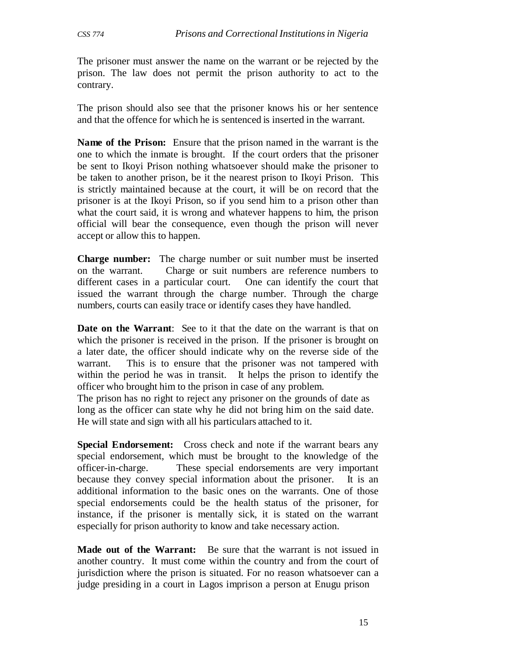The prisoner must answer the name on the warrant or be rejected by the prison. The law does not permit the prison authority to act to the contrary.

The prison should also see that the prisoner knows his or her sentence and that the offence for which he is sentenced is inserted in the warrant.

**Name of the Prison:** Ensure that the prison named in the warrant is the one to which the inmate is brought. If the court orders that the prisoner be sent to Ikoyi Prison nothing whatsoever should make the prisoner to be taken to another prison, be it the nearest prison to Ikoyi Prison. This is strictly maintained because at the court, it will be on record that the prisoner is at the Ikoyi Prison, so if you send him to a prison other than what the court said, it is wrong and whatever happens to him, the prison official will bear the consequence, even though the prison will never accept or allow this to happen.

**Charge number:** The charge number or suit number must be inserted on the warrant. Charge or suit numbers are reference numbers to different cases in a particular court. One can identify the court that issued the warrant through the charge number. Through the charge numbers, courts can easily trace or identify cases they have handled.

**Date on the Warrant:** See to it that the date on the warrant is that on which the prisoner is received in the prison. If the prisoner is brought on a later date, the officer should indicate why on the reverse side of the warrant. This is to ensure that the prisoner was not tampered with within the period he was in transit. It helps the prison to identify the officer who brought him to the prison in case of any problem.

The prison has no right to reject any prisoner on the grounds of date as long as the officer can state why he did not bring him on the said date. He will state and sign with all his particulars attached to it.

**Special Endorsement:** Cross check and note if the warrant bears any special endorsement, which must be brought to the knowledge of the officer-in-charge. These special endorsements are very important because they convey special information about the prisoner. It is an additional information to the basic ones on the warrants. One of those special endorsements could be the health status of the prisoner, for instance, if the prisoner is mentally sick, it is stated on the warrant especially for prison authority to know and take necessary action.

**Made out of the Warrant:** Be sure that the warrant is not issued in another country. It must come within the country and from the court of jurisdiction where the prison is situated. For no reason whatsoever can a judge presiding in a court in Lagos imprison a person at Enugu prison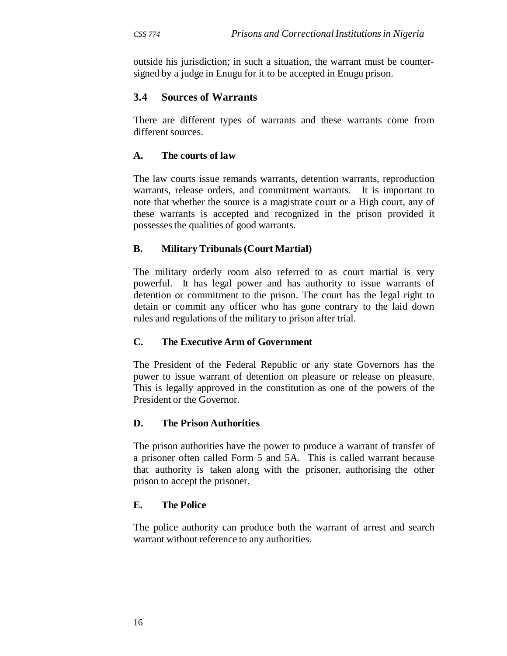outside his jurisdiction; in such a situation, the warrant must be countersigned by a judge in Enugu for it to be accepted in Enugu prison.

## **3.4 Sources of Warrants**

There are different types of warrants and these warrants come from different sources.

## **A. The courts of law**

The law courts issue remands warrants, detention warrants, reproduction warrants, release orders, and commitment warrants. It is important to note that whether the source is a magistrate court or a High court, any of these warrants is accepted and recognized in the prison provided it possesses the qualities of good warrants.

### **B. Military Tribunals (Court Martial)**

The military orderly room also referred to as court martial is very powerful. It has legal power and has authority to issue warrants of detention or commitment to the prison. The court has the legal right to detain or commit any officer who has gone contrary to the laid down rules and regulations of the military to prison after trial.

### **C. The Executive Arm of Government**

The President of the Federal Republic or any state Governors has the power to issue warrant of detention on pleasure or release on pleasure. This is legally approved in the constitution as one of the powers of the President or the Governor.

### **D. The Prison Authorities**

The prison authorities have the power to produce a warrant of transfer of a prisoner often called Form 5 and 5A. This is called warrant because that authority is taken along with the prisoner, authorising the other prison to accept the prisoner.

### **E. The Police**

The police authority can produce both the warrant of arrest and search warrant without reference to any authorities.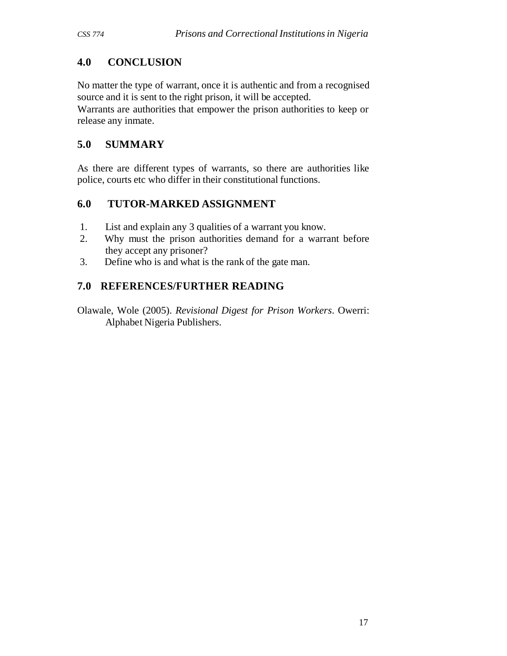# **4.0 CONCLUSION**

No matter the type of warrant, once it is authentic and from a recognised source and it is sent to the right prison, it will be accepted.

Warrants are authorities that empower the prison authorities to keep or release any inmate.

# **5.0 SUMMARY**

As there are different types of warrants, so there are authorities like police, courts etc who differ in their constitutional functions.

# **6.0 TUTOR-MARKED ASSIGNMENT**

- 1. List and explain any 3 qualities of a warrant you know.
- 2. Why must the prison authorities demand for a warrant before they accept any prisoner?
- 3. Define who is and what is the rank of the gate man.

# **7.0 REFERENCES/FURTHER READING**

Olawale, Wole (2005). *Revisional Digest for Prison Workers*. Owerri: Alphabet Nigeria Publishers.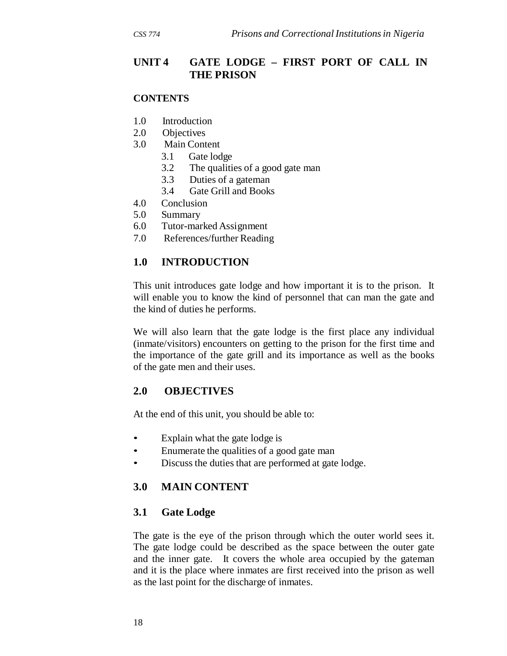## **UNIT 4 GATE LODGE – FIRST PORT OF CALL IN THE PRISON**

#### **CONTENTS**

- 1.0 Introduction
- 2.0 Objectives
- 3.0 Main Content
	- 3.1 Gate lodge
	- 3.2 The qualities of a good gate man
	- 3.3 Duties of a gateman
	- 3.4 Gate Grill and Books
- 4.0 Conclusion
- 5.0 Summary
- 6.0 Tutor-marked Assignment
- 7.0 References/further Reading

## **1.0 INTRODUCTION**

This unit introduces gate lodge and how important it is to the prison. It will enable you to know the kind of personnel that can man the gate and the kind of duties he performs.

We will also learn that the gate lodge is the first place any individual (inmate/visitors) encounters on getting to the prison for the first time and the importance of the gate grill and its importance as well as the books of the gate men and their uses.

## **2.0 OBJECTIVES**

At the end of this unit, you should be able to:

- Explain what the gate lodge is
- Enumerate the qualities of a good gate man
- Discuss the duties that are performed at gate lodge.

## **3.0 MAIN CONTENT**

### **3.1 Gate Lodge**

The gate is the eye of the prison through which the outer world sees it. The gate lodge could be described as the space between the outer gate and the inner gate. It covers the whole area occupied by the gateman and it is the place where inmates are first received into the prison as well as the last point for the discharge of inmates.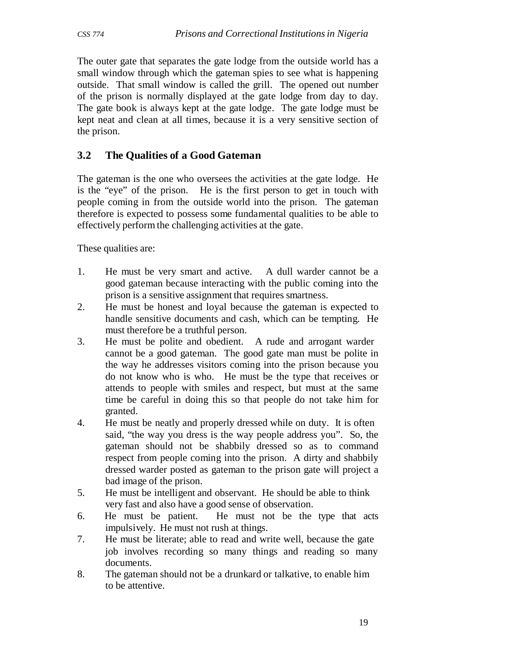The outer gate that separates the gate lodge from the outside world has a small window through which the gateman spies to see what is happening outside. That small window is called the grill. The opened out number of the prison is normally displayed at the gate lodge from day to day. The gate book is always kept at the gate lodge. The gate lodge must be kept neat and clean at all times, because it is a very sensitive section of the prison.

## **3.2 The Qualities of a Good Gateman**

The gateman is the one who oversees the activities at the gate lodge. He is the "eye" of the prison. He is the first person to get in touch with people coming in from the outside world into the prison. The gateman therefore is expected to possess some fundamental qualities to be able to effectively perform the challenging activities at the gate.

These qualities are:

- 1. He must be very smart and active. A dull warder cannot be a good gateman because interacting with the public coming into the prison is a sensitive assignment that requires smartness.
- 2. He must be honest and loyal because the gateman is expected to handle sensitive documents and cash, which can be tempting. He must therefore be a truthful person.
- 3. He must be polite and obedient. A rude and arrogant warder cannot be a good gateman. The good gate man must be polite in the way he addresses visitors coming into the prison because you do not know who is who. He must be the type that receives or attends to people with smiles and respect, but must at the same time be careful in doing this so that people do not take him for granted.
- 4. He must be neatly and properly dressed while on duty. It is often said, "the way you dress is the way people address you". So, the gateman should not be shabbily dressed so as to command respect from people coming into the prison. A dirty and shabbily dressed warder posted as gateman to the prison gate will project a bad image of the prison.
- 5. He must be intelligent and observant. He should be able to think very fast and also have a good sense of observation.
- 6. He must be patient. He must not be the type that acts impulsively. He must not rush at things.
- 7. He must be literate; able to read and write well, because the gate job involves recording so many things and reading so many documents.
- 8. The gateman should not be a drunkard or talkative, to enable him to be attentive.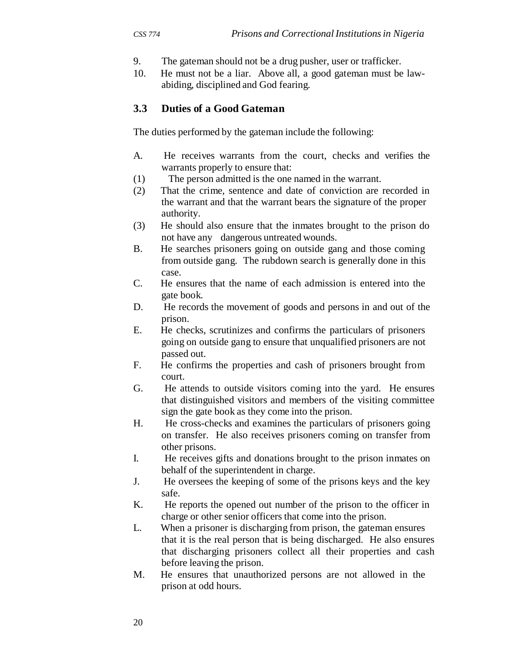- 9. The gateman should not be a drug pusher, user or trafficker.
- 10. He must not be a liar. Above all, a good gateman must be lawabiding, disciplined and God fearing.

#### **3.3 Duties of a Good Gateman**

The duties performed by the gateman include the following:

- A. He receives warrants from the court, checks and verifies the warrants properly to ensure that:
- (1) The person admitted is the one named in the warrant.
- (2) That the crime, sentence and date of conviction are recorded in the warrant and that the warrant bears the signature of the proper authority.
- (3) He should also ensure that the inmates brought to the prison do not have any dangerous untreated wounds.
- B. He searches prisoners going on outside gang and those coming from outside gang. The rubdown search is generally done in this case.
- C. He ensures that the name of each admission is entered into the gate book.
- D. He records the movement of goods and persons in and out of the prison.
- E. He checks, scrutinizes and confirms the particulars of prisoners going on outside gang to ensure that unqualified prisoners are not passed out.
- F. He confirms the properties and cash of prisoners brought from court.
- G. He attends to outside visitors coming into the yard. He ensures that distinguished visitors and members of the visiting committee sign the gate book as they come into the prison.
- H. He cross-checks and examines the particulars of prisoners going on transfer. He also receives prisoners coming on transfer from other prisons.
- I. He receives gifts and donations brought to the prison inmates on behalf of the superintendent in charge.
- J. He oversees the keeping of some of the prisons keys and the key safe.
- K. He reports the opened out number of the prison to the officer in charge or other senior officers that come into the prison.
- L. When a prisoner is discharging from prison, the gateman ensures that it is the real person that is being discharged. He also ensures that discharging prisoners collect all their properties and cash before leaving the prison.
- M. He ensures that unauthorized persons are not allowed in the prison at odd hours.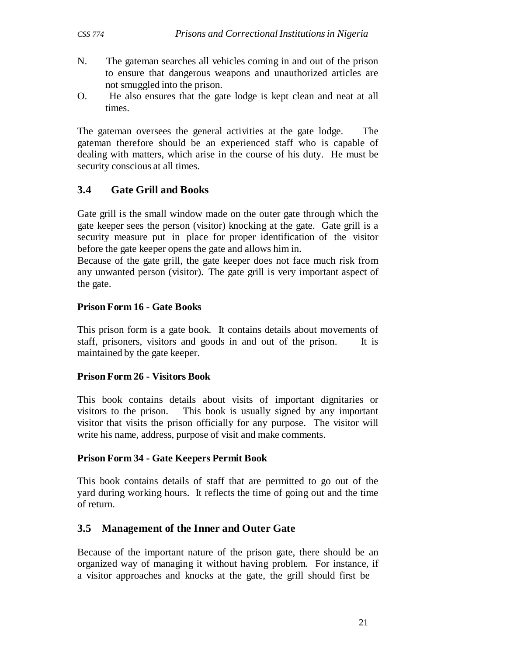- N. The gateman searches all vehicles coming in and out of the prison to ensure that dangerous weapons and unauthorized articles are not smuggled into the prison.
- O. He also ensures that the gate lodge is kept clean and neat at all times.

The gateman oversees the general activities at the gate lodge. The gateman therefore should be an experienced staff who is capable of dealing with matters, which arise in the course of his duty. He must be security conscious at all times.

# **3.4 Gate Grill and Books**

Gate grill is the small window made on the outer gate through which the gate keeper sees the person (visitor) knocking at the gate. Gate grill is a security measure put in place for proper identification of the visitor before the gate keeper opens the gate and allows him in.

Because of the gate grill, the gate keeper does not face much risk from any unwanted person (visitor). The gate grill is very important aspect of the gate.

# **Prison Form 16 - Gate Books**

This prison form is a gate book. It contains details about movements of staff, prisoners, visitors and goods in and out of the prison. It is maintained by the gate keeper.

# **Prison Form 26 - Visitors Book**

This book contains details about visits of important dignitaries or visitors to the prison. This book is usually signed by any important visitor that visits the prison officially for any purpose. The visitor will write his name, address, purpose of visit and make comments.

# **Prison Form 34 - Gate Keepers Permit Book**

This book contains details of staff that are permitted to go out of the yard during working hours. It reflects the time of going out and the time of return.

# **3.5 Manage ment of the Inner and Outer Gate**

Because of the important nature of the prison gate, there should be an organized way of managing it without having problem. For instance, if a visitor approaches and knocks at the gate, the grill should first be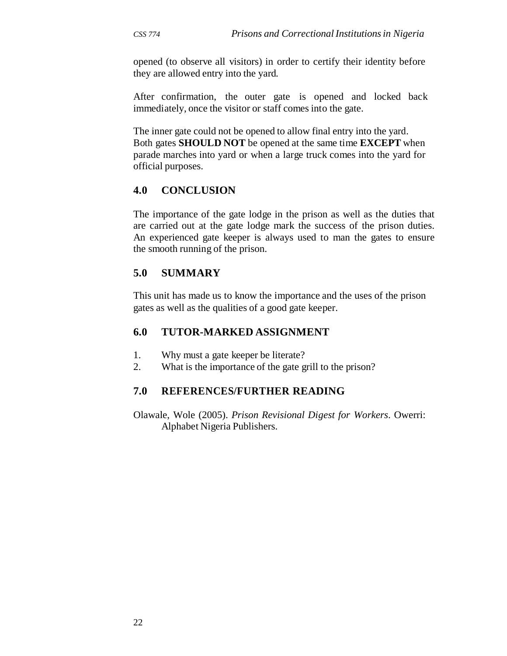opened (to observe all visitors) in order to certify their identity before they are allowed entry into the yard.

After confirmation, the outer gate is opened and locked back immediately, once the visitor or staff comes into the gate.

The inner gate could not be opened to allow final entry into the yard. Both gates **SHOULD NOT** be opened at the same time **EXCEPT** when parade marches into yard or when a large truck comes into the yard for official purposes.

## **4.0 CONCLUSION**

The importance of the gate lodge in the prison as well as the duties that are carried out at the gate lodge mark the success of the prison duties. An experienced gate keeper is always used to man the gates to ensure the smooth running of the prison.

## **5.0 SUMMARY**

This unit has made us to know the importance and the uses of the prison gates as well as the qualities of a good gate keeper.

### **6.0 TUTOR-MARKED ASSIGNMENT**

- 1. Why must a gate keeper be literate?
- 2. What is the importance of the gate grill to the prison?

### **7.0 REFERENCES/FURTHER READING**

Olawale, Wole (2005). *Prison Revisional Digest for Workers*. Owerri: Alphabet Nigeria Publishers.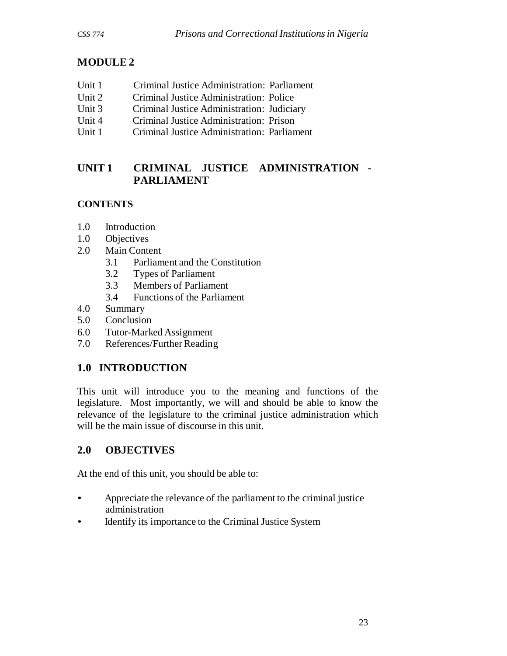# **MODULE 2**

- Unit 1 Criminal Justice Administration: Parliament
- Unit 2 Criminal Justice Administration: Police
- Unit 3 Criminal Justice Administration: Judiciary
- Unit 4 Criminal Justice Administration: Prison
- Unit 1 Criminal Justice Administration: Parliament

# **UNIT 1 CRIMINAL JUSTICE ADMINISTRATION - PARLIAMENT**

# **CONTENTS**

- 1.0 Introduction
- 1.0 Objectives
- 2.0 Main Content
	- 3.1 Parliament and the Constitution
	- 3.2 Types of Parliament
	- 3.3 Members of Parliament
	- 3.4 Functions of the Parliament
- 4.0 Summary
- 5.0 Conclusion
- 6.0 Tutor-Marked Assignment
- 7.0 References/Further Reading

# **1.0 INTRODUCTION**

This unit will introduce you to the meaning and functions of the legislature. Most importantly, we will and should be able to know the relevance of the legislature to the criminal justice administration which will be the main issue of discourse in this unit.

# **2.0 OBJECTIVES**

At the end of this unit, you should be able to:

- Appreciate the relevance of the parliament to the criminal justice administration
- Identify its importance to the Criminal Justice System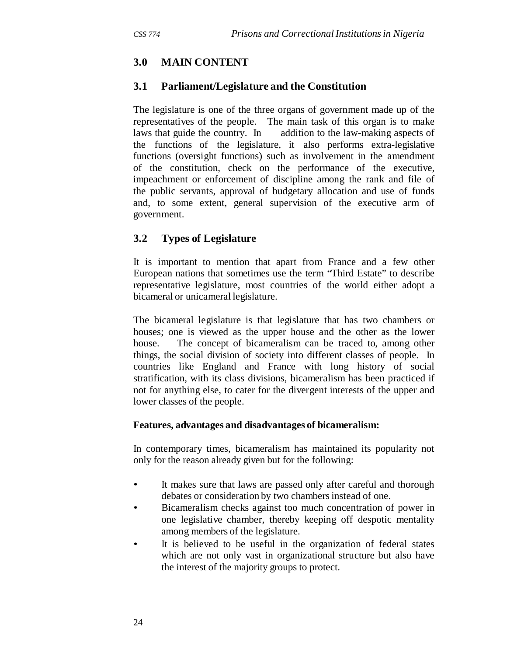## **3.0 MAIN CONTENT**

#### **3.1 Parliament/Legislature and the Constitution**

The legislature is one of the three organs of government made up of the representatives of the people. The main task of this organ is to make laws that guide the country. In addition to the law-making aspects of the functions of the legislature, it also performs extra-legislative functions (oversight functions) such as involvement in the amendment of the constitution, check on the performance of the executive, impeachment or enforcement of discipline among the rank and file of the public servants, approval of budgetary allocation and use of funds and, to some extent, general supervision of the executive arm of government.

#### **3.2 Types of Legislature**

It is important to mention that apart from France and a few other European nations that sometimes use the term "Third Estate" to describe representative legislature, most countries of the world either adopt a bicameral or unicameral legislature.

The bicameral legislature is that legislature that has two chambers or houses; one is viewed as the upper house and the other as the lower house. The concept of bicameralism can be traced to, among other things, the social division of society into different classes of people. In countries like England and France with long history of social stratification, with its class divisions, bicameralism has been practiced if not for anything else, to cater for the divergent interests of the upper and lower classes of the people.

#### **Features, advantages and disadvantages of bicameralism:**

In contemporary times, bicameralism has maintained its popularity not only for the reason already given but for the following:

- It makes sure that laws are passed only after careful and thorough debates or consideration by two chambers instead of one.
- Bicameralism checks against too much concentration of power in one legislative chamber, thereby keeping off despotic mentality among members of the legislature.
- It is believed to be useful in the organization of federal states which are not only vast in organizational structure but also have the interest of the majority groups to protect.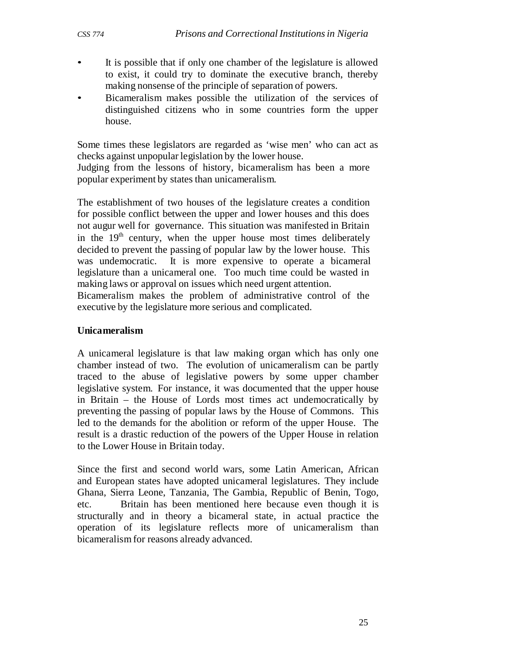- It is possible that if only one chamber of the legislature is allowed to exist, it could try to dominate the executive branch, thereby making nonsense of the principle of separation of powers.
- Bicameralism makes possible the utilization of the services of distinguished citizens who in some countries form the upper house.

Some times these legislators are regarded as 'wise men' who can act as checks against unpopular legislation by the lower house.

Judging from the lessons of history, bicameralism has been a more popular experiment by states than unicameralism.

The establishment of two houses of the legislature creates a condition for possible conflict between the upper and lower houses and this does not augur well for governance. This situation was manifested in Britain in the  $19<sup>th</sup>$  century, when the upper house most times deliberately decided to prevent the passing of popular law by the lower house. This was undemocratic. It is more expensive to operate a bicameral legislature than a unicameral one. Too much time could be wasted in making laws or approval on issues which need urgent attention.

Bicameralism makes the problem of administrative control of the executive by the legislature more serious and complicated.

#### **Unica meralism**

A unicameral legislature is that law making organ which has only one chamber instead of two. The evolution of unicameralism can be partly traced to the abuse of legislative powers by some upper chamber legislative system. For instance, it was documented that the upper house in Britain – the House of Lords most times act undemocratically by preventing the passing of popular laws by the House of Commons. This led to the demands for the abolition or reform of the upper House. The result is a drastic reduction of the powers of the Upper House in relation to the Lower House in Britain today.

Since the first and second world wars, some Latin American, African and European states have adopted unicameral legislatures. They include Ghana, Sierra Leone, Tanzania, The Gambia, Republic of Benin, Togo, etc. Britain has been mentioned here because even though it is structurally and in theory a bicameral state, in actual practice the operation of its legislature reflects more of unicameralism than bicameralism for reasons already advanced.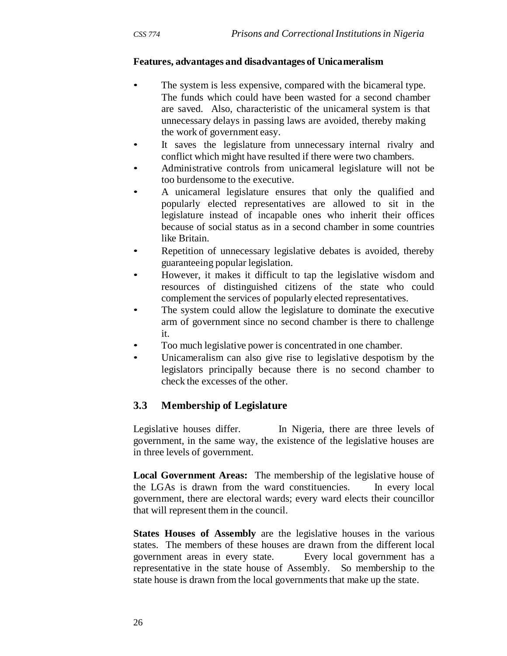#### **Features, advantages and disadvantages of Unica meralism**

- The system is less expensive, compared with the bicameral type. The funds which could have been wasted for a second chamber are saved. Also, characteristic of the unicameral system is that unnecessary delays in passing laws are avoided, thereby making the work of government easy.
- It saves the legislature from unnecessary internal rivalry and conflict which might have resulted if there were two chambers.
- Administrative controls from unicameral legislature will not be too burdensome to the executive.
- A unicameral legislature ensures that only the qualified and popularly elected representatives are allowed to sit in the legislature instead of incapable ones who inherit their offices because of social status as in a second chamber in some countries like Britain.
- Repetition of unnecessary legislative debates is avoided, thereby guaranteeing popular legislation.
- However, it makes it difficult to tap the legislative wisdom and resources of distinguished citizens of the state who could complement the services of popularly elected representatives.
- The system could allow the legislature to dominate the executive arm of government since no second chamber is there to challenge it.
- Too much legislative power is concentrated in one chamber.
- Unicameralism can also give rise to legislative despotism by the legislators principally because there is no second chamber to check the excesses of the other.

# **3.3 Membership of Legislature**

Legislative houses differ. In Nigeria, there are three levels of government, in the same way, the existence of the legislative houses are in three levels of government.

**Local Government Areas:** The membership of the legislative house of the LGAs is drawn from the ward constituencies. In every local government, there are electoral wards; every ward elects their councillor that will represent them in the council.

**States Houses of Assembly** are the legislative houses in the various states. The members of these houses are drawn from the different local government areas in every state. Every local government has a representative in the state house of Assembly. So membership to the state house is drawn from the local governments that make up the state.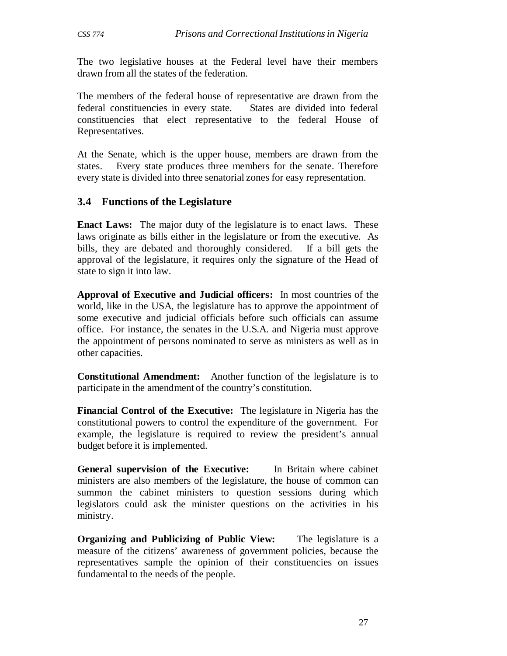The two legislative houses at the Federal level have their members drawn from all the states of the federation.

The members of the federal house of representative are drawn from the federal constituencies in every state. States are divided into federal constituencies that elect representative to the federal House of Representatives.

At the Senate, which is the upper house, members are drawn from the states. Every state produces three members for the senate. Therefore every state is divided into three senatorial zones for easy representation.

### **3.4 Functions of the Legislature**

**Enact Laws:** The major duty of the legislature is to enact laws. These laws originate as bills either in the legislature or from the executive. As bills, they are debated and thoroughly considered. If a bill gets the approval of the legislature, it requires only the signature of the Head of state to sign it into law.

**Approval of Executive and Judicial officers:** In most countries of the world, like in the USA, the legislature has to approve the appointment of some executive and judicial officials before such officials can assume office. For instance, the senates in the U.S.A. and Nigeria must approve the appointment of persons nominated to serve as ministers as well as in other capacities.

**Constitutional Amendment:** Another function of the legislature is to participate in the amendment of the country's constitution.

**Financial Control of the Executive:** The legislature in Nigeria has the constitutional powers to control the expenditure of the government. For example, the legislature is required to review the president's annual budget before it is implemented.

**General supervision of the Executive:** In Britain where cabinet ministers are also members of the legislature, the house of common can summon the cabinet ministers to question sessions during which legislators could ask the minister questions on the activities in his ministry.

**Organizing and Publicizing of Public View:** The legislature is a measure of the citizens' awareness of government policies, because the representatives sample the opinion of their constituencies on issues fundamental to the needs of the people.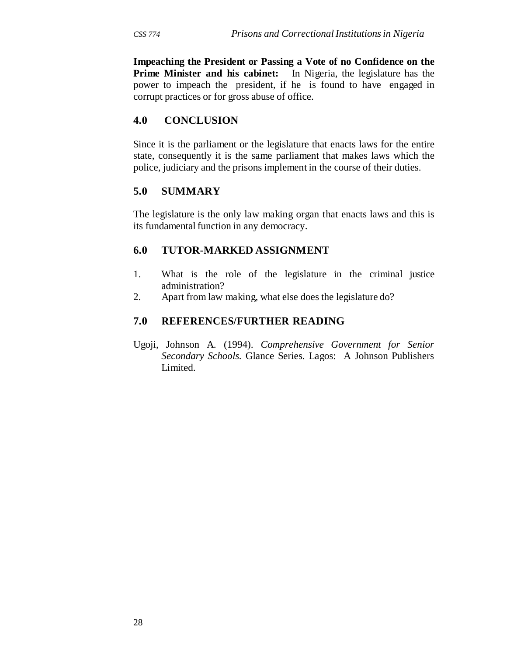**Impeaching the President or Passing a Vote of no Confidence on the Prime Minister and his cabinet:** In Nigeria, the legislature has the power to impeach the president, if he is found to have engaged in corrupt practices or for gross abuse of office.

### **4.0 CONCLUSION**

Since it is the parliament or the legislature that enacts laws for the entire state, consequently it is the same parliament that makes laws which the police, judiciary and the prisons implement in the course of their duties.

#### **5.0 SUMMARY**

The legislature is the only law making organ that enacts laws and this is its fundamental function in any democracy.

#### **6.0 TUTOR-MARKED ASSIGNMENT**

- 1. What is the role of the legislature in the criminal justice administration?
- 2. Apart from law making, what else does the legislature do?

#### **7.0 REFERENCES/FURTHER READING**

Ugoji, Johnson A. (1994). *Comprehensive Government for Senior Secondary Schools.* Glance Series*.* Lagos: A Johnson Publishers Limited.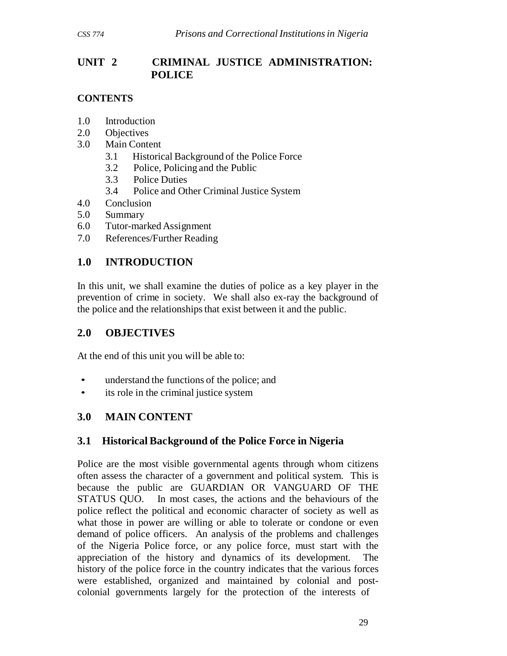# **UNIT 2 CRIMINAL JUSTICE ADMINISTRATION: POLICE**

## **CONTENTS**

- 1.0 Introduction
- 2.0 Objectives
- 3.0 Main Content
	- 3.1 Historical Background of the Police Force
	- 3.2 Police, Policing and the Public
	- 3.3 Police Duties
	- 3.4 Police and Other Criminal Justice System
- 4.0 Conclusion
- 5.0 Summary
- 6.0 Tutor-marked Assignment
- 7.0 References/Further Reading

# **1.0 INTRODUCTION**

In this unit, we shall examine the duties of police as a key player in the prevention of crime in society. We shall also ex-ray the background of the police and the relationships that exist between it and the public.

# **2.0 OBJECTIVES**

At the end of this unit you will be able to:

- understand the functions of the police; and
- its role in the criminal justice system

# **3.0 MAIN CONTENT**

# **3.1 Historical Background of the Police Force in Nigeria**

Police are the most visible governmental agents through whom citizens often assess the character of a government and political system. This is because the public are GUARDIAN OR VANGUARD OF THE STATUS QUO. In most cases, the actions and the behaviours of the police reflect the political and economic character of society as well as what those in power are willing or able to tolerate or condone or even demand of police officers. An analysis of the problems and challenges of the Nigeria Police force, or any police force, must start with the appreciation of the history and dynamics of its development. The history of the police force in the country indicates that the various forces were established, organized and maintained by colonial and postcolonial governments largely for the protection of the interests of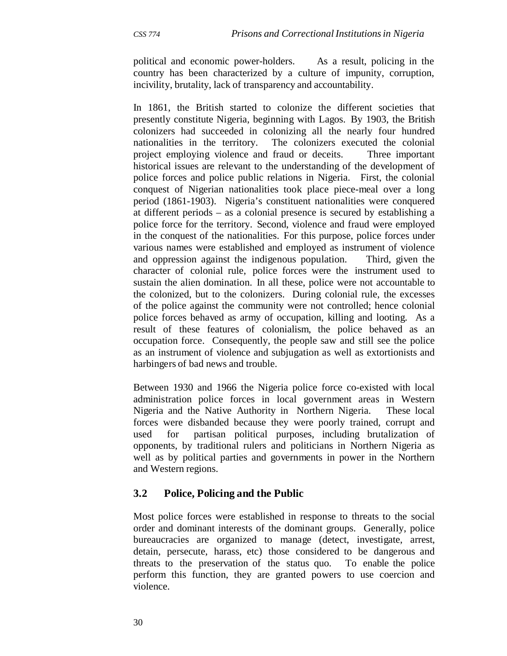political and economic power-holders. As a result, policing in the country has been characterized by a culture of impunity, corruption, incivility, brutality, lack of transparency and accountability.

In 1861, the British started to colonize the different societies that presently constitute Nigeria, beginning with Lagos. By 1903, the British colonizers had succeeded in colonizing all the nearly four hundred nationalities in the territory. The colonizers executed the colonial project employing violence and fraud or deceits. Three important historical issues are relevant to the understanding of the development of police forces and police public relations in Nigeria. First, the colonial conquest of Nigerian nationalities took place piece-meal over a long period (1861-1903). Nigeria's constituent nationalities were conquered at different periods – as a colonial presence is secured by establishing a police force for the territory. Second, violence and fraud were employed in the conquest of the nationalities. For this purpose, police forces under various names were established and employed as instrument of violence and oppression against the indigenous population. Third, given the character of colonial rule, police forces were the instrument used to sustain the alien domination. In all these, police were not accountable to the colonized, but to the colonizers. During colonial rule, the excesses of the police against the community were not controlled; hence colonial police forces behaved as army of occupation, killing and looting. As a result of these features of colonialism, the police behaved as an occupation force. Consequently, the people saw and still see the police as an instrument of violence and subjugation as well as extortionists and harbingers of bad news and trouble.

Between 1930 and 1966 the Nigeria police force co-existed with local administration police forces in local government areas in Western Nigeria and the Native Authority in Northern Nigeria. These local forces were disbanded because they were poorly trained, corrupt and used for partisan political purposes, including brutalization of opponents, by traditional rulers and politicians in Northern Nigeria as well as by political parties and governments in power in the Northern and Western regions.

### **3.2 Police, Policing and the Public**

Most police forces were established in response to threats to the social order and dominant interests of the dominant groups. Generally, police bureaucracies are organized to manage (detect, investigate, arrest, detain, persecute, harass, etc) those considered to be dangerous and threats to the preservation of the status quo. To enable the police perform this function, they are granted powers to use coercion and violence.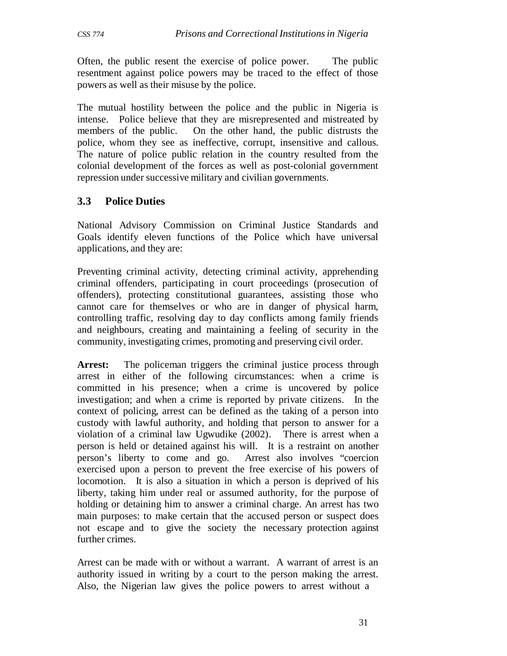Often, the public resent the exercise of police power. The public resentment against police powers may be traced to the effect of those powers as well as their misuse by the police.

The mutual hostility between the police and the public in Nigeria is intense. Police believe that they are misrepresented and mistreated by members of the public. On the other hand, the public distrusts the police, whom they see as ineffective, corrupt, insensitive and callous. The nature of police public relation in the country resulted from the colonial development of the forces as well as post-colonial government repression under successive military and civilian governments.

## **3.3 Police Duties**

National Advisory Commission on Criminal Justice Standards and Goals identify eleven functions of the Police which have universal applications, and they are:

Preventing criminal activity, detecting criminal activity, apprehending criminal offenders, participating in court proceedings (prosecution of offenders), protecting constitutional guarantees, assisting those who cannot care for themselves or who are in danger of physical harm, controlling traffic, resolving day to day conflicts among family friends and neighbours, creating and maintaining a feeling of security in the community, investigating crimes, promoting and preserving civil order.

Arrest: The policeman triggers the criminal justice process through arrest in either of the following circumstances: when a crime is committed in his presence; when a crime is uncovered by police investigation; and when a crime is reported by private citizens. In the context of policing, arrest can be defined as the taking of a person into custody with lawful authority, and holding that person to answer for a violation of a criminal law Ugwudike (2002). There is arrest when a person is held or detained against his will. It is a restraint on another person's liberty to come and go. Arrest also involves "coercion exercised upon a person to prevent the free exercise of his powers of locomotion. It is also a situation in which a person is deprived of his liberty, taking him under real or assumed authority, for the purpose of holding or detaining him to answer a criminal charge. An arrest has two main purposes: to make certain that the accused person or suspect does not escape and to give the society the necessary protection against further crimes.

Arrest can be made with or without a warrant. A warrant of arrest is an authority issued in writing by a court to the person making the arrest. Also, the Nigerian law gives the police powers to arrest without a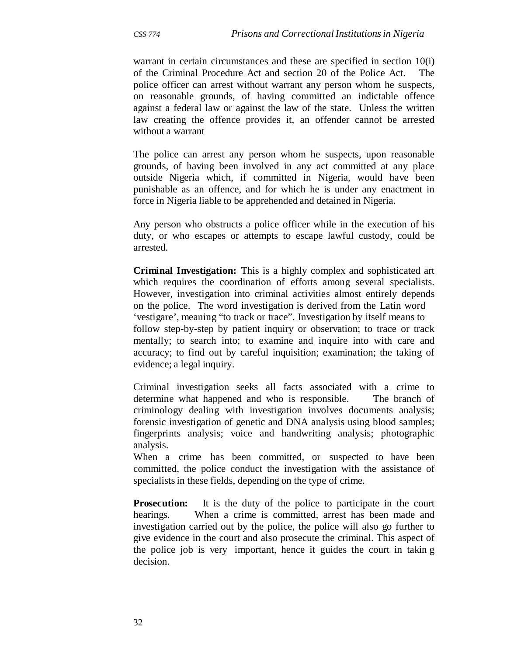warrant in certain circumstances and these are specified in section 10(i) of the Criminal Procedure Act and section 20 of the Police Act. The police officer can arrest without warrant any person whom he suspects, on reasonable grounds, of having committed an indictable offence against a federal law or against the law of the state. Unless the written law creating the offence provides it, an offender cannot be arrested without a warrant

The police can arrest any person whom he suspects, upon reasonable grounds, of having been involved in any act committed at any place outside Nigeria which, if committed in Nigeria, would have been punishable as an offence, and for which he is under any enactment in force in Nigeria liable to be apprehended and detained in Nigeria.

Any person who obstructs a police officer while in the execution of his duty, or who escapes or attempts to escape lawful custody, could be arrested.

**Criminal Investigation:** This is a highly complex and sophisticated art which requires the coordination of efforts among several specialists. However, investigation into criminal activities almost entirely depends on the police. The word investigation is derived from the Latin word 'vestigare', meaning "to track or trace". Investigation by itself means to follow step-by-step by patient inquiry or observation; to trace or track mentally; to search into; to examine and inquire into with care and accuracy; to find out by careful inquisition; examination; the taking of evidence; a legal inquiry.

Criminal investigation seeks all facts associated with a crime to determine what happened and who is responsible. The branch of criminology dealing with investigation involves documents analysis; forensic investigation of genetic and DNA analysis using blood samples; fingerprints analysis; voice and handwriting analysis; photographic analysis.

When a crime has been committed, or suspected to have been committed, the police conduct the investigation with the assistance of specialists in these fields, depending on the type of crime.

**Prosecution:** It is the duty of the police to participate in the court hearings. When a crime is committed, arrest has been made and investigation carried out by the police, the police will also go further to give evidence in the court and also prosecute the criminal. This aspect of the police job is very important, hence it guides the court in takin g decision.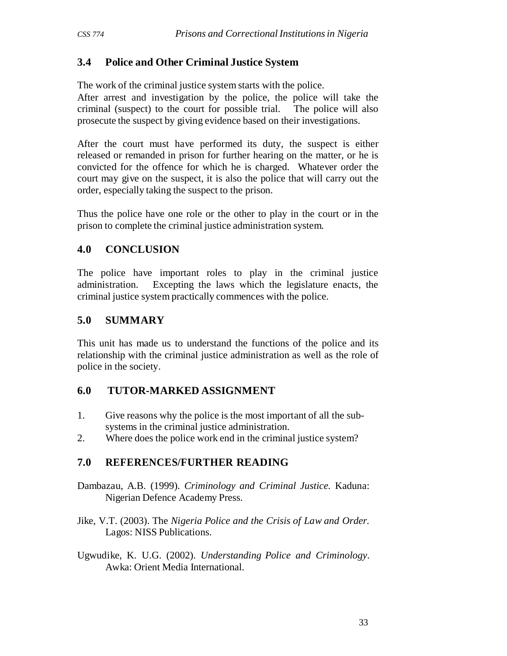# **3.4 Police and Other Criminal Justice System**

The work of the criminal justice system starts with the police.

After arrest and investigation by the police, the police will take the criminal (suspect) to the court for possible trial. The police will also prosecute the suspect by giving evidence based on their investigations.

After the court must have performed its duty, the suspect is either released or remanded in prison for further hearing on the matter, or he is convicted for the offence for which he is charged. Whatever order the court may give on the suspect, it is also the police that will carry out the order, especially taking the suspect to the prison.

Thus the police have one role or the other to play in the court or in the prison to complete the criminal justice administration system.

# **4.0 CONCLUSION**

The police have important roles to play in the criminal justice administration. Excepting the laws which the legislature enacts, the criminal justice system practically commences with the police.

# **5.0 SUMMARY**

This unit has made us to understand the functions of the police and its relationship with the criminal justice administration as well as the role of police in the society.

# **6.0 TUTOR-MARKED ASSIGNMENT**

- 1. Give reasons why the police is the most important of all the subsystems in the criminal justice administration.
- 2. Where does the police work end in the criminal justice system?

# **7.0 REFERENCES/FURTHER READING**

Dambazau, A.B. (1999). *Criminology and Criminal Justice.* Kaduna: Nigerian Defence Academy Press.

Jike, V.T. (2003). The *Nigeria Police and the Crisis of Law and Order.* Lagos: NISS Publications.

Ugwudike, K. U.G. (2002). *Understanding Police and Criminology*. Awka: Orient Media International.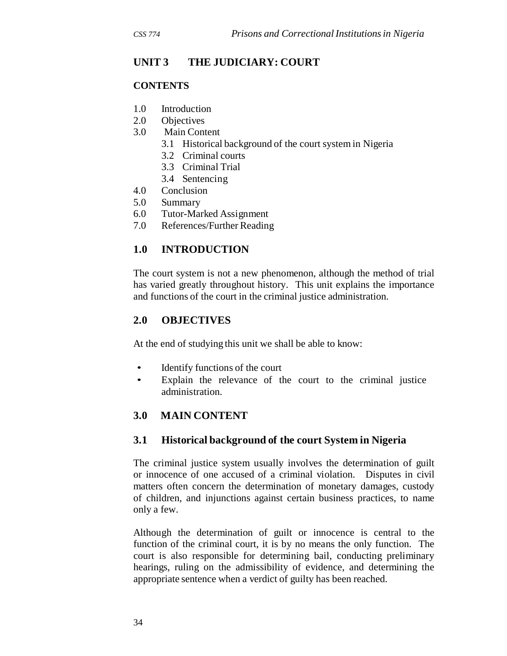# **UNIT 3 THE JUDICIARY: COURT**

#### **CONTENTS**

- 1.0 Introduction
- 2.0 Objectives
- 3.0 Main Content
	- 3.1 Historical background of the court system in Nigeria
	- 3.2 Criminal courts
	- 3.3 Criminal Trial
	- 3.4 Sentencing
- 4.0 Conclusion
- 5.0 Summary
- 6.0 Tutor-Marked Assignment
- 7.0 References/Further Reading

# **1.0 INTRODUCTION**

The court system is not a new phenomenon, although the method of trial has varied greatly throughout history. This unit explains the importance and functions of the court in the criminal justice administration.

### **2.0 OBJECTIVES**

At the end of studying this unit we shall be able to know:

- Identify functions of the court
- Explain the relevance of the court to the criminal justice administration.

# **3.0 MAIN CONTENT**

### **3.1 Historical background of the court System in Nigeria**

The criminal justice system usually involves the determination of guilt or innocence of one accused of a criminal violation. Disputes in civil matters often concern the determination of monetary damages, custody of children, and injunctions against certain business practices, to name only a few.

Although the determination of guilt or innocence is central to the function of the criminal court, it is by no means the only function. The court is also responsible for determining bail, conducting preliminary hearings, ruling on the admissibility of evidence, and determining the appropriate sentence when a verdict of guilty has been reached.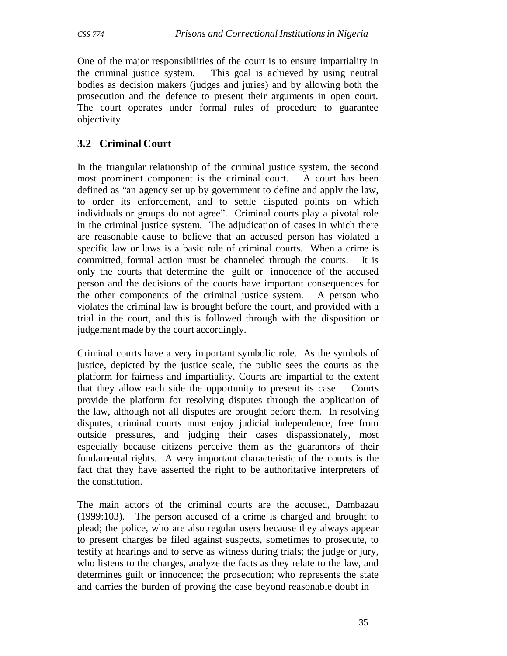One of the major responsibilities of the court is to ensure impartiality in the criminal justice system. This goal is achieved by using neutral bodies as decision makers (judges and juries) and by allowing both the prosecution and the defence to present their arguments in open court. The court operates under formal rules of procedure to guarantee objectivity.

# **3.2 Criminal Court**

In the triangular relationship of the criminal justice system, the second most prominent component is the criminal court. A court has been defined as "an agency set up by government to define and apply the law, to order its enforcement, and to settle disputed points on which individuals or groups do not agree". Criminal courts play a pivotal role in the criminal justice system. The adjudication of cases in which there are reasonable cause to believe that an accused person has violated a specific law or laws is a basic role of criminal courts. When a crime is committed, formal action must be channeled through the courts. It is only the courts that determine the guilt or innocence of the accused person and the decisions of the courts have important consequences for the other components of the criminal justice system. A person who violates the criminal law is brought before the court, and provided with a trial in the court, and this is followed through with the disposition or judgement made by the court accordingly.

Criminal courts have a very important symbolic role. As the symbols of justice, depicted by the justice scale, the public sees the courts as the platform for fairness and impartiality. Courts are impartial to the extent that they allow each side the opportunity to present its case. Courts provide the platform for resolving disputes through the application of the law, although not all disputes are brought before them. In resolving disputes, criminal courts must enjoy judicial independence, free from outside pressures, and judging their cases dispassionately, most especially because citizens perceive them as the guarantors of their fundamental rights. A very important characteristic of the courts is the fact that they have asserted the right to be authoritative interpreters of the constitution.

The main actors of the criminal courts are the accused, Dambazau (1999:103). The person accused of a crime is charged and brought to plead; the police, who are also regular users because they always appear to present charges be filed against suspects, sometimes to prosecute, to testify at hearings and to serve as witness during trials; the judge or jury, who listens to the charges, analyze the facts as they relate to the law, and determines guilt or innocence; the prosecution; who represents the state and carries the burden of proving the case beyond reasonable doubt in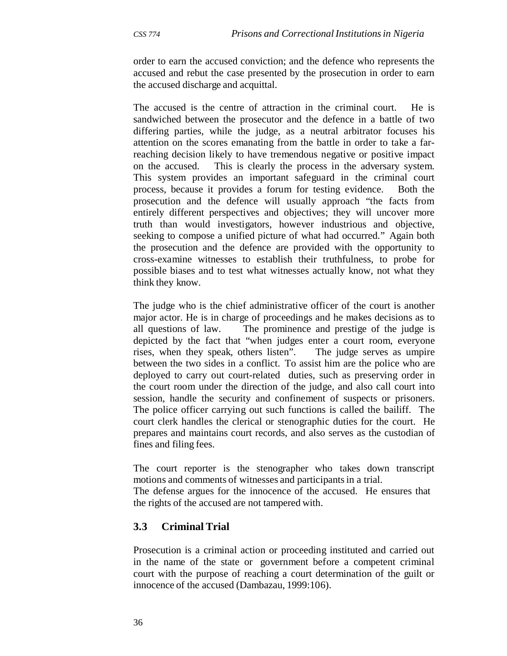order to earn the accused conviction; and the defence who represents the accused and rebut the case presented by the prosecution in order to earn the accused discharge and acquittal.

The accused is the centre of attraction in the criminal court. He is sandwiched between the prosecutor and the defence in a battle of two differing parties, while the judge, as a neutral arbitrator focuses his attention on the scores emanating from the battle in order to take a farreaching decision likely to have tremendous negative or positive impact on the accused. This is clearly the process in the adversary system. This system provides an important safeguard in the criminal court process, because it provides a forum for testing evidence. Both the prosecution and the defence will usually approach "the facts from entirely different perspectives and objectives; they will uncover more truth than would investigators, however industrious and objective, seeking to compose a unified picture of what had occurred." Again both the prosecution and the defence are provided with the opportunity to cross-examine witnesses to establish their truthfulness, to probe for possible biases and to test what witnesses actually know, not what they think they know.

The judge who is the chief administrative officer of the court is another major actor. He is in charge of proceedings and he makes decisions as to all questions of law. The prominence and prestige of the judge is depicted by the fact that "when judges enter a court room, everyone rises, when they speak, others listen". The judge serves as umpire between the two sides in a conflict. To assist him are the police who are deployed to carry out court-related duties, such as preserving order in the court room under the direction of the judge, and also call court into session, handle the security and confinement of suspects or prisoners. The police officer carrying out such functions is called the bailiff. The court clerk handles the clerical or stenographic duties for the court. He prepares and maintains court records, and also serves as the custodian of fines and filing fees.

The court reporter is the stenographer who takes down transcript motions and comments of witnesses and participants in a trial.

The defense argues for the innocence of the accused. He ensures that the rights of the accused are not tampered with.

### **3.3 Criminal Trial**

Prosecution is a criminal action or proceeding instituted and carried out in the name of the state or government before a competent criminal court with the purpose of reaching a court determination of the guilt or innocence of the accused (Dambazau, 1999:106).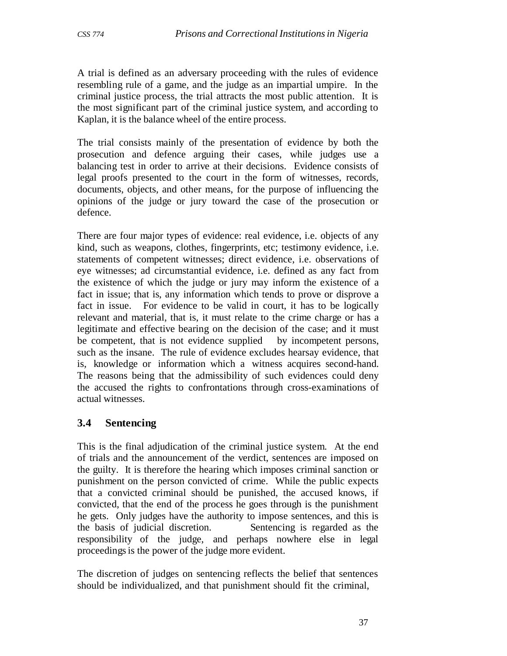A trial is defined as an adversary proceeding with the rules of evidence resembling rule of a game, and the judge as an impartial umpire. In the criminal justice process, the trial attracts the most public attention. It is the most significant part of the criminal justice system, and according to Kaplan, it is the balance wheel of the entire process.

The trial consists mainly of the presentation of evidence by both the prosecution and defence arguing their cases, while judges use a balancing test in order to arrive at their decisions. Evidence consists of legal proofs presented to the court in the form of witnesses, records, documents, objects, and other means, for the purpose of influencing the opinions of the judge or jury toward the case of the prosecution or defence.

There are four major types of evidence: real evidence, i.e. objects of any kind, such as weapons, clothes, fingerprints, etc; testimony evidence, i.e. statements of competent witnesses; direct evidence, i.e. observations of eye witnesses; ad circumstantial evidence, i.e. defined as any fact from the existence of which the judge or jury may inform the existence of a fact in issue; that is, any information which tends to prove or disprove a fact in issue. For evidence to be valid in court, it has to be logically relevant and material, that is, it must relate to the crime charge or has a legitimate and effective bearing on the decision of the case; and it must be competent, that is not evidence supplied by incompetent persons, such as the insane. The rule of evidence excludes hearsay evidence, that is, knowledge or information which a witness acquires second-hand. The reasons being that the admissibility of such evidences could deny the accused the rights to confrontations through cross-examinations of actual witnesses.

### **3.4 Sentencing**

This is the final adjudication of the criminal justice system. At the end of trials and the announcement of the verdict, sentences are imposed on the guilty. It is therefore the hearing which imposes criminal sanction or punishment on the person convicted of crime. While the public expects that a convicted criminal should be punished, the accused knows, if convicted, that the end of the process he goes through is the punishment he gets. Only judges have the authority to impose sentences, and this is the basis of judicial discretion. Sentencing is regarded as the responsibility of the judge, and perhaps nowhere else in legal proceedings is the power of the judge more evident.

The discretion of judges on sentencing reflects the belief that sentences should be individualized, and that punishment should fit the criminal,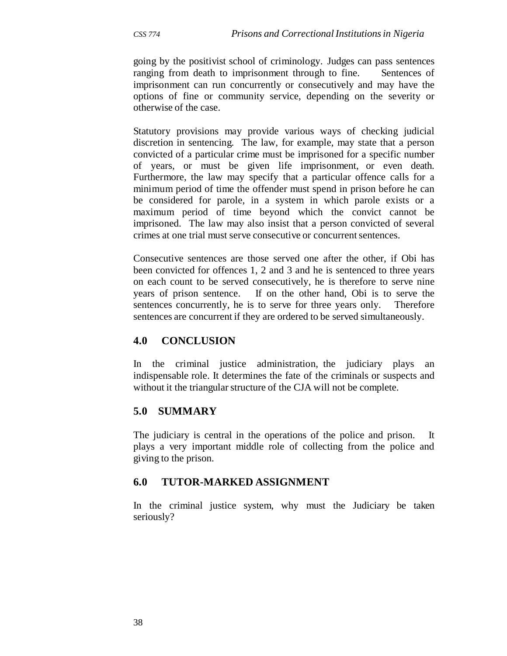going by the positivist school of criminology. Judges can pass sentences ranging from death to imprisonment through to fine. Sentences of imprisonment can run concurrently or consecutively and may have the options of fine or community service, depending on the severity or otherwise of the case.

Statutory provisions may provide various ways of checking judicial discretion in sentencing. The law, for example, may state that a person convicted of a particular crime must be imprisoned for a specific number of years, or must be given life imprisonment, or even death. Furthermore, the law may specify that a particular offence calls for a minimum period of time the offender must spend in prison before he can be considered for parole, in a system in which parole exists or a maximum period of time beyond which the convict cannot be imprisoned. The law may also insist that a person convicted of several crimes at one trial must serve consecutive or concurrent sentences.

Consecutive sentences are those served one after the other, if Obi has been convicted for offences 1, 2 and 3 and he is sentenced to three years on each count to be served consecutively, he is therefore to serve nine years of prison sentence. If on the other hand, Obi is to serve the sentences concurrently, he is to serve for three years only. Therefore sentences are concurrent if they are ordered to be served simultaneously.

### **4.0 CONCLUSION**

In the criminal justice administration, the judiciary plays an indispensable role. It determines the fate of the criminals or suspects and without it the triangular structure of the CJA will not be complete.

### **5.0 SUMMARY**

The judiciary is central in the operations of the police and prison. It plays a very important middle role of collecting from the police and giving to the prison.

### **6.0 TUTOR-MARKED ASSIGNMENT**

In the criminal justice system, why must the Judiciary be taken seriously?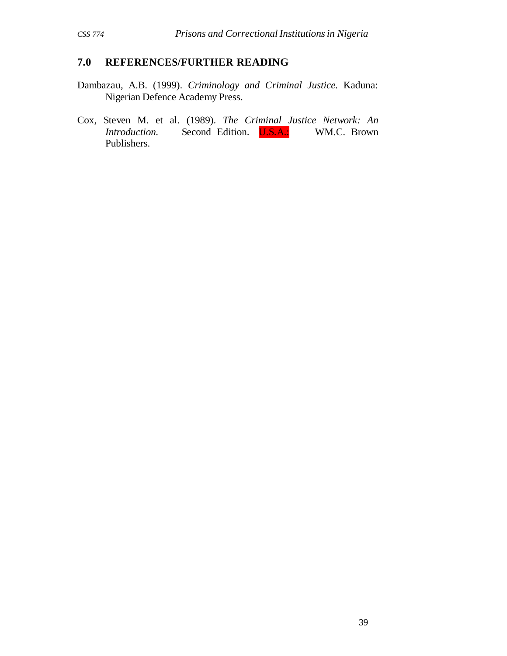## **7.0 REFERENCES/FURTHER READING**

- Dambazau, A.B. (1999). *Criminology and Criminal Justice.* Kaduna: Nigerian Defence Academy Press.
- Cox, Steven M. et al. (1989). *The Criminal Justice Network: An Introduction.* Second Edition. **U.S.A.:** WM.C. Brown Publishers.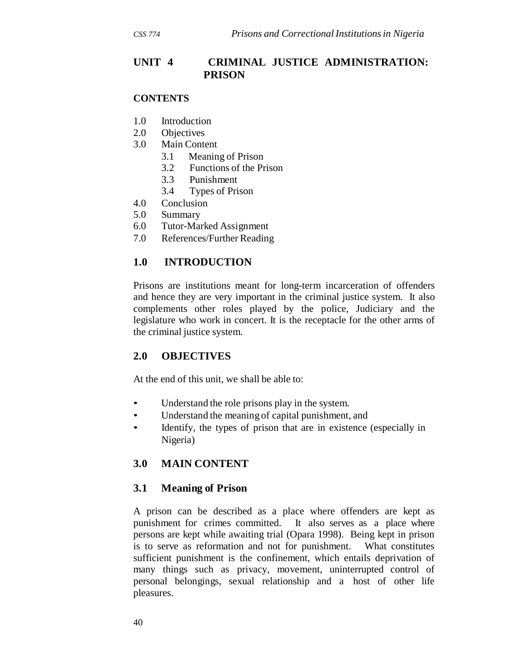### **UNIT 4 CRIMINAL JUSTICE ADMINISTRATION: PRISON**

#### **CONTENTS**

- 1.0 Introduction
- 2.0 Objectives
- 3.0 Main Content
	- 3.1 Meaning of Prison
	- 3.2 Functions of the Prison
	- 3.3 Punishment
	- 3.4 Types of Prison
- 4.0 Conclusion
- 5.0 Summary
- 6.0 Tutor-Marked Assignment
- 7.0 References/Further Reading

#### **1.0 INTRODUCTION**

Prisons are institutions meant for long-term incarceration of offenders and hence they are very important in the criminal justice system. It also complements other roles played by the police, Judiciary and the legislature who work in concert. It is the receptacle for the other arms of the criminal justice system.

### **2.0 OBJECTIVES**

At the end of this unit, we shall be able to:

- Understand the role prisons play in the system.
- Understand the meaning of capital punishment, and
- Identify, the types of prison that are in existence (especially in Nigeria)

### **3.0 MAIN CONTENT**

#### **3.1 Meaning of Prison**

A prison can be described as a place where offenders are kept as punishment for crimes committed. It also serves as a place where persons are kept while awaiting trial (Opara 1998). Being kept in prison is to serve as reformation and not for punishment. What constitutes sufficient punishment is the confinement, which entails deprivation of many things such as privacy, movement, uninterrupted control of personal belongings, sexual relationship and a host of other life pleasures.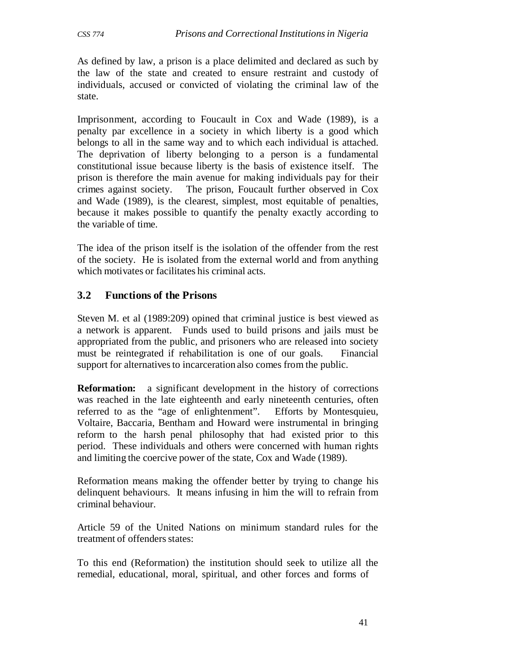As defined by law, a prison is a place delimited and declared as such by the law of the state and created to ensure restraint and custody of individuals, accused or convicted of violating the criminal law of the state.

Imprisonment, according to Foucault in Cox and Wade (1989), is a penalty par excellence in a society in which liberty is a good which belongs to all in the same way and to which each individual is attached. The deprivation of liberty belonging to a person is a fundamental constitutional issue because liberty is the basis of existence itself. The prison is therefore the main avenue for making individuals pay for their crimes against society. The prison, Foucault further observed in Cox and Wade (1989), is the clearest, simplest, most equitable of penalties, because it makes possible to quantify the penalty exactly according to the variable of time.

The idea of the prison itself is the isolation of the offender from the rest of the society. He is isolated from the external world and from anything which motivates or facilitates his criminal acts.

## **3.2 Functions of the Prisons**

Steven M. et al (1989:209) opined that criminal justice is best viewed as a network is apparent. Funds used to build prisons and jails must be appropriated from the public, and prisoners who are released into society must be reintegrated if rehabilitation is one of our goals. Financial support for alternatives to incarceration also comes from the public.

**Reformation:** a significant development in the history of corrections was reached in the late eighteenth and early nineteenth centuries, often referred to as the "age of enlightenment". Efforts by Montesquieu, Voltaire, Baccaria, Bentham and Howard were instrumental in bringing reform to the harsh penal philosophy that had existed prior to this period. These individuals and others were concerned with human rights and limiting the coercive power of the state, Cox and Wade (1989).

Reformation means making the offender better by trying to change his delinquent behaviours. It means infusing in him the will to refrain from criminal behaviour.

Article 59 of the United Nations on minimum standard rules for the treatment of offenders states:

To this end (Reformation) the institution should seek to utilize all the remedial, educational, moral, spiritual, and other forces and forms of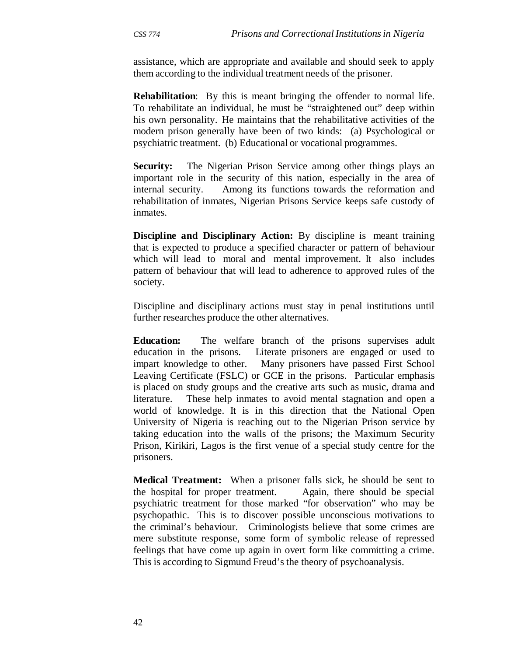assistance, which are appropriate and available and should seek to apply them according to the individual treatment needs of the prisoner*.*

**Rehabilitation**: By this is meant bringing the offender to normal life. To rehabilitate an individual, he must be "straightened out" deep within his own personality. He maintains that the rehabilitative activities of the modern prison generally have been of two kinds: (a) Psychological or psychiatric treatment. (b) Educational or vocational programmes.

**Security:** The Nigerian Prison Service among other things plays an important role in the security of this nation, especially in the area of internal security. Among its functions towards the reformation and rehabilitation of inmates, Nigerian Prisons Service keeps safe custody of inmates.

**Discipline and Disciplinary Action:** By discipline is meant training that is expected to produce a specified character or pattern of behaviour which will lead to moral and mental improvement. It also includes pattern of behaviour that will lead to adherence to approved rules of the society.

Discipline and disciplinary actions must stay in penal institutions until further researches produce the other alternatives.

**Education:** The welfare branch of the prisons supervises adult education in the prisons. Literate prisoners are engaged or used to impart knowledge to other. Many prisoners have passed First School Leaving Certificate (FSLC) or GCE in the prisons. Particular emphasis is placed on study groups and the creative arts such as music, drama and literature. These help inmates to avoid mental stagnation and open a world of knowledge. It is in this direction that the National Open University of Nigeria is reaching out to the Nigerian Prison service by taking education into the walls of the prisons; the Maximum Security Prison, Kirikiri, Lagos is the first venue of a special study centre for the prisoners.

**Medical Treatment:** When a prisoner falls sick, he should be sent to the hospital for proper treatment. Again, there should be special psychiatric treatment for those marked "for observation" who may be psychopathic. This is to discover possible unconscious motivations to the criminal's behaviour. Criminologists believe that some crimes are mere substitute response, some form of symbolic release of repressed feelings that have come up again in overt form like committing a crime. This is according to Sigmund Freud's the theory of psychoanalysis.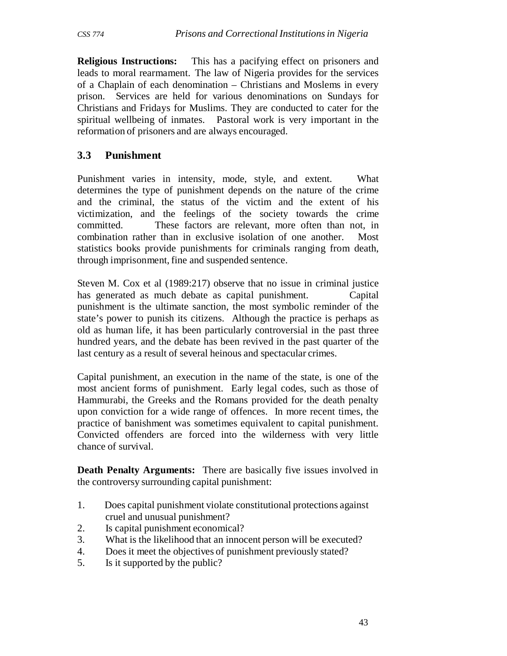**Religious Instructions:** This has a pacifying effect on prisoners and leads to moral rearmament. The law of Nigeria provides for the services of a Chaplain of each denomination – Christians and Moslems in every prison. Services are held for various denominations on Sundays for Christians and Fridays for Muslims. They are conducted to cater for the spiritual wellbeing of inmates. Pastoral work is very important in the reformation of prisoners and are always encouraged.

### **3.3 Punishment**

Punishment varies in intensity, mode, style, and extent. What determines the type of punishment depends on the nature of the crime and the criminal, the status of the victim and the extent of his victimization, and the feelings of the society towards the crime committed. These factors are relevant, more often than not, in combination rather than in exclusive isolation of one another. Most statistics books provide punishments for criminals ranging from death, through imprisonment, fine and suspended sentence.

Steven M. Cox et al (1989:217) observe that no issue in criminal justice has generated as much debate as capital punishment. Capital punishment is the ultimate sanction, the most symbolic reminder of the state's power to punish its citizens. Although the practice is perhaps as old as human life, it has been particularly controversial in the past three hundred years, and the debate has been revived in the past quarter of the last century as a result of several heinous and spectacular crimes.

Capital punishment, an execution in the name of the state, is one of the most ancient forms of punishment. Early legal codes, such as those of Hammurabi, the Greeks and the Romans provided for the death penalty upon conviction for a wide range of offences. In more recent times, the practice of banishment was sometimes equivalent to capital punishment. Convicted offenders are forced into the wilderness with very little chance of survival.

**Death Penalty Arguments:** There are basically five issues involved in the controversy surrounding capital punishment:

- 1. Does capital punishment violate constitutional protections against cruel and unusual punishment?
- 2. Is capital punishment economical?
- 3. What is the likelihood that an innocent person will be executed?
- 4. Does it meet the objectives of punishment previously stated?
- 5. Is it supported by the public?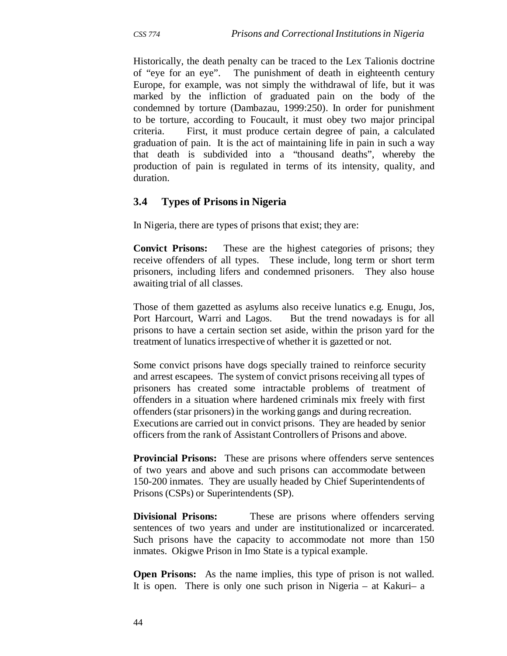Historically, the death penalty can be traced to the Lex Talionis doctrine of "eye for an eye". The punishment of death in eighteenth century Europe, for example, was not simply the withdrawal of life, but it was marked by the infliction of graduated pain on the body of the condemned by torture (Dambazau, 1999:250). In order for punishment to be torture, according to Foucault, it must obey two major principal criteria. First, it must produce certain degree of pain, a calculated graduation of pain. It is the act of maintaining life in pain in such a way that death is subdivided into a "thousand deaths", whereby the production of pain is regulated in terms of its intensity, quality, and duration.

### **3.4 Types of Prisons in Nigeria**

In Nigeria, there are types of prisons that exist; they are:

**Convict Prisons:** These are the highest categories of prisons; they receive offenders of all types. These include, long term or short term prisoners, including lifers and condemned prisoners. They also house awaiting trial of all classes.

Those of them gazetted as asylums also receive lunatics e.g. Enugu, Jos, Port Harcourt, Warri and Lagos. But the trend nowadays is for all prisons to have a certain section set aside, within the prison yard for the treatment of lunatics irrespective of whether it is gazetted or not.

Some convict prisons have dogs specially trained to reinforce security and arrest escapees. The system of convict prisons receiving all types of prisoners has created some intractable problems of treatment of offenders in a situation where hardened criminals mix freely with first offenders (star prisoners) in the working gangs and during recreation. Executions are carried out in convict prisons. They are headed by senior officers from the rank of Assistant Controllers of Prisons and above.

**Provincial Prisons:** These are prisons where offenders serve sentences of two years and above and such prisons can accommodate between 150-200 inmates. They are usually headed by Chief Superintendents of Prisons (CSPs) or Superintendents (SP).

**Divisional Prisons:** These are prisons where offenders serving sentences of two years and under are institutionalized or incarcerated. Such prisons have the capacity to accommodate not more than 150 inmates. Okigwe Prison in Imo State is a typical example.

**Open Prisons:** As the name implies, this type of prison is not walled. It is open. There is only one such prison in Nigeria – at Kakuri– a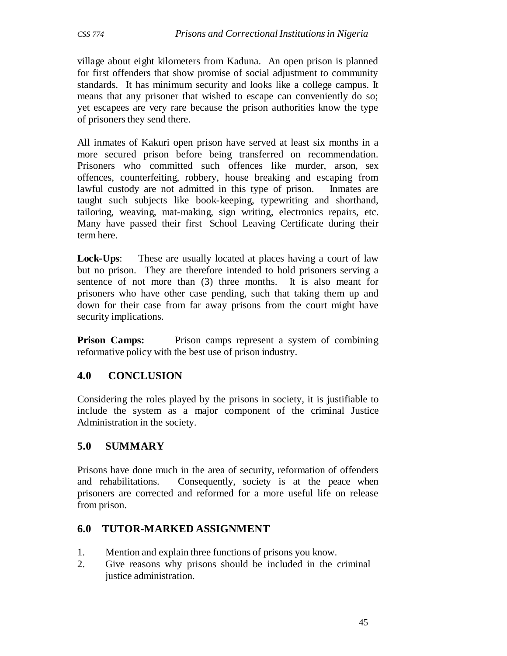village about eight kilometers from Kaduna. An open prison is planned for first offenders that show promise of social adjustment to community standards. It has minimum security and looks like a college campus. It means that any prisoner that wished to escape can conveniently do so; yet escapees are very rare because the prison authorities know the type of prisoners they send there.

All inmates of Kakuri open prison have served at least six months in a more secured prison before being transferred on recommendation. Prisoners who committed such offences like murder, arson, sex offences, counterfeiting, robbery, house breaking and escaping from lawful custody are not admitted in this type of prison. Inmates are taught such subjects like book-keeping, typewriting and shorthand, tailoring, weaving, mat-making, sign writing, electronics repairs, etc. Many have passed their first School Leaving Certificate during their term here.

**Lock-Ups**: These are usually located at places having a court of law but no prison. They are therefore intended to hold prisoners serving a sentence of not more than (3) three months. It is also meant for prisoners who have other case pending, such that taking them up and down for their case from far away prisons from the court might have security implications.

**Prison Camps:** Prison camps represent a system of combining reformative policy with the best use of prison industry.

# **4.0 CONCLUSION**

Considering the roles played by the prisons in society, it is justifiable to include the system as a major component of the criminal Justice Administration in the society.

### **5.0 SUMMARY**

Prisons have done much in the area of security, reformation of offenders and rehabilitations. Consequently, society is at the peace when prisoners are corrected and reformed for a more useful life on release from prison.

### **6.0 TUTOR-MARKED ASSIGNMENT**

- 1. Mention and explain three functions of prisons you know.
- 2. Give reasons why prisons should be included in the criminal justice administration.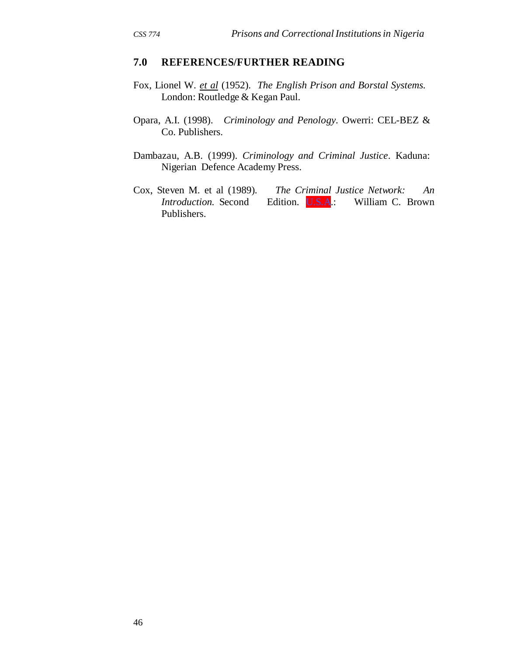#### **7.0 REFERENCES/FURTHER READING**

- Fox, Lionel W. *et al* (1952). *The English Prison and Borstal Systems.* London: Routledge & Kegan Paul.
- Opara, A.I. (1998). *Criminology and Penology.* Owerri: CEL-BEZ & Co. Publishers.
- Dambazau, A.B. (1999). *Criminology and Criminal Justice*. Kaduna: Nigerian Defence Academy Press.
- Cox, Steven M. et al (1989)*. The Criminal Justice Network: An Introduction.* Second Edition. **U.S.A.:** William C. Brown Publishers.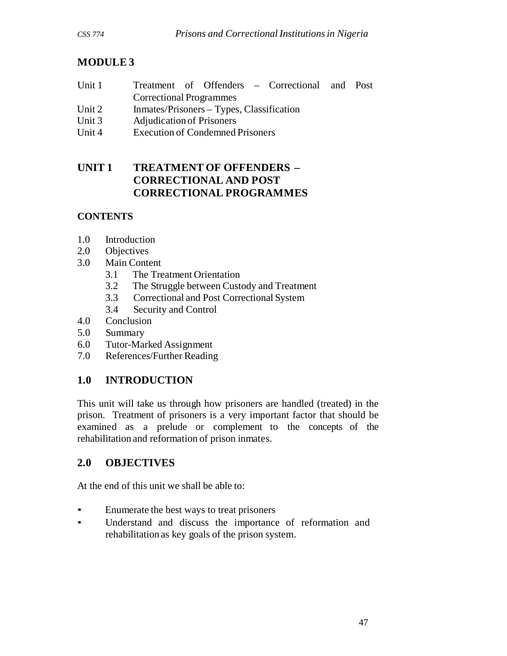# **MODULE 3**

| Unit 1 |                                |  |  |  | Treatment of Offenders – Correctional and Post |  |  |
|--------|--------------------------------|--|--|--|------------------------------------------------|--|--|
|        | <b>Correctional Programmes</b> |  |  |  |                                                |  |  |
|        |                                |  |  |  |                                                |  |  |

- Unit 2 Inmates/Prisoners Types, Classification
- Unit 3 Adjudication of Prisoners
- Unit 4 Execution of Condemned Prisoners

# **UNIT 1 TREATMENT OF OFFENDERS – CORRECTIONAL AND POST CORRECTIONAL PROGRAMMES**

# **CONTENTS**

- 1.0 Introduction
- 2.0 Objectives
- 3.0 Main Content
	- 3.1 The Treatment Orientation
	- 3.2 The Struggle between Custody and Treatment
	- 3.3 Correctional and Post Correctional System
	- 3.4 Security and Control
- 4.0 Conclusion
- 5.0 Summary
- 6.0 Tutor-Marked Assignment
- 7.0 References/Further Reading

# **1.0 INTRODUCTION**

This unit will take us through how prisoners are handled (treated) in the prison. Treatment of prisoners is a very important factor that should be examined as a prelude or complement to the concepts of the rehabilitation and reformation of prison inmates.

# **2.0 OBJECTIVES**

At the end of this unit we shall be able to:

- Enumerate the best ways to treat prisoners
- Understand and discuss the importance of reformation and rehabilitation as key goals of the prison system.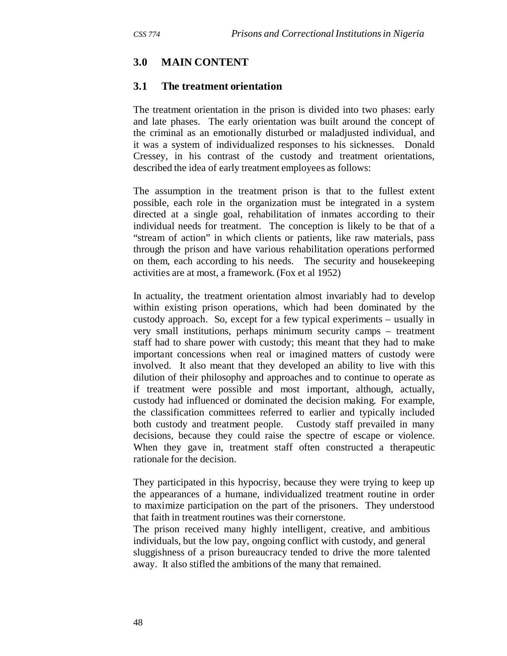### **3.0 MAIN CONTENT**

#### **3.1 The treatment orientation**

The treatment orientation in the prison is divided into two phases: early and late phases. The early orientation was built around the concept of the criminal as an emotionally disturbed or maladjusted individual, and it was a system of individualized responses to his sicknesses. Donald Cressey, in his contrast of the custody and treatment orientations, described the idea of early treatment employees as follows:

The assumption in the treatment prison is that to the fullest extent possible, each role in the organization must be integrated in a system directed at a single goal, rehabilitation of inmates according to their individual needs for treatment. The conception is likely to be that of a "stream of action" in which clients or patients, like raw materials, pass through the prison and have various rehabilitation operations performed on them, each according to his needs. The security and housekeeping activities are at most, a framework. (Fox et al 1952)

In actuality, the treatment orientation almost invariably had to develop within existing prison operations, which had been dominated by the custody approach. So, except for a few typical experiments – usually in very small institutions, perhaps minimum security camps – treatment staff had to share power with custody; this meant that they had to make important concessions when real or imagined matters of custody were involved. It also meant that they developed an ability to live with this dilution of their philosophy and approaches and to continue to operate as if treatment were possible and most important, although, actually, custody had influenced or dominated the decision making. For example, the classification committees referred to earlier and typically included both custody and treatment people. Custody staff prevailed in many decisions, because they could raise the spectre of escape or violence. When they gave in, treatment staff often constructed a therapeutic rationale for the decision.

They participated in this hypocrisy, because they were trying to keep up the appearances of a humane, individualized treatment routine in order to maximize participation on the part of the prisoners. They understood that faith in treatment routines was their cornerstone.

The prison received many highly intelligent, creative, and ambitious individuals, but the low pay, ongoing conflict with custody, and general sluggishness of a prison bureaucracy tended to drive the more talented away. It also stifled the ambitions of the many that remained.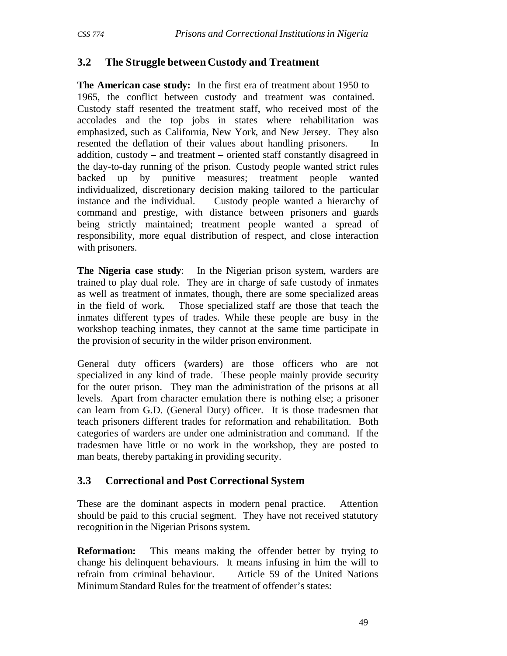### **3.2 The Struggle between Custody and Treatment**

**The American case study:** In the first era of treatment about 1950 to 1965, the conflict between custody and treatment was contained. Custody staff resented the treatment staff, who received most of the accolades and the top jobs in states where rehabilitation was emphasized, such as California, New York, and New Jersey. They also resented the deflation of their values about handling prisoners. In addition, custody – and treatment – oriented staff constantly disagreed in the day-to-day running of the prison. Custody people wanted strict rules backed up by punitive measures; treatment people wanted individualized, discretionary decision making tailored to the particular instance and the individual. Custody people wanted a hierarchy of command and prestige, with distance between prisoners and guards being strictly maintained; treatment people wanted a spread of responsibility, more equal distribution of respect, and close interaction with prisoners.

**The Nigeria case study:** In the Nigerian prison system, warders are trained to play dual role. They are in charge of safe custody of inmates as well as treatment of inmates, though, there are some specialized areas in the field of work. Those specialized staff are those that teach the inmates different types of trades. While these people are busy in the workshop teaching inmates, they cannot at the same time participate in the provision of security in the wilder prison environment.

General duty officers (warders) are those officers who are not specialized in any kind of trade. These people mainly provide security for the outer prison. They man the administration of the prisons at all levels. Apart from character emulation there is nothing else; a prisoner can learn from G.D. (General Duty) officer. It is those tradesmen that teach prisoners different trades for reformation and rehabilitation. Both categories of warders are under one administration and command. If the tradesmen have little or no work in the workshop, they are posted to man beats, thereby partaking in providing security.

### **3.3 Correctional and Post Correctional System**

These are the dominant aspects in modern penal practice. Attention should be paid to this crucial segment. They have not received statutory recognition in the Nigerian Prisons system.

**Reformation:** This means making the offender better by trying to change his delinquent behaviours. It means infusing in him the will to refrain from criminal behaviour. Article 59 of the United Nations Minimum Standard Rules for the treatment of offender's states: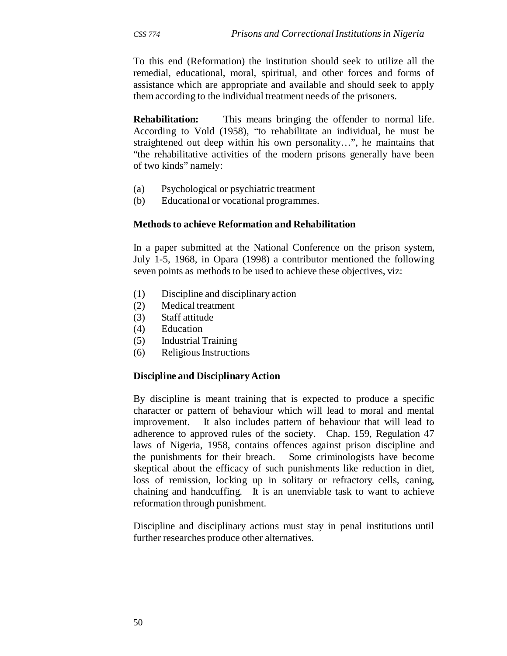To this end (Reformation) the institution should seek to utilize all the remedial, educational, moral, spiritual, and other forces and forms of assistance which are appropriate and available and should seek to apply them according to the individual treatment needs of the prisoners.

**Rehabilitation:** This means bringing the offender to normal life. According to Vold (1958), "to rehabilitate an individual, he must be straightened out deep within his own personality…", he maintains that "the rehabilitative activities of the modern prisons generally have been of two kinds" namely:

- (a) Psychological or psychiatric treatment
- (b) Educational or vocational programmes.

#### **Methods to achieve Reformation and Rehabilitation**

In a paper submitted at the National Conference on the prison system, July 1-5, 1968, in Opara (1998) a contributor mentioned the following seven points as methods to be used to achieve these objectives, viz:

- (1) Discipline and disciplinary action
- (2) Medical treatment
- (3) Staff attitude
- (4) Education
- (5) Industrial Training
- (6) Religious Instructions

#### **Discipline and Disciplinary Action**

By discipline is meant training that is expected to produce a specific character or pattern of behaviour which will lead to moral and mental improvement. It also includes pattern of behaviour that will lead to adherence to approved rules of the society. Chap. 159, Regulation 47 laws of Nigeria, 1958, contains offences against prison discipline and the punishments for their breach. Some criminologists have become skeptical about the efficacy of such punishments like reduction in diet, loss of remission, locking up in solitary or refractory cells, caning, chaining and handcuffing. It is an unenviable task to want to achieve reformation through punishment.

Discipline and disciplinary actions must stay in penal institutions until further researches produce other alternatives.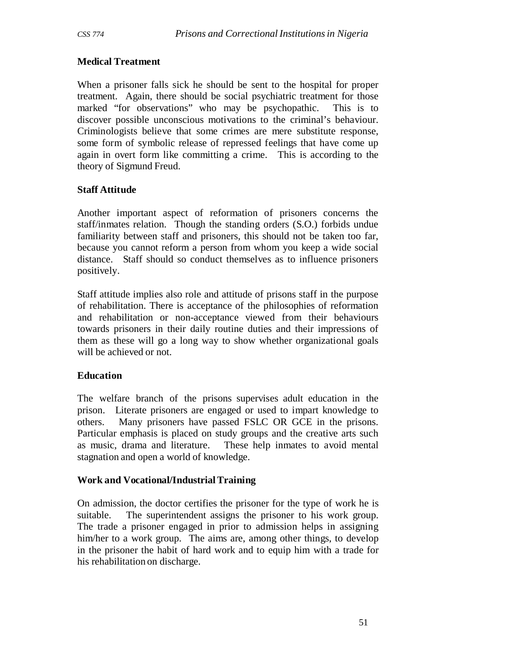#### **Medical Treatment**

When a prisoner falls sick he should be sent to the hospital for proper treatment. Again, there should be social psychiatric treatment for those marked "for observations" who may be psychopathic. This is to discover possible unconscious motivations to the criminal's behaviour. Criminologists believe that some crimes are mere substitute response, some form of symbolic release of repressed feelings that have come up again in overt form like committing a crime. This is according to the theory of Sigmund Freud.

#### **Staff Attitude**

Another important aspect of reformation of prisoners concerns the staff/inmates relation. Though the standing orders (S.O.) forbids undue familiarity between staff and prisoners, this should not be taken too far, because you cannot reform a person from whom you keep a wide social distance. Staff should so conduct themselves as to influence prisoners positively.

Staff attitude implies also role and attitude of prisons staff in the purpose of rehabilitation. There is acceptance of the philosophies of reformation and rehabilitation or non-acceptance viewed from their behaviours towards prisoners in their daily routine duties and their impressions of them as these will go a long way to show whether organizational goals will be achieved or not.

#### **Education**

The welfare branch of the prisons supervises adult education in the prison. Literate prisoners are engaged or used to impart knowledge to others. Many prisoners have passed FSLC OR GCE in the prisons. Particular emphasis is placed on study groups and the creative arts such as music, drama and literature. These help inmates to avoid mental stagnation and open a world of knowledge.

#### **Work and Vocational/Industrial Training**

On admission, the doctor certifies the prisoner for the type of work he is suitable. The superintendent assigns the prisoner to his work group. The trade a prisoner engaged in prior to admission helps in assigning him/her to a work group. The aims are, among other things, to develop in the prisoner the habit of hard work and to equip him with a trade for his rehabilitation on discharge.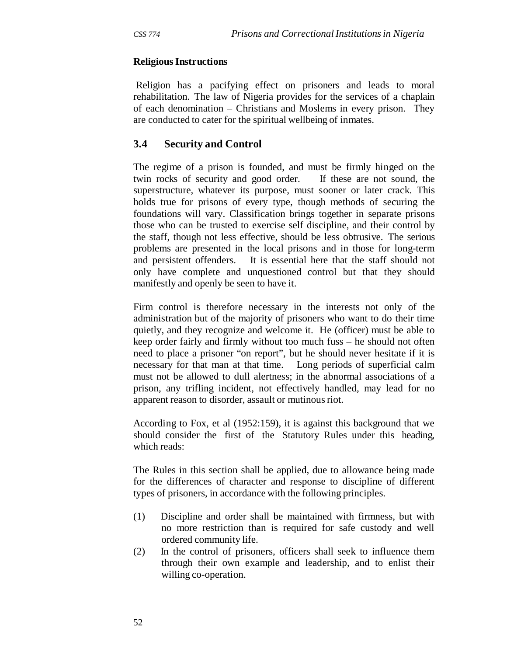#### **Religious Instructions**

Religion has a pacifying effect on prisoners and leads to moral rehabilitation. The law of Nigeria provides for the services of a chaplain of each denomination – Christians and Moslems in every prison. They are conducted to cater for the spiritual wellbeing of inmates.

### **3.4 Security and Control**

The regime of a prison is founded, and must be firmly hinged on the twin rocks of security and good order. If these are not sound, the superstructure, whatever its purpose, must sooner or later crack. This holds true for prisons of every type, though methods of securing the foundations will vary. Classification brings together in separate prisons those who can be trusted to exercise self discipline, and their control by the staff, though not less effective, should be less obtrusive. The serious problems are presented in the local prisons and in those for long-term and persistent offenders. It is essential here that the staff should not only have complete and unquestioned control but that they should manifestly and openly be seen to have it.

Firm control is therefore necessary in the interests not only of the administration but of the majority of prisoners who want to do their time quietly, and they recognize and welcome it. He (officer) must be able to keep order fairly and firmly without too much fuss – he should not often need to place a prisoner "on report", but he should never hesitate if it is necessary for that man at that time. Long periods of superficial calm must not be allowed to dull alertness; in the abnormal associations of a prison, any trifling incident, not effectively handled, may lead for no apparent reason to disorder, assault or mutinous riot.

According to Fox, et al (1952:159), it is against this background that we should consider the first of the Statutory Rules under this heading, which reads:

The Rules in this section shall be applied, due to allowance being made for the differences of character and response to discipline of different types of prisoners, in accordance with the following principles.

- (1) Discipline and order shall be maintained with firmness, but with no more restriction than is required for safe custody and well ordered community life.
- (2) In the control of prisoners, officers shall seek to influence them through their own example and leadership, and to enlist their willing co-operation.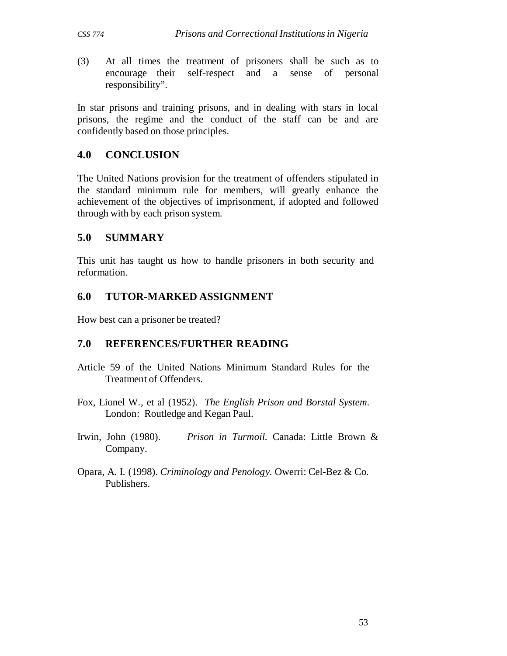(3) At all times the treatment of prisoners shall be such as to encourage their self-respect and a sense of personal responsibility".

In star prisons and training prisons, and in dealing with stars in local prisons, the regime and the conduct of the staff can be and are confidently based on those principles.

#### **4.0 CONCLUSION**

The United Nations provision for the treatment of offenders stipulated in the standard minimum rule for members, will greatly enhance the achievement of the objectives of imprisonment, if adopted and followed through with by each prison system.

### **5.0 SUMMARY**

This unit has taught us how to handle prisoners in both security and reformation.

### **6.0 TUTOR-MARKED ASSIGNMENT**

How best can a prisoner be treated?

### **7.0 REFERENCES/FURTHER READING**

- Article 59 of the United Nations Minimum Standard Rules for the Treatment of Offenders.
- Fox, Lionel W., et al (1952). *The English Prison and Borstal System*. London: Routledge and Kegan Paul.
- Irwin, John (1980). *Prison in Turmoil.* Canada: Little Brown & Company.
- Opara, A. I. (1998). *Criminology and Penology.* Owerri: Cel-Bez & Co. Publishers.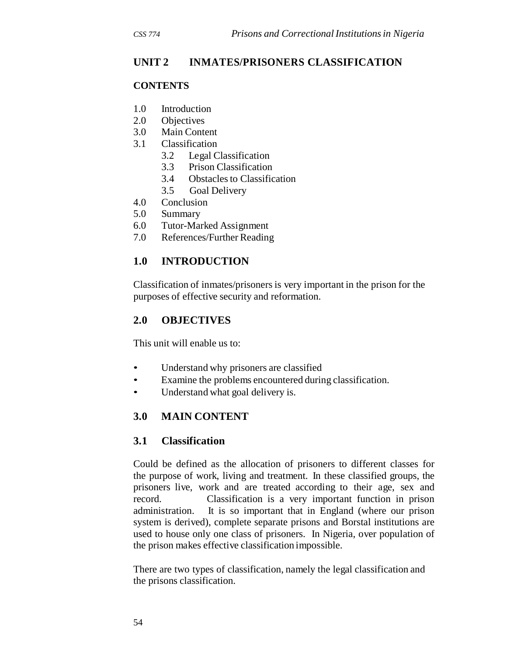# **UNIT 2 INMATES/PRISONERS CLASSIFICATION**

#### **CONTENTS**

- 1.0 Introduction
- 2.0 Objectives
- 3.0 Main Content
- 3.1 Classification
	- 3.2 Legal Classification
	- 3.3 Prison Classification
	- 3.4 Obstacles to Classification
	- 3.5 Goal Delivery
- 4.0 Conclusion
- 5.0 Summary
- 6.0 Tutor-Marked Assignment
- 7.0 References/Further Reading

# **1.0 INTRODUCTION**

Classification of inmates/prisoners is very important in the prison for the purposes of effective security and reformation.

### **2.0 OBJECTIVES**

This unit will enable us to:

- Understand why prisoners are classified
- Examine the problems encountered during classification.
- Understand what goal delivery is.

# **3.0 MAIN CONTENT**

### **3.1 Classification**

Could be defined as the allocation of prisoners to different classes for the purpose of work, living and treatment. In these classified groups, the prisoners live, work and are treated according to their age, sex and record. Classification is a very important function in prison administration. It is so important that in England (where our prison system is derived), complete separate prisons and Borstal institutions are used to house only one class of prisoners. In Nigeria, over population of the prison makes effective classification impossible.

There are two types of classification, namely the legal classification and the prisons classification.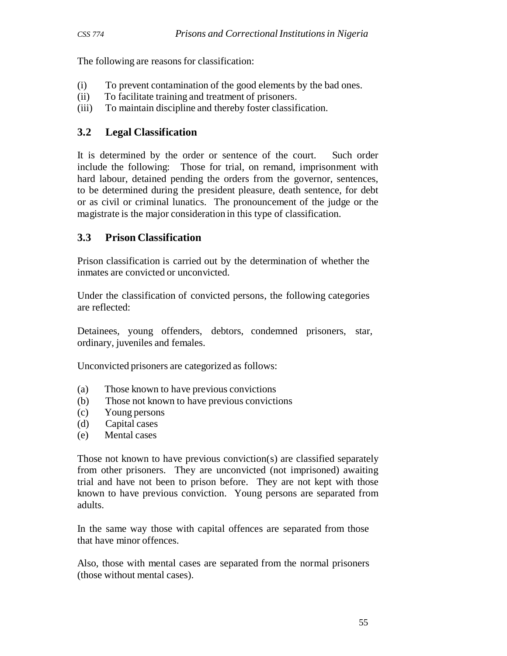The following are reasons for classification:

- (i) To prevent contamination of the good elements by the bad ones.
- (ii) To facilitate training and treatment of prisoners.
- (iii) To maintain discipline and thereby foster classification.

## **3.2 Legal Classification**

It is determined by the order or sentence of the court. Such order include the following: Those for trial, on remand, imprisonment with hard labour, detained pending the orders from the governor, sentences, to be determined during the president pleasure, death sentence, for debt or as civil or criminal lunatics. The pronouncement of the judge or the magistrate is the major consideration in this type of classification.

# **3.3 Prison Classification**

Prison classification is carried out by the determination of whether the inmates are convicted or unconvicted.

Under the classification of convicted persons, the following categories are reflected:

Detainees, young offenders, debtors, condemned prisoners, star, ordinary, juveniles and females.

Unconvicted prisoners are categorized as follows:

- (a) Those known to have previous convictions
- (b) Those not known to have previous convictions
- (c) Young persons
- (d) Capital cases
- (e) Mental cases

Those not known to have previous conviction(s) are classified separately from other prisoners. They are unconvicted (not imprisoned) awaiting trial and have not been to prison before. They are not kept with those known to have previous conviction. Young persons are separated from adults.

In the same way those with capital offences are separated from those that have minor offences.

Also, those with mental cases are separated from the normal prisoners (those without mental cases).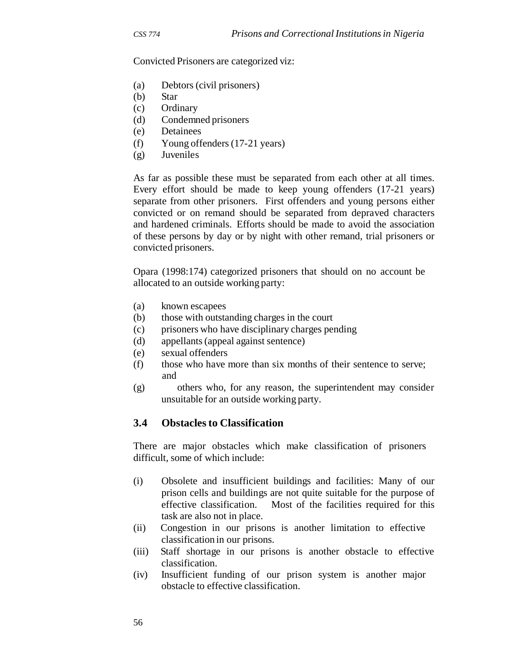Convicted Prisoners are categorized viz:

- (a) Debtors (civil prisoners)
- (b) Star
- (c) Ordinary
- (d) Condemned prisoners
- (e) Detainees
- (f) Young offenders (17-21 years)
- (g) Juveniles

As far as possible these must be separated from each other at all times. Every effort should be made to keep young offenders (17-21 years) separate from other prisoners. First offenders and young persons either convicted or on remand should be separated from depraved characters and hardened criminals. Efforts should be made to avoid the association of these persons by day or by night with other remand, trial prisoners or convicted prisoners.

Opara (1998:174) categorized prisoners that should on no account be allocated to an outside working party:

- (a) known escapees
- (b) those with outstanding charges in the court
- (c) prisoners who have disciplinary charges pending
- (d) appellants (appeal against sentence)
- (e) sexual offenders
- (f) those who have more than six months of their sentence to serve; and
- (g) others who, for any reason, the superintendent may consider unsuitable for an outside working party.

#### **3.4 Obstacles to Classification**

There are major obstacles which make classification of prisoners difficult, some of which include:

- (i) Obsolete and insufficient buildings and facilities: Many of our prison cells and buildings are not quite suitable for the purpose of effective classification. Most of the facilities required for this task are also not in place.
- (ii) Congestion in our prisons is another limitation to effective classification in our prisons.
- (iii) Staff shortage in our prisons is another obstacle to effective classification.
- (iv) Insufficient funding of our prison system is another major obstacle to effective classification.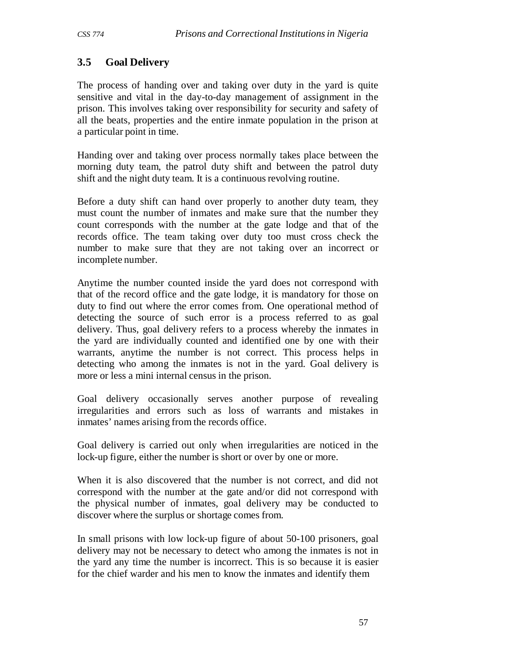# **3.5 Goal Delivery**

The process of handing over and taking over duty in the yard is quite sensitive and vital in the day-to-day management of assignment in the prison. This involves taking over responsibility for security and safety of all the beats, properties and the entire inmate population in the prison at a particular point in time.

Handing over and taking over process normally takes place between the morning duty team, the patrol duty shift and between the patrol duty shift and the night duty team. It is a continuous revolving routine.

Before a duty shift can hand over properly to another duty team, they must count the number of inmates and make sure that the number they count corresponds with the number at the gate lodge and that of the records office. The team taking over duty too must cross check the number to make sure that they are not taking over an incorrect or incomplete number.

Anytime the number counted inside the yard does not correspond with that of the record office and the gate lodge, it is mandatory for those on duty to find out where the error comes from. One operational method of detecting the source of such error is a process referred to as goal delivery. Thus, goal delivery refers to a process whereby the inmates in the yard are individually counted and identified one by one with their warrants, anytime the number is not correct. This process helps in detecting who among the inmates is not in the yard. Goal delivery is more or less a mini internal census in the prison.

Goal delivery occasionally serves another purpose of revealing irregularities and errors such as loss of warrants and mistakes in inmates' names arising from the records office.

Goal delivery is carried out only when irregularities are noticed in the lock-up figure, either the number is short or over by one or more.

When it is also discovered that the number is not correct, and did not correspond with the number at the gate and/or did not correspond with the physical number of inmates, goal delivery may be conducted to discover where the surplus or shortage comes from.

In small prisons with low lock-up figure of about 50-100 prisoners, goal delivery may not be necessary to detect who among the inmates is not in the yard any time the number is incorrect. This is so because it is easier for the chief warder and his men to know the inmates and identify them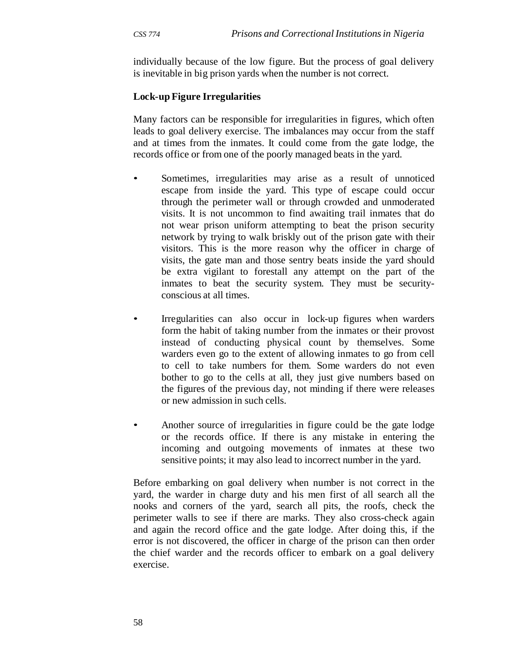individually because of the low figure. But the process of goal delivery is inevitable in big prison yards when the number is not correct.

#### **Lock-up Figure Irregularities**

Many factors can be responsible for irregularities in figures, which often leads to goal delivery exercise. The imbalances may occur from the staff and at times from the inmates. It could come from the gate lodge, the records office or from one of the poorly managed beats in the yard.

- Sometimes, irregularities may arise as a result of unnoticed escape from inside the yard. This type of escape could occur through the perimeter wall or through crowded and unmoderated visits. It is not uncommon to find awaiting trail inmates that do not wear prison uniform attempting to beat the prison security network by trying to walk briskly out of the prison gate with their visitors. This is the more reason why the officer in charge of visits, the gate man and those sentry beats inside the yard should be extra vigilant to forestall any attempt on the part of the inmates to beat the security system. They must be securityconscious at all times.
- Irregularities can also occur in lock-up figures when warders form the habit of taking number from the inmates or their provost instead of conducting physical count by themselves. Some warders even go to the extent of allowing inmates to go from cell to cell to take numbers for them. Some warders do not even bother to go to the cells at all, they just give numbers based on the figures of the previous day, not minding if there were releases or new admission in such cells.
- Another source of irregularities in figure could be the gate lodge or the records office. If there is any mistake in entering the incoming and outgoing movements of inmates at these two sensitive points; it may also lead to incorrect number in the yard.

Before embarking on goal delivery when number is not correct in the yard, the warder in charge duty and his men first of all search all the nooks and corners of the yard, search all pits, the roofs, check the perimeter walls to see if there are marks. They also cross-check again and again the record office and the gate lodge. After doing this, if the error is not discovered, the officer in charge of the prison can then order the chief warder and the records officer to embark on a goal delivery exercise.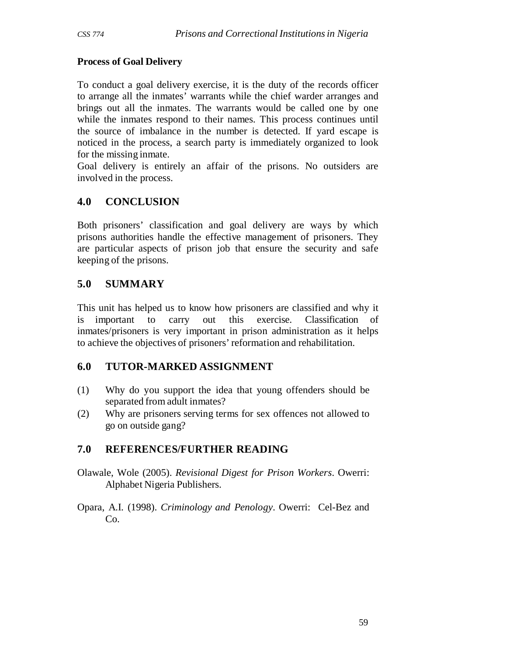## **Process of Goal Delivery**

To conduct a goal delivery exercise, it is the duty of the records officer to arrange all the inmates' warrants while the chief warder arranges and brings out all the inmates. The warrants would be called one by one while the inmates respond to their names. This process continues until the source of imbalance in the number is detected. If yard escape is noticed in the process, a search party is immediately organized to look for the missing inmate.

Goal delivery is entirely an affair of the prisons. No outsiders are involved in the process.

# **4.0 CONCLUSION**

Both prisoners' classification and goal delivery are ways by which prisons authorities handle the effective management of prisoners. They are particular aspects of prison job that ensure the security and safe keeping of the prisons.

# **5.0 SUMMARY**

This unit has helped us to know how prisoners are classified and why it is important to carry out this exercise. Classification of inmates/prisoners is very important in prison administration as it helps to achieve the objectives of prisoners' reformation and rehabilitation.

## **6.0 TUTOR-MARKED ASSIGNMENT**

- (1) Why do you support the idea that young offenders should be separated from adult inmates?
- (2) Why are prisoners serving terms for sex offences not allowed to go on outside gang?

# **7.0 REFERENCES/FURTHER READING**

- Olawale, Wole (2005). *Revisional Digest for Prison Workers*. Owerri: Alphabet Nigeria Publishers.
- Opara, A.I. (1998). *Criminology and Penology*. Owerri: Cel-Bez and Co.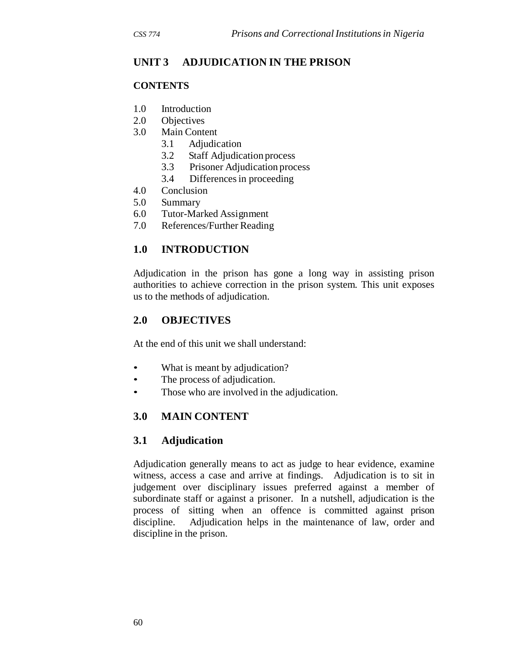# **UNIT 3 ADJUDICATION IN THE PRISON**

#### **CONTENTS**

- 1.0 Introduction
- 2.0 Objectives
- 3.0 Main Content
	- 3.1 Adjudication
	- 3.2 Staff Adjudication process
	- 3.3 Prisoner Adjudication process
	- 3.4 Differences in proceeding
- 4.0 Conclusion
- 5.0 Summary
- 6.0 Tutor-Marked Assignment
- 7.0 References/Further Reading

# **1.0 INTRODUCTION**

Adjudication in the prison has gone a long way in assisting prison authorities to achieve correction in the prison system. This unit exposes us to the methods of adjudication.

## **2.0 OBJECTIVES**

At the end of this unit we shall understand:

- What is meant by adjudication?
- The process of adjudication.
- Those who are involved in the adjudication.

# **3.0 MAIN CONTENT**

## **3.1 Adjudication**

Adjudication generally means to act as judge to hear evidence, examine witness, access a case and arrive at findings. Adjudication is to sit in judgement over disciplinary issues preferred against a member of subordinate staff or against a prisoner. In a nutshell, adjudication is the process of sitting when an offence is committed against prison discipline. Adjudication helps in the maintenance of law, order and discipline in the prison.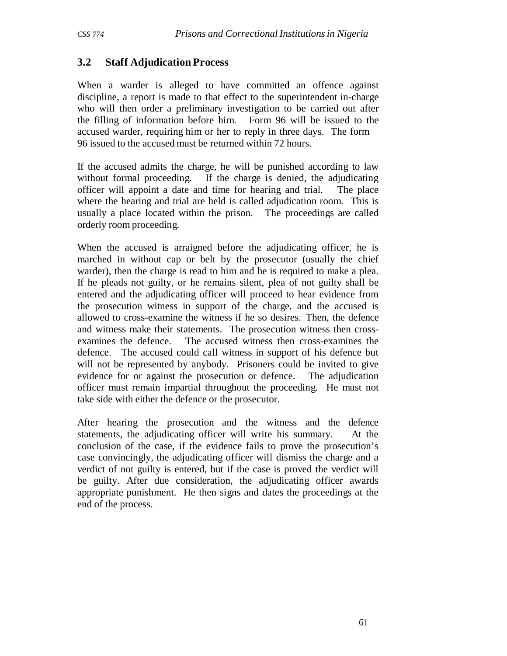#### **3.2 Staff Adjudication Process**

When a warder is alleged to have committed an offence against discipline, a report is made to that effect to the superintendent in-charge who will then order a preliminary investigation to be carried out after the filling of information before him. Form 96 will be issued to the accused warder, requiring him or her to reply in three days. The form 96 issued to the accused must be returned within 72 hours.

If the accused admits the charge, he will be punished according to law without formal proceeding. If the charge is denied, the adjudicating officer will appoint a date and time for hearing and trial. The place where the hearing and trial are held is called adjudication room. This is usually a place located within the prison. The proceedings are called orderly room proceeding.

When the accused is arraigned before the adjudicating officer, he is marched in without cap or belt by the prosecutor (usually the chief warder), then the charge is read to him and he is required to make a plea. If he pleads not guilty, or he remains silent, plea of not guilty shall be entered and the adjudicating officer will proceed to hear evidence from the prosecution witness in support of the charge, and the accused is allowed to cross-examine the witness if he so desires. Then, the defence and witness make their statements. The prosecution witness then crossexamines the defence. The accused witness then cross-examines the defence. The accused could call witness in support of his defence but will not be represented by anybody. Prisoners could be invited to give evidence for or against the prosecution or defence. The adjudication officer must remain impartial throughout the proceeding. He must not take side with either the defence or the prosecutor.

After hearing the prosecution and the witness and the defence statements, the adjudicating officer will write his summary. At the conclusion of the case, if the evidence fails to prove the prosecution's case convincingly, the adjudicating officer will dismiss the charge and a verdict of not guilty is entered, but if the case is proved the verdict will be guilty. After due consideration, the adjudicating officer awards appropriate punishment. He then signs and dates the proceedings at the end of the process.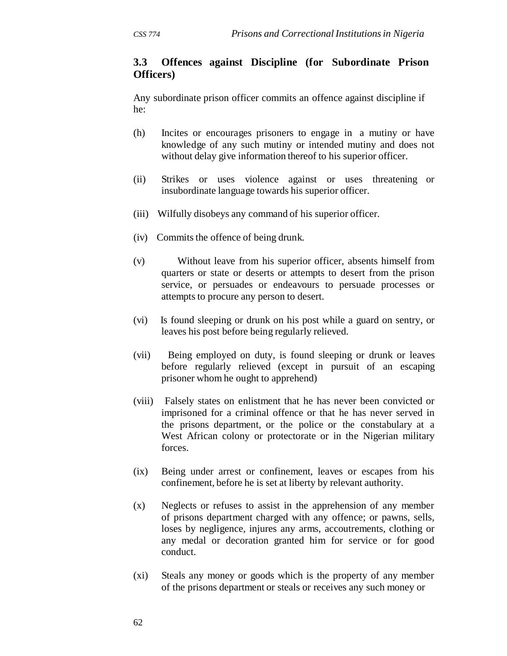## **3.3 Offences against Discipline (for Subordinate Prison Officers)**

Any subordinate prison officer commits an offence against discipline if he:

- (h) Incites or encourages prisoners to engage in a mutiny or have knowledge of any such mutiny or intended mutiny and does not without delay give information thereof to his superior officer.
- (ii) Strikes or uses violence against or uses threatening or insubordinate language towards his superior officer.
- (iii) Wilfully disobeys any command of his superior officer.
- (iv) Commits the offence of being drunk.
- (v) Without leave from his superior officer, absents himself from quarters or state or deserts or attempts to desert from the prison service, or persuades or endeavours to persuade processes or attempts to procure any person to desert.
- (vi) Is found sleeping or drunk on his post while a guard on sentry, or leaves his post before being regularly relieved.
- (vii) Being employed on duty, is found sleeping or drunk or leaves before regularly relieved (except in pursuit of an escaping prisoner whom he ought to apprehend)
- (viii) Falsely states on enlistment that he has never been convicted or imprisoned for a criminal offence or that he has never served in the prisons department, or the police or the constabulary at a West African colony or protectorate or in the Nigerian military forces.
- (ix) Being under arrest or confinement, leaves or escapes from his confinement, before he is set at liberty by relevant authority.
- (x) Neglects or refuses to assist in the apprehension of any member of prisons department charged with any offence; or pawns, sells, loses by negligence, injures any arms, accoutrements, clothing or any medal or decoration granted him for service or for good conduct.
- (xi) Steals any money or goods which is the property of any member of the prisons department or steals or receives any such money or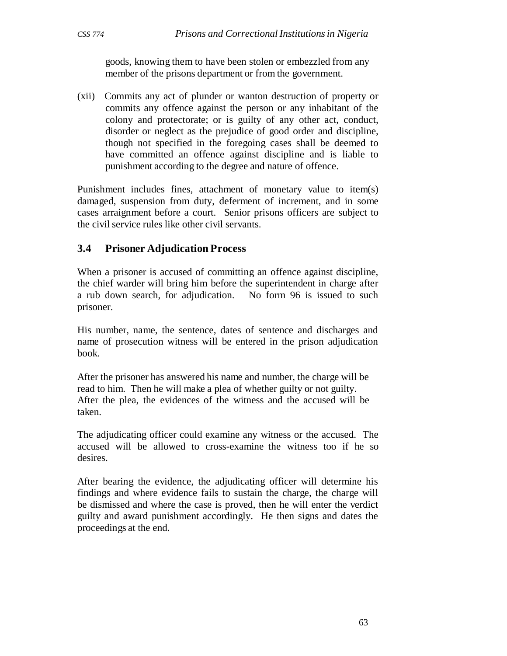goods, knowing them to have been stolen or embezzled from any member of the prisons department or from the government.

(xii) Commits any act of plunder or wanton destruction of property or commits any offence against the person or any inhabitant of the colony and protectorate; or is guilty of any other act, conduct, disorder or neglect as the prejudice of good order and discipline, though not specified in the foregoing cases shall be deemed to have committed an offence against discipline and is liable to punishment according to the degree and nature of offence.

Punishment includes fines, attachment of monetary value to item(s) damaged, suspension from duty, deferment of increment, and in some cases arraignment before a court. Senior prisons officers are subject to the civil service rules like other civil servants.

## **3.4 Prisoner Adjudication Process**

When a prisoner is accused of committing an offence against discipline, the chief warder will bring him before the superintendent in charge after a rub down search, for adjudication. No form 96 is issued to such prisoner.

His number, name, the sentence, dates of sentence and discharges and name of prosecution witness will be entered in the prison adjudication book.

After the prisoner has answered his name and number, the charge will be read to him. Then he will make a plea of whether guilty or not guilty. After the plea, the evidences of the witness and the accused will be taken.

The adjudicating officer could examine any witness or the accused. The accused will be allowed to cross-examine the witness too if he so desires.

After bearing the evidence, the adjudicating officer will determine his findings and where evidence fails to sustain the charge, the charge will be dismissed and where the case is proved, then he will enter the verdict guilty and award punishment accordingly. He then signs and dates the proceedings at the end.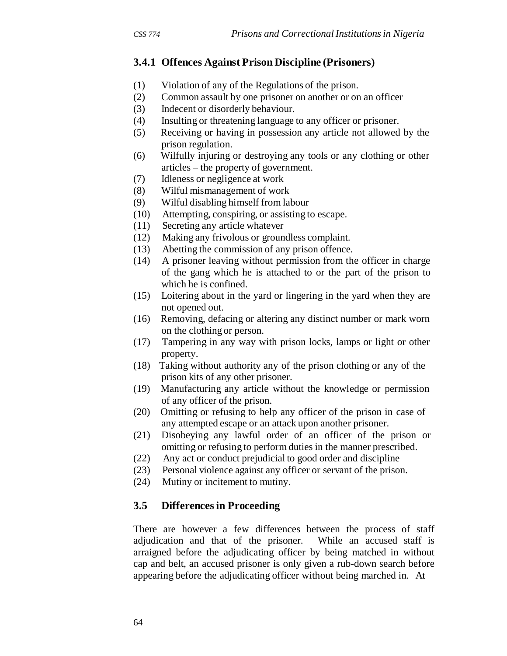# **3.4.1 Offences Against Prison Discipline (Prisoners)**

- (1) Violation of any of the Regulations of the prison.
- (2) Common assault by one prisoner on another or on an officer
- (3) Indecent or disorderly behaviour.
- (4) Insulting or threatening language to any officer or prisoner.
- (5) Receiving or having in possession any article not allowed by the prison regulation.
- (6) Wilfully injuring or destroying any tools or any clothing or other articles – the property of government.
- (7) Idleness or negligence at work
- (8) Wilful mismanagement of work
- (9) Wilful disabling himself from labour
- (10) Attempting, conspiring, or assisting to escape.
- (11) Secreting any article whatever
- (12) Making any frivolous or groundless complaint.
- (13) Abetting the commission of any prison offence.
- (14) A prisoner leaving without permission from the officer in charge of the gang which he is attached to or the part of the prison to which he is confined.
- (15) Loitering about in the yard or lingering in the yard when they are not opened out.
- (16) Removing, defacing or altering any distinct number or mark worn on the clothing or person.
- (17) Tampering in any way with prison locks, lamps or light or other property.
- (18) Taking without authority any of the prison clothing or any of the prison kits of any other prisoner.
- (19) Manufacturing any article without the knowledge or permission of any officer of the prison.
- (20) Omitting or refusing to help any officer of the prison in case of any attempted escape or an attack upon another prisoner.
- (21) Disobeying any lawful order of an officer of the prison or omitting or refusing to perform duties in the manner prescribed.
- (22) Any act or conduct prejudicial to good order and discipline
- (23) Personal violence against any officer or servant of the prison.
- (24) Mutiny or incitement to mutiny.

## **3.5 Differences in Proceeding**

There are however a few differences between the process of staff adjudication and that of the prisoner. While an accused staff is arraigned before the adjudicating officer by being matched in without cap and belt, an accused prisoner is only given a rub-down search before appearing before the adjudicating officer without being marched in. At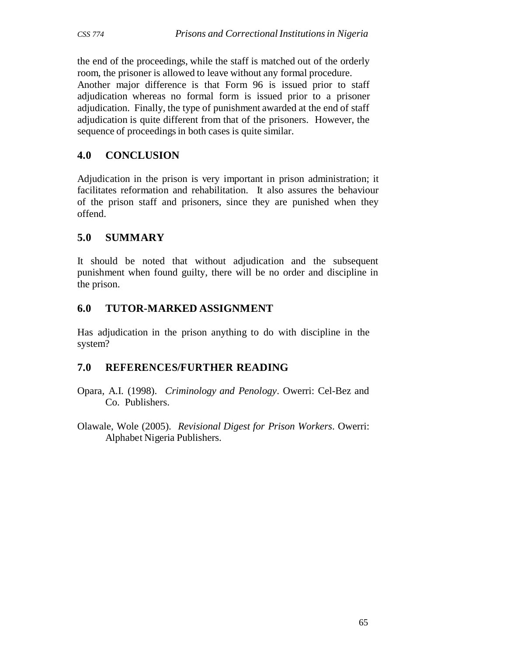the end of the proceedings, while the staff is matched out of the orderly room, the prisoner is allowed to leave without any formal procedure.

Another major difference is that Form 96 is issued prior to staff adjudication whereas no formal form is issued prior to a prisoner adjudication. Finally, the type of punishment awarded at the end of staff adjudication is quite different from that of the prisoners. However, the sequence of proceedings in both cases is quite similar.

# **4.0 CONCLUSION**

Adjudication in the prison is very important in prison administration; it facilitates reformation and rehabilitation. It also assures the behaviour of the prison staff and prisoners, since they are punished when they offend.

# **5.0 SUMMARY**

It should be noted that without adjudication and the subsequent punishment when found guilty, there will be no order and discipline in the prison.

# **6.0 TUTOR-MARKED ASSIGNMENT**

Has adjudication in the prison anything to do with discipline in the system?

## **7.0 REFERENCES/FURTHER READING**

- Opara, A.I. (1998). *Criminology and Penology*. Owerri: Cel-Bez and Co. Publishers.
- Olawale, Wole (2005). *Revisional Digest for Prison Workers*. Owerri: Alphabet Nigeria Publishers.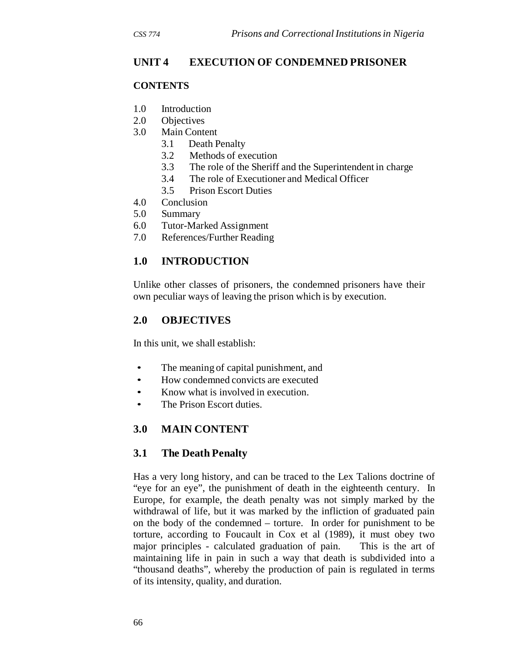# **UNIT 4 EXECUTION OF CONDEMNED PRISONER**

#### **CONTENTS**

- 1.0 Introduction
- 2.0 Objectives
- 3.0 Main Content
	- 3.1 Death Penalty
	- 3.2 Methods of execution
	- 3.3 The role of the Sheriff and the Superintendent in charge
	- 3.4 The role of Executioner and Medical Officer
	- 3.5 Prison Escort Duties
- 4.0 Conclusion
- 5.0 Summary
- 6.0 Tutor-Marked Assignment
- 7.0 References/Further Reading

# **1.0 INTRODUCTION**

Unlike other classes of prisoners, the condemned prisoners have their own peculiar ways of leaving the prison which is by execution.

## **2.0 OBJECTIVES**

In this unit, we shall establish:

- The meaning of capital punishment, and
- How condemned convicts are executed
- Know what is involved in execution.
- The Prison Escort duties.

# **3.0 MAIN CONTENT**

## **3.1 The Death Penalty**

Has a very long history, and can be traced to the Lex Talions doctrine of "eye for an eye", the punishment of death in the eighteenth century. In Europe, for example, the death penalty was not simply marked by the withdrawal of life, but it was marked by the infliction of graduated pain on the body of the condemned – torture. In order for punishment to be torture, according to Foucault in Cox et al (1989), it must obey two major principles - calculated graduation of pain. This is the art of maintaining life in pain in such a way that death is subdivided into a "thousand deaths", whereby the production of pain is regulated in terms of its intensity, quality, and duration.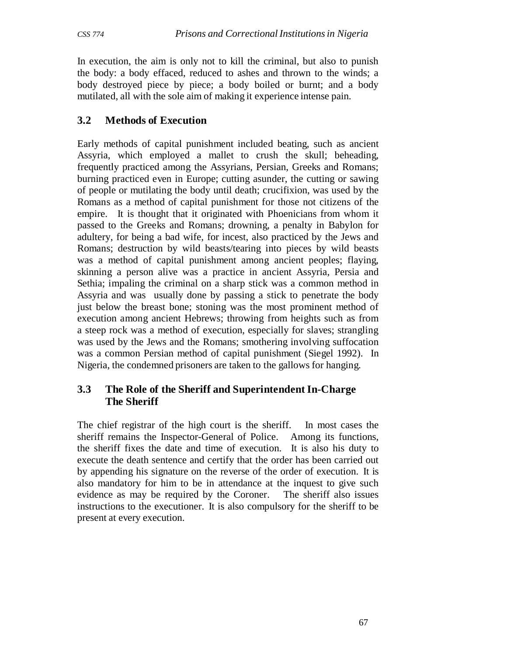In execution, the aim is only not to kill the criminal, but also to punish the body: a body effaced, reduced to ashes and thrown to the winds; a body destroyed piece by piece; a body boiled or burnt; and a body mutilated, all with the sole aim of making it experience intense pain.

# **3.2 Methods of Execution**

Early methods of capital punishment included beating, such as ancient Assyria, which employed a mallet to crush the skull; beheading, frequently practiced among the Assyrians, Persian, Greeks and Romans; burning practiced even in Europe; cutting asunder, the cutting or sawing of people or mutilating the body until death; crucifixion, was used by the Romans as a method of capital punishment for those not citizens of the empire. It is thought that it originated with Phoenicians from whom it passed to the Greeks and Romans; drowning, a penalty in Babylon for adultery, for being a bad wife, for incest, also practiced by the Jews and Romans; destruction by wild beasts/tearing into pieces by wild beasts was a method of capital punishment among ancient peoples; flaying, skinning a person alive was a practice in ancient Assyria, Persia and Sethia; impaling the criminal on a sharp stick was a common method in Assyria and was usually done by passing a stick to penetrate the body just below the breast bone; stoning was the most prominent method of execution among ancient Hebrews; throwing from heights such as from a steep rock was a method of execution, especially for slaves; strangling was used by the Jews and the Romans; smothering involving suffocation was a common Persian method of capital punishment (Siegel 1992). In Nigeria, the condemned prisoners are taken to the gallows for hanging.

# **3.3 The Role of the Sheriff and Superintendent In-Charge The Sheriff**

The chief registrar of the high court is the sheriff. In most cases the sheriff remains the Inspector-General of Police. Among its functions, the sheriff fixes the date and time of execution. It is also his duty to execute the death sentence and certify that the order has been carried out by appending his signature on the reverse of the order of execution. It is also mandatory for him to be in attendance at the inquest to give such evidence as may be required by the Coroner. The sheriff also issues instructions to the executioner. It is also compulsory for the sheriff to be present at every execution.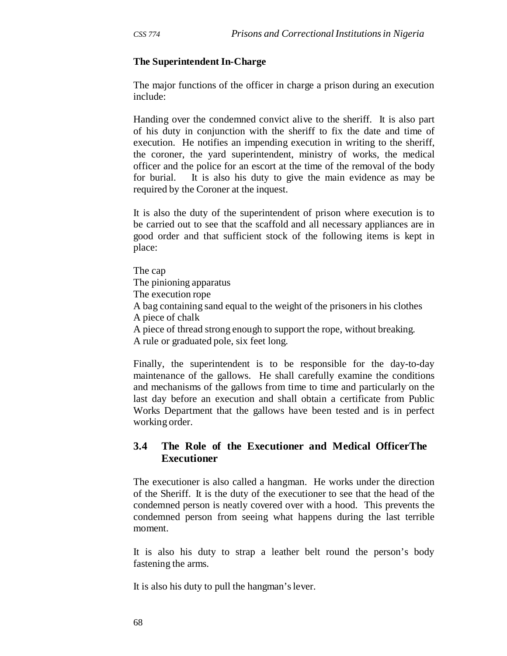#### **The Superintendent In-Charge**

The major functions of the officer in charge a prison during an execution include:

Handing over the condemned convict alive to the sheriff. It is also part of his duty in conjunction with the sheriff to fix the date and time of execution. He notifies an impending execution in writing to the sheriff, the coroner, the yard superintendent, ministry of works, the medical officer and the police for an escort at the time of the removal of the body for burial. It is also his duty to give the main evidence as may be required by the Coroner at the inquest.

It is also the duty of the superintendent of prison where execution is to be carried out to see that the scaffold and all necessary appliances are in good order and that sufficient stock of the following items is kept in place:

The cap The pinioning apparatus The execution rope A bag containing sand equal to the weight of the prisoners in his clothes A piece of chalk A piece of thread strong enough to support the rope, without breaking. A rule or graduated pole, six feet long.

Finally, the superintendent is to be responsible for the day-to-day maintenance of the gallows. He shall carefully examine the conditions and mechanisms of the gallows from time to time and particularly on the last day before an execution and shall obtain a certificate from Public Works Department that the gallows have been tested and is in perfect working order.

#### **3.4 The Role of the Executioner and Medical OfficerThe Executioner**

The executioner is also called a hangman. He works under the direction of the Sheriff. It is the duty of the executioner to see that the head of the condemned person is neatly covered over with a hood. This prevents the condemned person from seeing what happens during the last terrible moment.

It is also his duty to strap a leather belt round the person's body fastening the arms.

It is also his duty to pull the hangman's lever.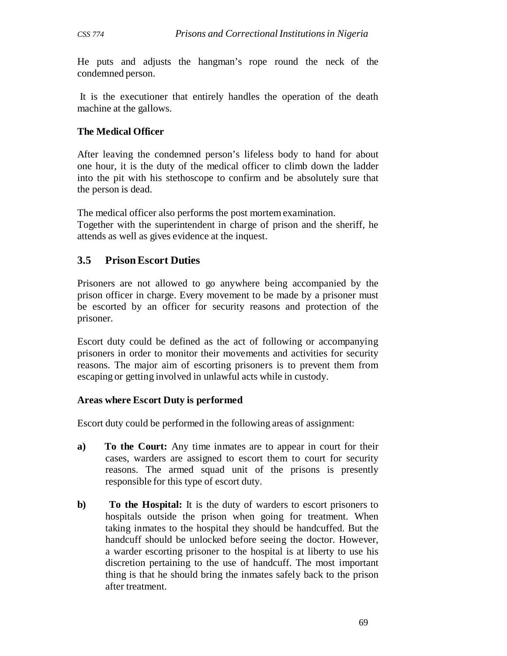He puts and adjusts the hangman's rope round the neck of the condemned person.

It is the executioner that entirely handles the operation of the death machine at the gallows.

#### **The Medical Officer**

After leaving the condemned person's lifeless body to hand for about one hour, it is the duty of the medical officer to climb down the ladder into the pit with his stethoscope to confirm and be absolutely sure that the person is dead.

The medical officer also performs the post mortem examination.

Together with the superintendent in charge of prison and the sheriff, he attends as well as gives evidence at the inquest.

#### **3.5 Prison Escort Duties**

Prisoners are not allowed to go anywhere being accompanied by the prison officer in charge. Every movement to be made by a prisoner must be escorted by an officer for security reasons and protection of the prisoner.

Escort duty could be defined as the act of following or accompanying prisoners in order to monitor their movements and activities for security reasons. The major aim of escorting prisoners is to prevent them from escaping or getting involved in unlawful acts while in custody.

#### **Areas where Escort Duty is performed**

Escort duty could be performed in the following areas of assignment:

- **a) To the Court:** Any time inmates are to appear in court for their cases, warders are assigned to escort them to court for security reasons. The armed squad unit of the prisons is presently responsible for this type of escort duty.
- **b)** To the Hospital: It is the duty of warders to escort prisoners to hospitals outside the prison when going for treatment. When taking inmates to the hospital they should be handcuffed. But the handcuff should be unlocked before seeing the doctor. However, a warder escorting prisoner to the hospital is at liberty to use his discretion pertaining to the use of handcuff. The most important thing is that he should bring the inmates safely back to the prison after treatment.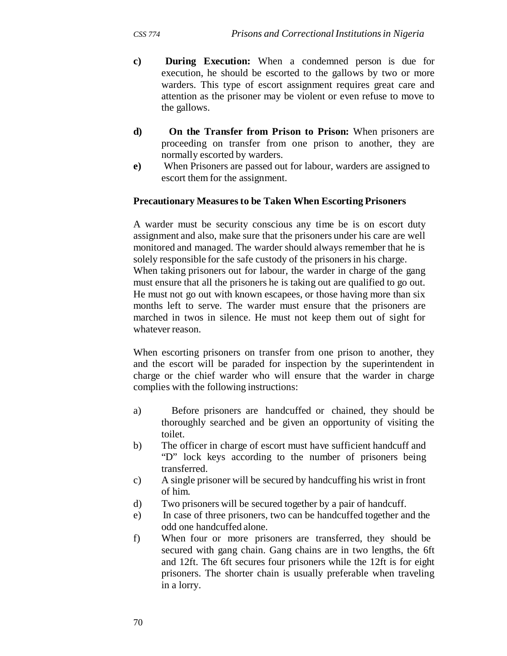- **c) During Execution:** When a condemned person is due for execution, he should be escorted to the gallows by two or more warders. This type of escort assignment requires great care and attention as the prisoner may be violent or even refuse to move to the gallows.
- **d) On the Transfer from Prison to Prison:** When prisoners are proceeding on transfer from one prison to another, they are normally escorted by warders.
- **e)** When Prisoners are passed out for labour, warders are assigned to escort them for the assignment.

#### **Precautionary Measures to be Taken When Escorting Prisoners**

A warder must be security conscious any time be is on escort duty assignment and also, make sure that the prisoners under his care are well monitored and managed. The warder should always remember that he is solely responsible for the safe custody of the prisoners in his charge. When taking prisoners out for labour, the warder in charge of the gang must ensure that all the prisoners he is taking out are qualified to go out. He must not go out with known escapees, or those having more than six months left to serve. The warder must ensure that the prisoners are marched in twos in silence. He must not keep them out of sight for whatever reason.

When escorting prisoners on transfer from one prison to another, they and the escort will be paraded for inspection by the superintendent in charge or the chief warder who will ensure that the warder in charge complies with the following instructions:

- a) Before prisoners are handcuffed or chained, they should be thoroughly searched and be given an opportunity of visiting the toilet.
- b) The officer in charge of escort must have sufficient handcuff and "D" lock keys according to the number of prisoners being transferred.
- c) A single prisoner will be secured by handcuffing his wrist in front of him.
- d) Two prisoners will be secured together by a pair of handcuff.
- e) In case of three prisoners, two can be handcuffed together and the odd one handcuffed alone.
- f) When four or more prisoners are transferred, they should be secured with gang chain. Gang chains are in two lengths, the 6ft and 12ft. The 6ft secures four prisoners while the 12ft is for eight prisoners. The shorter chain is usually preferable when traveling in a lorry.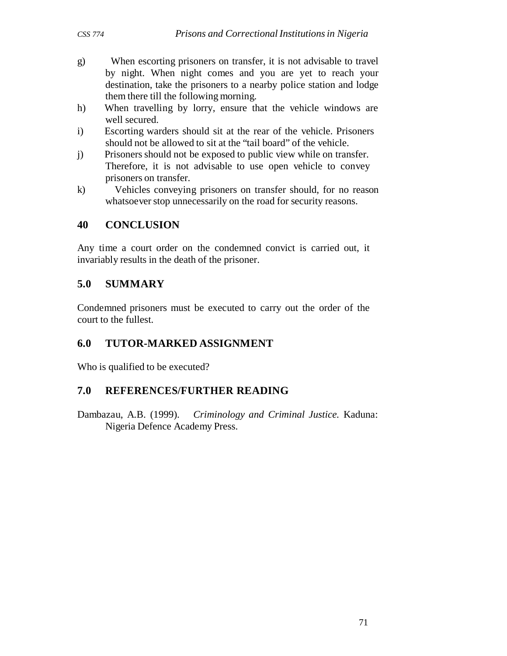- g) When escorting prisoners on transfer, it is not advisable to travel by night. When night comes and you are yet to reach your destination, take the prisoners to a nearby police station and lodge them there till the following morning.
- h) When travelling by lorry, ensure that the vehicle windows are well secured.
- i) Escorting warders should sit at the rear of the vehicle. Prisoners should not be allowed to sit at the "tail board" of the vehicle.
- j) Prisoners should not be exposed to public view while on transfer. Therefore, it is not advisable to use open vehicle to convey prisoners on transfer.
- k) Vehicles conveying prisoners on transfer should, for no reason whatsoever stop unnecessarily on the road for security reasons.

# **40 CONCLUSION**

Any time a court order on the condemned convict is carried out, it invariably results in the death of the prisoner.

# **5.0 SUMMARY**

Condemned prisoners must be executed to carry out the order of the court to the fullest.

# **6.0 TUTOR-MARKED ASSIGNMENT**

Who is qualified to be executed?

## **7.0 REFERENCES/FURTHER READING**

Dambazau, A.B. (1999). *Criminology and Criminal Justice.* Kaduna: Nigeria Defence Academy Press.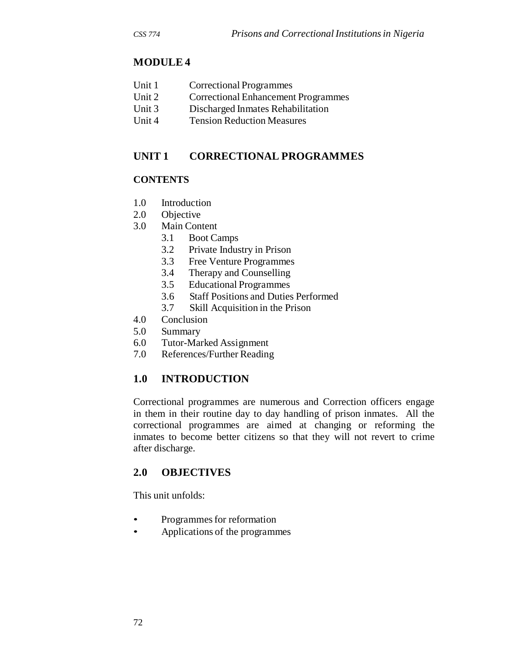# **MODULE 4**

| Unit 1 | Correctional Programmes |
|--------|-------------------------|
|--------|-------------------------|

- Unit 2 Correctional Enhancement Programmes
- Unit 3 Discharged Inmates Rehabilitation
- Unit 4 Tension Reduction Measures

# **UNIT 1 CORRECTIONAL PROGRAMMES**

#### **CONTENTS**

- 1.0 Introduction
- 2.0 Objective
- 3.0 Main Content
	- 3.1 Boot Camps
	- 3.2 Private Industry in Prison
	- 3.3 Free Venture Programmes
	- 3.4 Therapy and Counselling
	- 3.5 Educational Programmes
	- 3.6 Staff Positions and Duties Performed
	- 3.7 Skill Acquisition in the Prison
- 4.0 Conclusion
- 5.0 Summary
- 6.0 Tutor-Marked Assignment
- 7.0 References/Further Reading

# **1.0 INTRODUCTION**

Correctional programmes are numerous and Correction officers engage in them in their routine day to day handling of prison inmates. All the correctional programmes are aimed at changing or reforming the inmates to become better citizens so that they will not revert to crime after discharge.

## **2.0 OBJECTIVES**

This unit unfolds:

- Programmes for reformation
- Applications of the programmes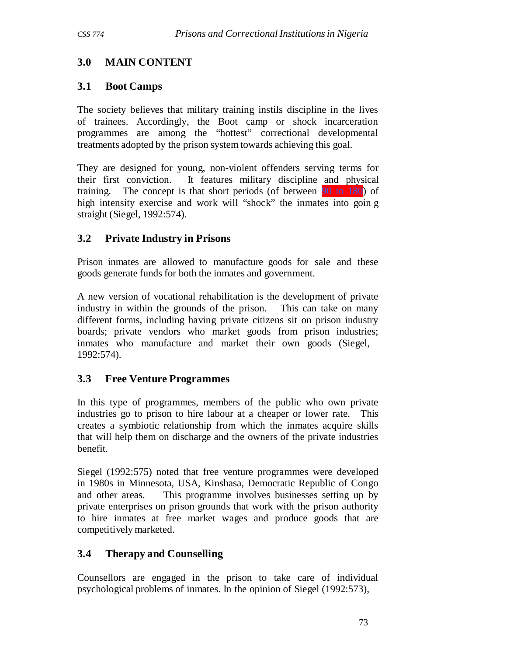# **3.0 MAIN CONTENT**

## **3.1 Boot Camps**

The society believes that military training instils discipline in the lives of trainees. Accordingly, the Boot camp or shock incarceration programmes are among the "hottest" correctional developmental treatments adopted by the prison system towards achieving this goal.

They are designed for young, non-violent offenders serving terms for their first conviction. It features military discipline and physical training. The concept is that short periods (of between 90 to 180) of high intensity exercise and work will "shock" the inmates into goin g straight (Siegel, 1992:574).

# **3.2 Private Industry in Prisons**

Prison inmates are allowed to manufacture goods for sale and these goods generate funds for both the inmates and government.

A new version of vocational rehabilitation is the development of private industry in within the grounds of the prison. This can take on many different forms, including having private citizens sit on prison industry boards; private vendors who market goods from prison industries; inmates who manufacture and market their own goods (Siegel, 1992:574).

## **3.3 Free Venture Programmes**

In this type of programmes, members of the public who own private industries go to prison to hire labour at a cheaper or lower rate. This creates a symbiotic relationship from which the inmates acquire skills that will help them on discharge and the owners of the private industries benefit.

Siegel (1992:575) noted that free venture programmes were developed in 1980s in Minnesota, USA, Kinshasa, Democratic Republic of Congo and other areas. This programme involves businesses setting up by private enterprises on prison grounds that work with the prison authority to hire inmates at free market wages and produce goods that are competitively marketed.

# **3.4 Therapy and Counselling**

Counsellors are engaged in the prison to take care of individual psychological problems of inmates. In the opinion of Siegel (1992:573),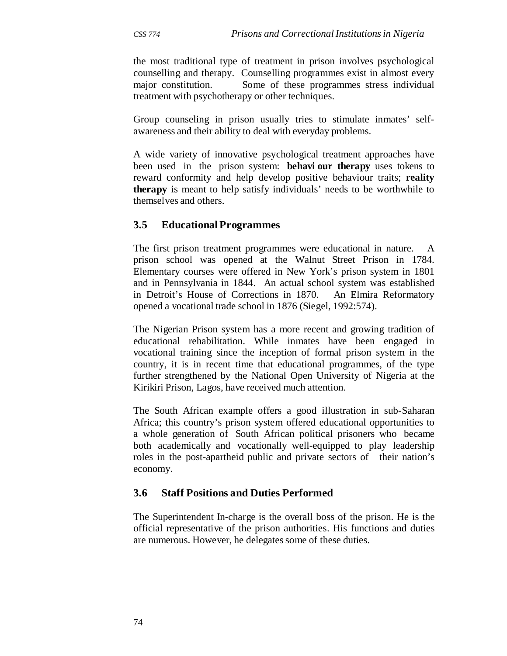the most traditional type of treatment in prison involves psychological counselling and therapy. Counselling programmes exist in almost every major constitution. Some of these programmes stress individual treatment with psychotherapy or other techniques.

Group counseling in prison usually tries to stimulate inmates' selfawareness and their ability to deal with everyday problems.

A wide variety of innovative psychological treatment approaches have been used in the prison system: **behavi our therapy** uses tokens to reward conformity and help develop positive behaviour traits; **reality therapy** is meant to help satisfy individuals' needs to be worthwhile to themselves and others.

## **3.5 Educational Programmes**

The first prison treatment programmes were educational in nature. A prison school was opened at the Walnut Street Prison in 1784. Elementary courses were offered in New York's prison system in 1801 and in Pennsylvania in 1844. An actual school system was established in Detroit's House of Corrections in 1870. An Elmira Reformatory opened a vocational trade school in 1876 (Siegel, 1992:574).

The Nigerian Prison system has a more recent and growing tradition of educational rehabilitation. While inmates have been engaged in vocational training since the inception of formal prison system in the country, it is in recent time that educational programmes, of the type further strengthened by the National Open University of Nigeria at the Kirikiri Prison, Lagos, have received much attention.

The South African example offers a good illustration in sub-Saharan Africa; this country's prison system offered educational opportunities to a whole generation of South African political prisoners who became both academically and vocationally well-equipped to play leadership roles in the post-apartheid public and private sectors of their nation's economy.

#### **3.6 Staff Positions and Duties Performed**

The Superintendent In-charge is the overall boss of the prison. He is the official representative of the prison authorities. His functions and duties are numerous. However, he delegates some of these duties.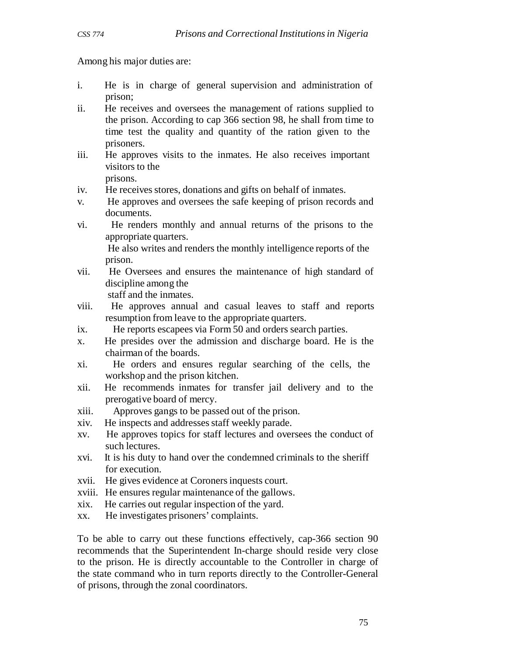Among his major duties are:

- i. He is in charge of general supervision and administration of prison;
- ii. He receives and oversees the management of rations supplied to the prison. According to cap 366 section 98, he shall from time to time test the quality and quantity of the ration given to the prisoners.
- iii. He approves visits to the inmates. He also receives important visitors to the prisons.

- iv. He receives stores, donations and gifts on behalf of inmates.
- v. He approves and oversees the safe keeping of prison records and documents.
- vi. He renders monthly and annual returns of the prisons to the appropriate quarters.

He also writes and renders the monthly intelligence reports of the prison.

- vii. He Oversees and ensures the maintenance of high standard of discipline among the staff and the inmates.
- viii. He approves annual and casual leaves to staff and reports resumption from leave to the appropriate quarters.
- ix. He reports escapees via Form 50 and orders search parties.
- x. He presides over the admission and discharge board. He is the chairman of the boards.
- xi. He orders and ensures regular searching of the cells, the workshop and the prison kitchen.
- xii. He recommends inmates for transfer jail delivery and to the prerogative board of mercy.
- xiii. Approves gangs to be passed out of the prison.
- xiv. He inspects and addresses staff weekly parade.
- xv. He approves topics for staff lectures and oversees the conduct of such lectures.
- xvi. It is his duty to hand over the condemned criminals to the sheriff for execution.
- xvii. He gives evidence at Coroners inquests court.
- xviii. He ensures regular maintenance of the gallows.
- xix. He carries out regular inspection of the yard.
- xx. He investigates prisoners' complaints.

To be able to carry out these functions effectively, cap-366 section 90 recommends that the Superintendent In-charge should reside very close to the prison. He is directly accountable to the Controller in charge of the state command who in turn reports directly to the Controller-General of prisons, through the zonal coordinators.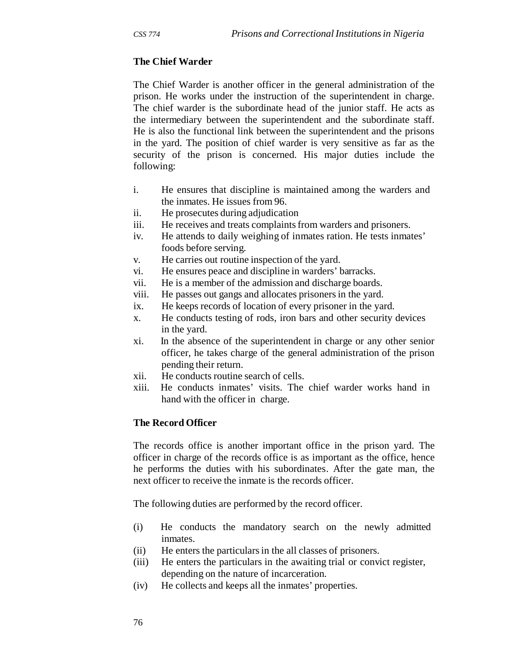#### **The Chief Warder**

The Chief Warder is another officer in the general administration of the prison. He works under the instruction of the superintendent in charge. The chief warder is the subordinate head of the junior staff. He acts as the intermediary between the superintendent and the subordinate staff. He is also the functional link between the superintendent and the prisons in the yard. The position of chief warder is very sensitive as far as the security of the prison is concerned. His major duties include the following:

- i. He ensures that discipline is maintained among the warders and the inmates. He issues from 96.
- ii. He prosecutes during adjudication
- iii. He receives and treats complaints from warders and prisoners.
- iv. He attends to daily weighing of inmates ration. He tests inmates' foods before serving.
- v. He carries out routine inspection of the yard.
- vi. He ensures peace and discipline in warders' barracks.
- vii. He is a member of the admission and discharge boards.
- viii. He passes out gangs and allocates prisoners in the yard.
- ix. He keeps records of location of every prisoner in the yard.
- x. He conducts testing of rods, iron bars and other security devices in the yard.
- xi. In the absence of the superintendent in charge or any other senior officer, he takes charge of the general administration of the prison pending their return.
- xii. He conducts routine search of cells.
- xiii. He conducts inmates' visits. The chief warder works hand in hand with the officer in charge.

#### **The Record Officer**

The records office is another important office in the prison yard. The officer in charge of the records office is as important as the office, hence he performs the duties with his subordinates. After the gate man, the next officer to receive the inmate is the records officer.

The following duties are performed by the record officer.

- (i) He conducts the mandatory search on the newly admitted inmates.
- (ii) He enters the particulars in the all classes of prisoners.
- (iii) He enters the particulars in the awaiting trial or convict register, depending on the nature of incarceration.
- (iv) He collects and keeps all the inmates' properties.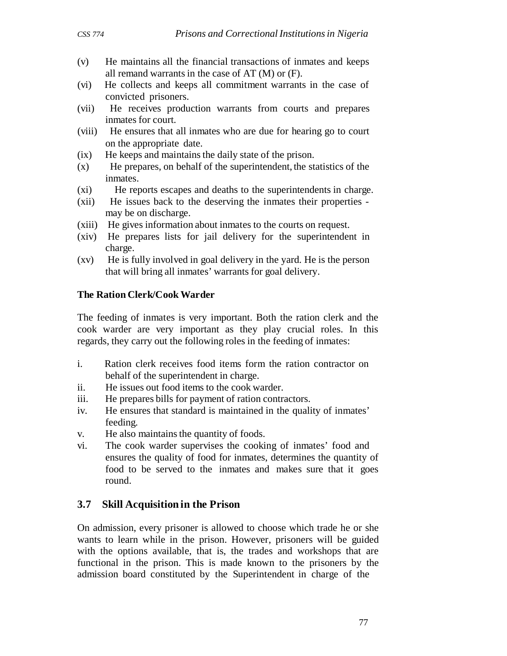- (v) He maintains all the financial transactions of inmates and keeps all remand warrants in the case of AT (M) or (F).
- (vi) He collects and keeps all commitment warrants in the case of convicted prisoners.
- (vii) He receives production warrants from courts and prepares inmates for court.
- (viii) He ensures that all inmates who are due for hearing go to court on the appropriate date.
- (ix) He keeps and maintains the daily state of the prison.
- (x) He prepares, on behalf of the superintendent, the statistics of the inmates.
- (xi) He reports escapes and deaths to the superintendents in charge.
- (xii) He issues back to the deserving the inmates their properties may be on discharge.
- (xiii) He gives information about inmates to the courts on request.
- (xiv) He prepares lists for jail delivery for the superintendent in charge.
- (xv) He is fully involved in goal delivery in the yard. He is the person that will bring all inmates' warrants for goal delivery.

#### **The Ration Clerk/Cook Warder**

The feeding of inmates is very important. Both the ration clerk and the cook warder are very important as they play crucial roles. In this regards, they carry out the following roles in the feeding of inmates:

- i. Ration clerk receives food items form the ration contractor on behalf of the superintendent in charge.
- ii. He issues out food items to the cook warder.
- iii. He prepares bills for payment of ration contractors.
- iv. He ensures that standard is maintained in the quality of inmates' feeding.
- v. He also maintains the quantity of foods.
- vi. The cook warder supervises the cooking of inmates' food and ensures the quality of food for inmates, determines the quantity of food to be served to the inmates and makes sure that it goes round.

## **3.7 Skill Acquisition in the Prison**

On admission, every prisoner is allowed to choose which trade he or she wants to learn while in the prison. However, prisoners will be guided with the options available, that is, the trades and workshops that are functional in the prison. This is made known to the prisoners by the admission board constituted by the Superintendent in charge of the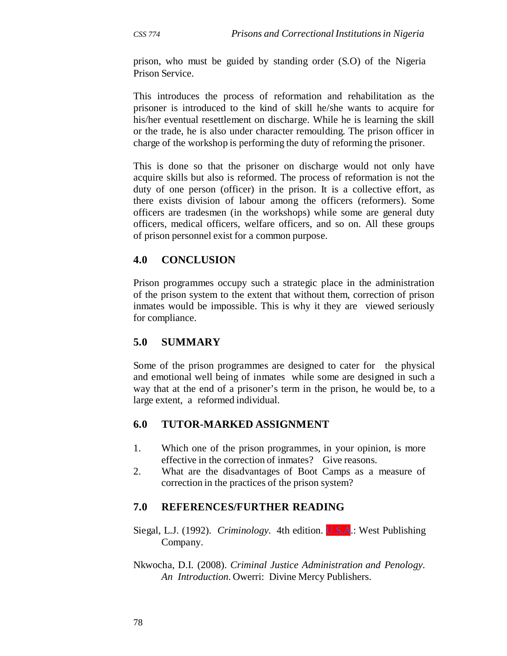prison, who must be guided by standing order (S.O) of the Nigeria Prison Service.

This introduces the process of reformation and rehabilitation as the prisoner is introduced to the kind of skill he/she wants to acquire for his/her eventual resettlement on discharge. While he is learning the skill or the trade, he is also under character remoulding. The prison officer in charge of the workshop is performing the duty of reforming the prisoner.

This is done so that the prisoner on discharge would not only have acquire skills but also is reformed. The process of reformation is not the duty of one person (officer) in the prison. It is a collective effort, as there exists division of labour among the officers (reformers). Some officers are tradesmen (in the workshops) while some are general duty officers, medical officers, welfare officers, and so on. All these groups of prison personnel exist for a common purpose.

## **4.0 CONCLUSION**

Prison programmes occupy such a strategic place in the administration of the prison system to the extent that without them, correction of prison inmates would be impossible. This is why it they are viewed seriously for compliance.

## **5.0 SUMMARY**

Some of the prison programmes are designed to cater for the physical and emotional well being of inmates while some are designed in such a way that at the end of a prisoner's term in the prison, he would be, to a large extent, a reformed individual.

## **6.0 TUTOR-MARKED ASSIGNMENT**

- 1. Which one of the prison programmes, in your opinion, is more effective in the correction of inmates? Give reasons.
- 2. What are the disadvantages of Boot Camps as a measure of correction in the practices of the prison system?

## **7.0 REFERENCES/FURTHER READING**

- Siegal, L.J. (1992). *Criminology.* 4th edition. U.S.A.: West Publishing Company.
- Nkwocha, D.I. (2008). *Criminal Justice Administration and Penology. An Introduction*. Owerri: Divine Mercy Publishers.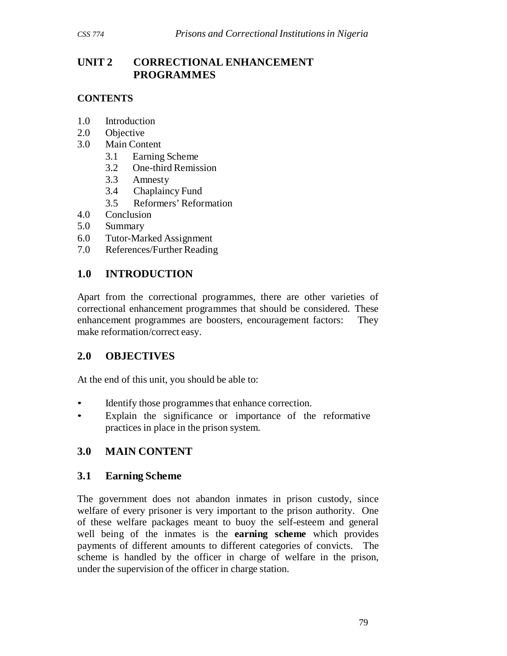# **UNIT 2 CORRECTIONAL ENHANCEMENT PROGRAMMES**

## **CONTENTS**

- 1.0 Introduction
- 2.0 Objective
- 3.0 Main Content
	- 3.1 Earning Scheme
	- 3.2 One-third Remission
	- 3.3 Amnesty
	- 3.4 Chaplaincy Fund
	- 3.5 Reformers' Reformation
- 4.0 Conclusion
- 5.0 Summary
- 6.0 Tutor-Marked Assignment
- 7.0 References/Further Reading

# **1.0 INTRODUCTION**

Apart from the correctional programmes, there are other varieties of correctional enhancement programmes that should be considered. These enhancement programmes are boosters, encouragement factors: They make reformation/correct easy.

# **2.0 OBJECTIVES**

At the end of this unit, you should be able to:

- Identify those programmes that enhance correction.
- Explain the significance or importance of the reformative practices in place in the prison system.

# **3.0 MAIN CONTENT**

## **3.1 Earning Scheme**

The government does not abandon inmates in prison custody, since welfare of every prisoner is very important to the prison authority. One of these welfare packages meant to buoy the self-esteem and general well being of the inmates is the **earning scheme** which provides payments of different amounts to different categories of convicts. The scheme is handled by the officer in charge of welfare in the prison, under the supervision of the officer in charge station.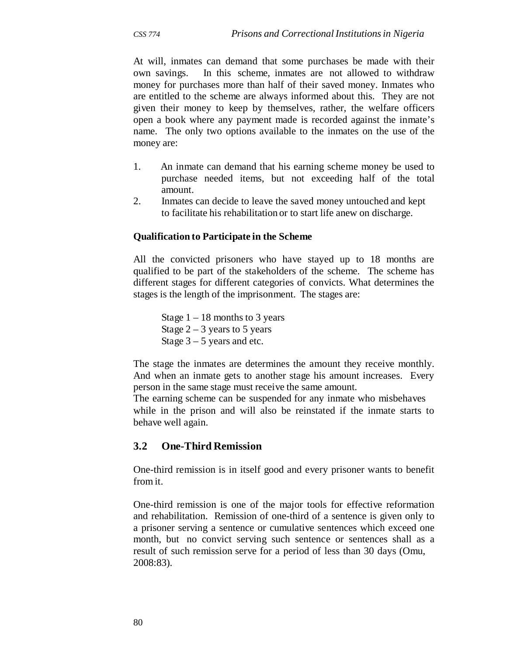At will, inmates can demand that some purchases be made with their own savings. In this scheme, inmates are not allowed to withdraw money for purchases more than half of their saved money. Inmates who are entitled to the scheme are always informed about this. They are not given their money to keep by themselves, rather, the welfare officers open a book where any payment made is recorded against the inmate's name. The only two options available to the inmates on the use of the money are:

- 1. An inmate can demand that his earning scheme money be used to purchase needed items, but not exceeding half of the total amount.
- 2. Inmates can decide to leave the saved money untouched and kept to facilitate his rehabilitation or to start life anew on discharge.

#### **Qualification to Participate in the Scheme**

All the convicted prisoners who have stayed up to 18 months are qualified to be part of the stakeholders of the scheme. The scheme has different stages for different categories of convicts. What determines the stages is the length of the imprisonment. The stages are:

Stage  $1 - 18$  months to 3 years Stage  $2 - 3$  years to 5 years Stage  $3 - 5$  years and etc.

The stage the inmates are determines the amount they receive monthly. And when an inmate gets to another stage his amount increases. Every person in the same stage must receive the same amount.

The earning scheme can be suspended for any inmate who misbehaves while in the prison and will also be reinstated if the inmate starts to behave well again.

#### **3.2 One-Third Remission**

One-third remission is in itself good and every prisoner wants to benefit from it.

One-third remission is one of the major tools for effective reformation and rehabilitation. Remission of one-third of a sentence is given only to a prisoner serving a sentence or cumulative sentences which exceed one month, but no convict serving such sentence or sentences shall as a result of such remission serve for a period of less than 30 days (Omu, 2008:83).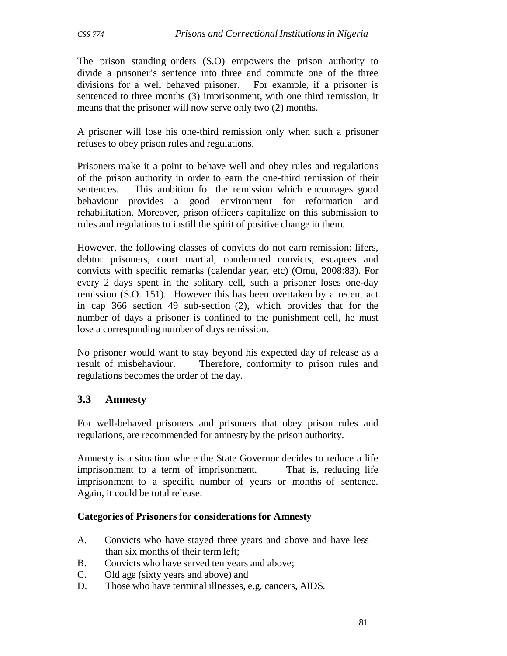The prison standing orders (S.O) empowers the prison authority to divide a prisoner's sentence into three and commute one of the three divisions for a well behaved prisoner. For example, if a prisoner is sentenced to three months (3) imprisonment, with one third remission, it means that the prisoner will now serve only two (2) months.

A prisoner will lose his one-third remission only when such a prisoner refuses to obey prison rules and regulations.

Prisoners make it a point to behave well and obey rules and regulations of the prison authority in order to earn the one-third remission of their sentences. This ambition for the remission which encourages good behaviour provides a good environment for reformation and rehabilitation. Moreover, prison officers capitalize on this submission to rules and regulations to instill the spirit of positive change in them.

However, the following classes of convicts do not earn remission: lifers, debtor prisoners, court martial, condemned convicts, escapees and convicts with specific remarks (calendar year, etc) (Omu, 2008:83). For every 2 days spent in the solitary cell, such a prisoner loses one-day remission (S.O. 151). However this has been overtaken by a recent act in cap 366 section 49 sub-section (2), which provides that for the number of days a prisoner is confined to the punishment cell, he must lose a corresponding number of days remission.

No prisoner would want to stay beyond his expected day of release as a result of misbehaviour. Therefore, conformity to prison rules and regulations becomes the order of the day.

# **3.3 Amnesty**

For well-behaved prisoners and prisoners that obey prison rules and regulations, are recommended for amnesty by the prison authority.

Amnesty is a situation where the State Governor decides to reduce a life imprisonment to a term of imprisonment. That is, reducing life imprisonment to a specific number of years or months of sentence. Again, it could be total release.

#### **Categories of Prisoners for considerations for Amnesty**

- A. Convicts who have stayed three years and above and have less than six months of their term left;
- B. Convicts who have served ten years and above;
- C. Old age (sixty years and above) and
- D. Those who have terminal illnesses, e.g. cancers, AIDS.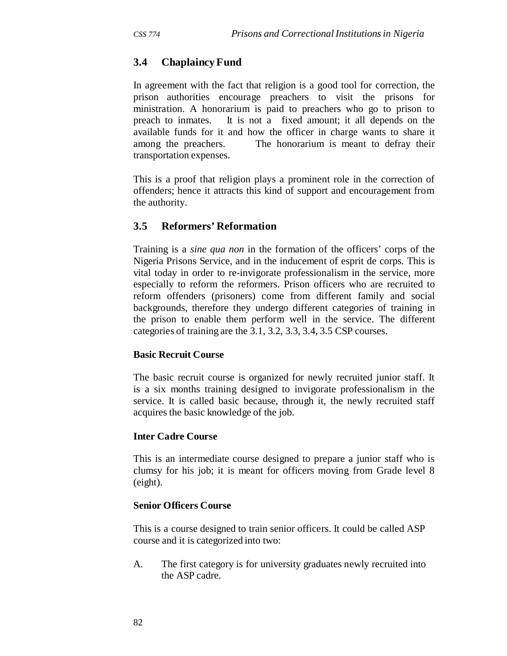# **3.4 Chaplaincy Fund**

In agreement with the fact that religion is a good tool for correction, the prison authorities encourage preachers to visit the prisons for ministration. A honorarium is paid to preachers who go to prison to preach to inmates. It is not a fixed amount; it all depends on the available funds for it and how the officer in charge wants to share it among the preachers. The honorarium is meant to defray their transportation expenses.

This is a proof that religion plays a prominent role in the correction of offenders; hence it attracts this kind of support and encouragement from the authority.

## **3.5 Reformers' Reformation**

Training is a *sine qua non* in the formation of the officers' corps of the Nigeria Prisons Service, and in the inducement of esprit de corps. This is vital today in order to re-invigorate professionalism in the service, more especially to reform the reformers. Prison officers who are recruited to reform offenders (prisoners) come from different family and social backgrounds, therefore they undergo different categories of training in the prison to enable them perform well in the service. The different categories of training are the 3.1, 3.2, 3.3, 3.4, 3.5 CSP courses.

#### **Basic Recruit Course**

The basic recruit course is organized for newly recruited junior staff. It is a six months training designed to invigorate professionalism in the service. It is called basic because, through it, the newly recruited staff acquires the basic knowledge of the job.

#### **Inter Cadre Course**

This is an intermediate course designed to prepare a junior staff who is clumsy for his job; it is meant for officers moving from Grade level 8 (eight).

#### **Senior Officers Course**

This is a course designed to train senior officers. It could be called ASP course and it is categorized into two:

A. The first category is for university graduates newly recruited into the ASP cadre.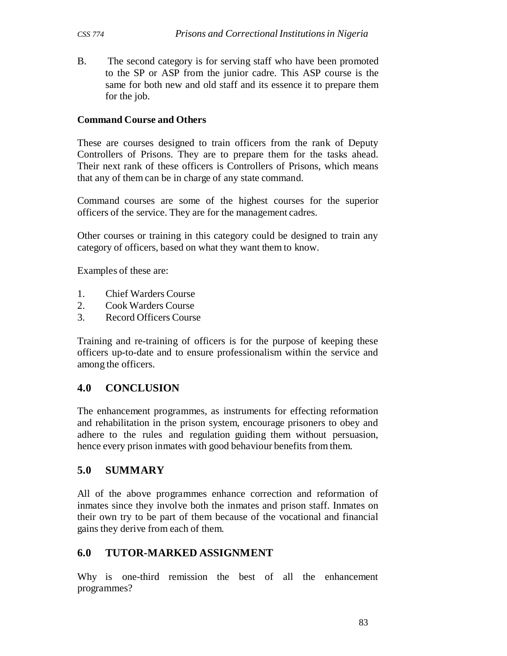B. The second category is for serving staff who have been promoted to the SP or ASP from the junior cadre. This ASP course is the same for both new and old staff and its essence it to prepare them for the job.

#### **Command Course and Others**

These are courses designed to train officers from the rank of Deputy Controllers of Prisons. They are to prepare them for the tasks ahead. Their next rank of these officers is Controllers of Prisons, which means that any of them can be in charge of any state command.

Command courses are some of the highest courses for the superior officers of the service. They are for the management cadres.

Other courses or training in this category could be designed to train any category of officers, based on what they want them to know.

Examples of these are:

- 1. Chief Warders Course
- 2. Cook Warders Course
- 3. Record Officers Course

Training and re-training of officers is for the purpose of keeping these officers up-to-date and to ensure professionalism within the service and among the officers.

## **4.0 CONCLUSION**

The enhancement programmes, as instruments for effecting reformation and rehabilitation in the prison system, encourage prisoners to obey and adhere to the rules and regulation guiding them without persuasion, hence every prison inmates with good behaviour benefits from them.

## **5.0 SUMMARY**

All of the above programmes enhance correction and reformation of inmates since they involve both the inmates and prison staff. Inmates on their own try to be part of them because of the vocational and financial gains they derive from each of them.

## **6.0 TUTOR-MARKED ASSIGNMENT**

Why is one-third remission the best of all the enhancement programmes?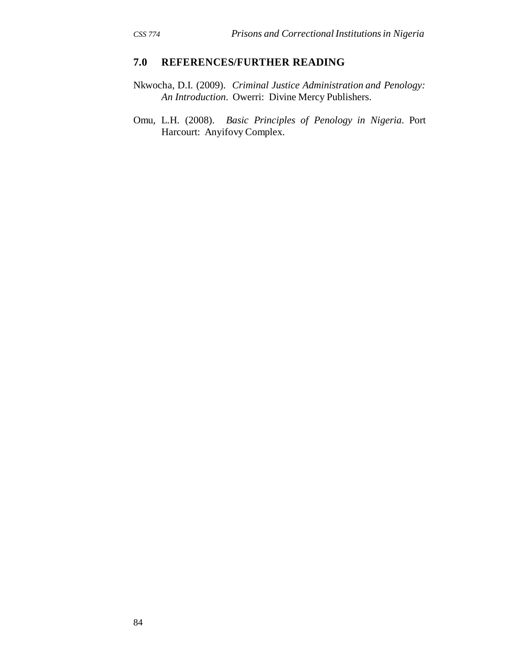- Nkwocha, D.I. (2009). *Criminal Justice Administration and Penology: An Introduction*. Owerri: Divine Mercy Publishers.
- Omu, L.H. (2008). *Basic Principles of Penology in Nigeria*. Port Harcourt: Anyifovy Complex.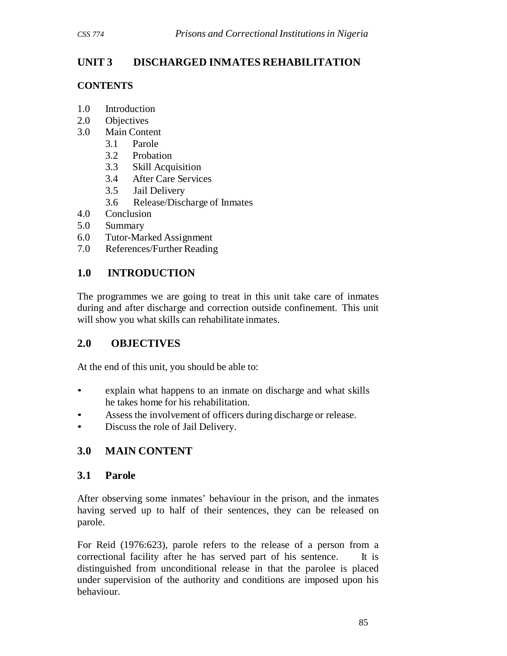# **UNIT 3 DISCHARGED INMATES REHABILITATION**

## **CONTENTS**

- 1.0 Introduction
- 2.0 Objectives
- 3.0 Main Content
	- 3.1 Parole
	- 3.2 Probation
	- 3.3 Skill Acquisition
	- 3.4 After Care Services
	- 3.5 Jail Delivery
	- 3.6 Release/Discharge of Inmates
- 4.0 Conclusion
- 5.0 Summary
- 6.0 Tutor-Marked Assignment
- 7.0 References/Further Reading

# **1.0 INTRODUCTION**

The programmes we are going to treat in this unit take care of inmates during and after discharge and correction outside confinement. This unit will show you what skills can rehabilitate inmates.

## **2.0 OBJECTIVES**

At the end of this unit, you should be able to:

- explain what happens to an inmate on discharge and what skills he takes home for his rehabilitation.
- Assess the involvement of officers during discharge or release.
- Discuss the role of Jail Delivery.

# **3.0 MAIN CONTENT**

## **3.1 Parole**

After observing some inmates' behaviour in the prison, and the inmates having served up to half of their sentences, they can be released on parole.

For Reid (1976:623), parole refers to the release of a person from a correctional facility after he has served part of his sentence. It is distinguished from unconditional release in that the parolee is placed under supervision of the authority and conditions are imposed upon his behaviour.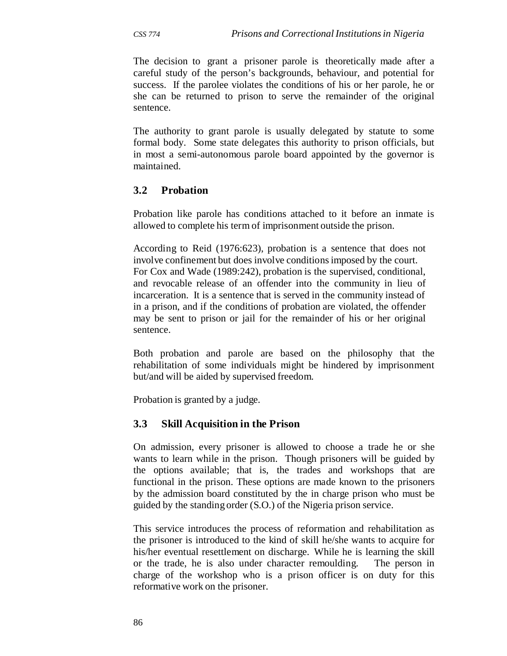The decision to grant a prisoner parole is theoretically made after a careful study of the person's backgrounds, behaviour, and potential for success. If the parolee violates the conditions of his or her parole, he or she can be returned to prison to serve the remainder of the original sentence.

The authority to grant parole is usually delegated by statute to some formal body. Some state delegates this authority to prison officials, but in most a semi-autonomous parole board appointed by the governor is maintained.

## **3.2 Probation**

Probation like parole has conditions attached to it before an inmate is allowed to complete his term of imprisonment outside the prison.

According to Reid (1976:623), probation is a sentence that does not involve confinement but does involve conditions imposed by the court. For Cox and Wade (1989:242), probation is the supervised, conditional, and revocable release of an offender into the community in lieu of incarceration. It is a sentence that is served in the community instead of in a prison, and if the conditions of probation are violated, the offender may be sent to prison or jail for the remainder of his or her original sentence.

Both probation and parole are based on the philosophy that the rehabilitation of some individuals might be hindered by imprisonment but/and will be aided by supervised freedom.

Probation is granted by a judge.

#### **3.3 Skill Acquisition in the Prison**

On admission, every prisoner is allowed to choose a trade he or she wants to learn while in the prison. Though prisoners will be guided by the options available; that is, the trades and workshops that are functional in the prison. These options are made known to the prisoners by the admission board constituted by the in charge prison who must be guided by the standing order (S.O.) of the Nigeria prison service.

This service introduces the process of reformation and rehabilitation as the prisoner is introduced to the kind of skill he/she wants to acquire for his/her eventual resettlement on discharge. While he is learning the skill or the trade, he is also under character remoulding. The person in charge of the workshop who is a prison officer is on duty for this reformative work on the prisoner.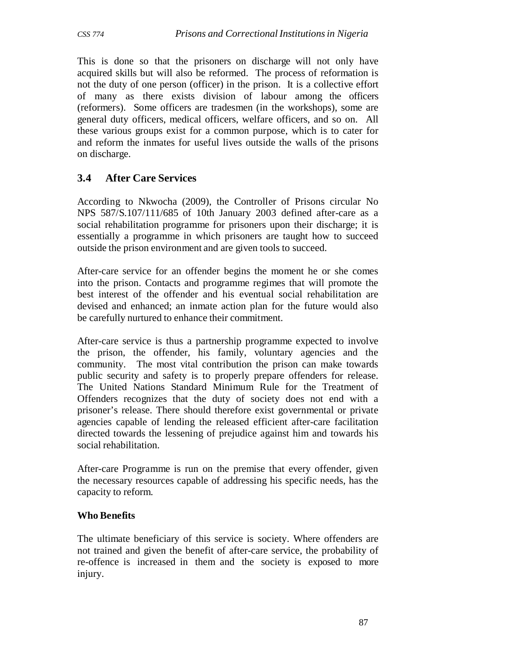This is done so that the prisoners on discharge will not only have acquired skills but will also be reformed. The process of reformation is not the duty of one person (officer) in the prison. It is a collective effort of many as there exists division of labour among the officers (reformers). Some officers are tradesmen (in the workshops), some are general duty officers, medical officers, welfare officers, and so on. All these various groups exist for a common purpose, which is to cater for and reform the inmates for useful lives outside the walls of the prisons on discharge.

# **3.4 After Care Services**

According to Nkwocha (2009), the Controller of Prisons circular No NPS 587/S.107/111/685 of 10th January 2003 defined after-care as a social rehabilitation programme for prisoners upon their discharge; it is essentially a programme in which prisoners are taught how to succeed outside the prison environment and are given tools to succeed.

After-care service for an offender begins the moment he or she comes into the prison. Contacts and programme regimes that will promote the best interest of the offender and his eventual social rehabilitation are devised and enhanced; an inmate action plan for the future would also be carefully nurtured to enhance their commitment.

After-care service is thus a partnership programme expected to involve the prison, the offender, his family, voluntary agencies and the community. The most vital contribution the prison can make towards public security and safety is to properly prepare offenders for release. The United Nations Standard Minimum Rule for the Treatment of Offenders recognizes that the duty of society does not end with a prisoner's release. There should therefore exist governmental or private agencies capable of lending the released efficient after-care facilitation directed towards the lessening of prejudice against him and towards his social rehabilitation.

After-care Programme is run on the premise that every offender, given the necessary resources capable of addressing his specific needs, has the capacity to reform.

## **Who Benefits**

The ultimate beneficiary of this service is society. Where offenders are not trained and given the benefit of after-care service, the probability of re-offence is increased in them and the society is exposed to more injury.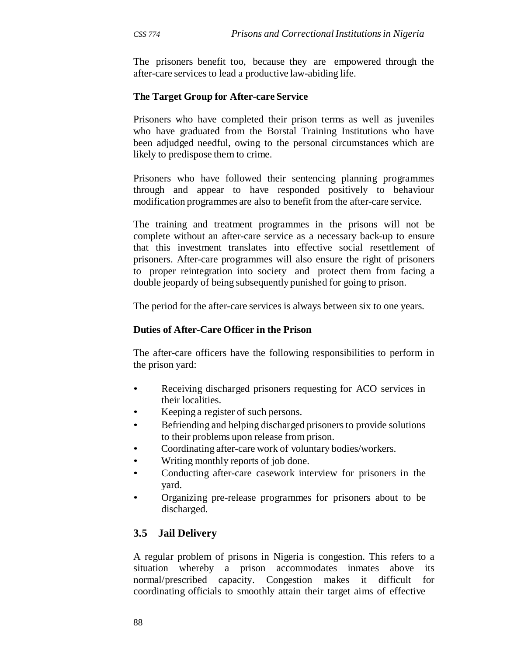The prisoners benefit too, because they are empowered through the after-care services to lead a productive law-abiding life.

#### **The Target Group for After-care Service**

Prisoners who have completed their prison terms as well as juveniles who have graduated from the Borstal Training Institutions who have been adjudged needful, owing to the personal circumstances which are likely to predispose them to crime.

Prisoners who have followed their sentencing planning programmes through and appear to have responded positively to behaviour modification programmes are also to benefit from the after-care service.

The training and treatment programmes in the prisons will not be complete without an after-care service as a necessary back-up to ensure that this investment translates into effective social resettlement of prisoners. After-care programmes will also ensure the right of prisoners to proper reintegration into society and protect them from facing a double jeopardy of being subsequently punished for going to prison.

The period for the after-care services is always between six to one years.

#### **Duties of After-Care Officer in the Prison**

The after-care officers have the following responsibilities to perform in the prison yard:

- Receiving discharged prisoners requesting for ACO services in their localities.
- Keeping a register of such persons.
- Befriending and helping discharged prisoners to provide solutions to their problems upon release from prison.
- Coordinating after-care work of voluntary bodies/workers.
- Writing monthly reports of job done.
- Conducting after-care casework interview for prisoners in the yard.
- Organizing pre-release programmes for prisoners about to be discharged.

## **3.5 Jail Delivery**

A regular problem of prisons in Nigeria is congestion. This refers to a situation whereby a prison accommodates inmates above its normal/prescribed capacity. Congestion makes it difficult for coordinating officials to smoothly attain their target aims of effective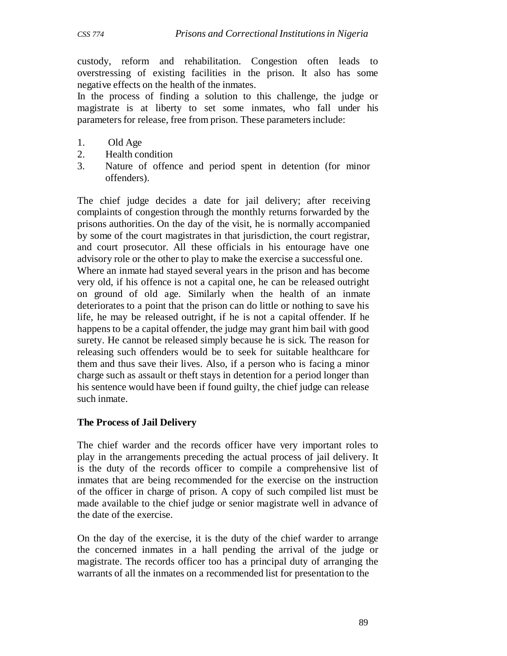custody, reform and rehabilitation. Congestion often leads to overstressing of existing facilities in the prison. It also has some negative effects on the health of the inmates.

In the process of finding a solution to this challenge, the judge or magistrate is at liberty to set some inmates, who fall under his parameters for release, free from prison. These parameters include:

- 1. Old Age
- 2. Health condition
- 3. Nature of offence and period spent in detention (for minor offenders).

The chief judge decides a date for jail delivery; after receiving complaints of congestion through the monthly returns forwarded by the prisons authorities. On the day of the visit, he is normally accompanied by some of the court magistrates in that jurisdiction, the court registrar, and court prosecutor. All these officials in his entourage have one advisory role or the other to play to make the exercise a successful one.

Where an inmate had stayed several years in the prison and has become very old, if his offence is not a capital one, he can be released outright on ground of old age. Similarly when the health of an inmate deteriorates to a point that the prison can do little or nothing to save his life, he may be released outright, if he is not a capital offender. If he happens to be a capital offender, the judge may grant him bail with good surety. He cannot be released simply because he is sick. The reason for releasing such offenders would be to seek for suitable healthcare for them and thus save their lives. Also, if a person who is facing a minor charge such as assault or theft stays in detention for a period longer than his sentence would have been if found guilty, the chief judge can release such inmate.

#### **The Process of Jail Delivery**

The chief warder and the records officer have very important roles to play in the arrangements preceding the actual process of jail delivery. It is the duty of the records officer to compile a comprehensive list of inmates that are being recommended for the exercise on the instruction of the officer in charge of prison. A copy of such compiled list must be made available to the chief judge or senior magistrate well in advance of the date of the exercise.

On the day of the exercise, it is the duty of the chief warder to arrange the concerned inmates in a hall pending the arrival of the judge or magistrate. The records officer too has a principal duty of arranging the warrants of all the inmates on a recommended list for presentation to the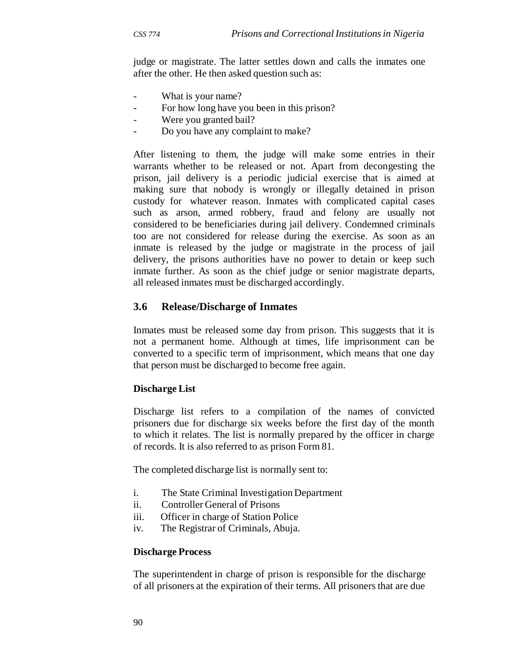judge or magistrate. The latter settles down and calls the inmates one after the other. He then asked question such as:

- What is your name?
- For how long have you been in this prison?
- Were you granted bail?
- Do you have any complaint to make?

After listening to them, the judge will make some entries in their warrants whether to be released or not. Apart from decongesting the prison, jail delivery is a periodic judicial exercise that is aimed at making sure that nobody is wrongly or illegally detained in prison custody for whatever reason. Inmates with complicated capital cases such as arson, armed robbery, fraud and felony are usually not considered to be beneficiaries during jail delivery. Condemned criminals too are not considered for release during the exercise. As soon as an inmate is released by the judge or magistrate in the process of jail delivery, the prisons authorities have no power to detain or keep such inmate further. As soon as the chief judge or senior magistrate departs, all released inmates must be discharged accordingly.

#### **3.6 Release/Discharge of Inmates**

Inmates must be released some day from prison. This suggests that it is not a permanent home. Although at times, life imprisonment can be converted to a specific term of imprisonment, which means that one day that person must be discharged to become free again.

#### **Discharge List**

Discharge list refers to a compilation of the names of convicted prisoners due for discharge six weeks before the first day of the month to which it relates. The list is normally prepared by the officer in charge of records. It is also referred to as prison Form 81.

The completed discharge list is normally sent to:

- i. The State Criminal Investigation Department
- ii. Controller General of Prisons
- iii. Officer in charge of Station Police
- iv. The Registrar of Criminals, Abuja.

#### **Discharge Process**

The superintendent in charge of prison is responsible for the discharge of all prisoners at the expiration of their terms. All prisoners that are due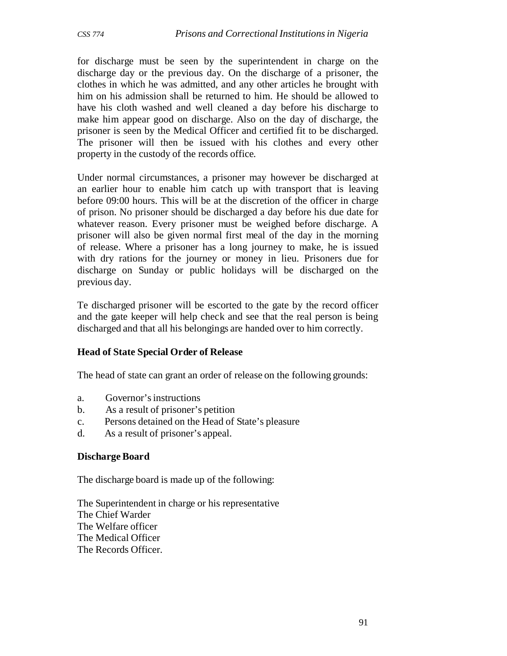for discharge must be seen by the superintendent in charge on the discharge day or the previous day. On the discharge of a prisoner, the clothes in which he was admitted, and any other articles he brought with him on his admission shall be returned to him. He should be allowed to have his cloth washed and well cleaned a day before his discharge to make him appear good on discharge. Also on the day of discharge, the prisoner is seen by the Medical Officer and certified fit to be discharged. The prisoner will then be issued with his clothes and every other property in the custody of the records office.

Under normal circumstances, a prisoner may however be discharged at an earlier hour to enable him catch up with transport that is leaving before 09:00 hours. This will be at the discretion of the officer in charge of prison. No prisoner should be discharged a day before his due date for whatever reason. Every prisoner must be weighed before discharge. A prisoner will also be given normal first meal of the day in the morning of release. Where a prisoner has a long journey to make, he is issued with dry rations for the journey or money in lieu. Prisoners due for discharge on Sunday or public holidays will be discharged on the previous day.

Te discharged prisoner will be escorted to the gate by the record officer and the gate keeper will help check and see that the real person is being discharged and that all his belongings are handed over to him correctly.

#### **Head of State Special Order of Release**

The head of state can grant an order of release on the following grounds:

- a. Governor's instructions
- b. As a result of prisoner's petition
- c. Persons detained on the Head of State's pleasure
- d. As a result of prisoner's appeal.

#### **Discharge Board**

The discharge board is made up of the following:

The Superintendent in charge or his representative The Chief Warder The Welfare officer The Medical Officer The Records Officer.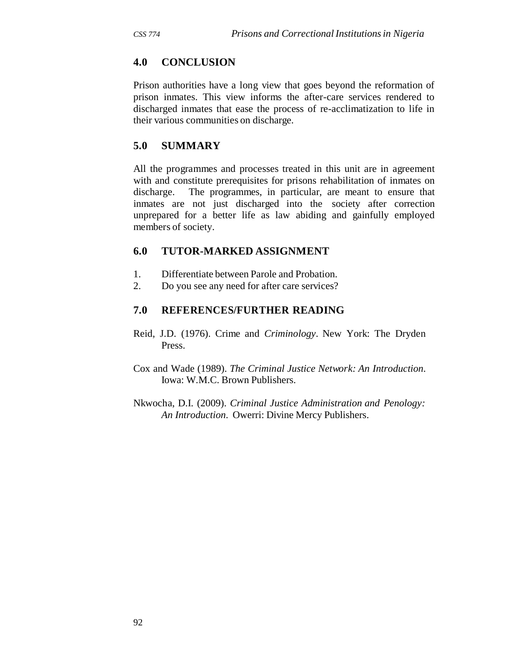## **4.0 CONCLUSION**

Prison authorities have a long view that goes beyond the reformation of prison inmates. This view informs the after-care services rendered to discharged inmates that ease the process of re-acclimatization to life in their various communities on discharge.

## **5.0 SUMMARY**

All the programmes and processes treated in this unit are in agreement with and constitute prerequisites for prisons rehabilitation of inmates on discharge. The programmes, in particular, are meant to ensure that inmates are not just discharged into the society after correction unprepared for a better life as law abiding and gainfully employed members of society.

#### **6.0 TUTOR-MARKED ASSIGNMENT**

- 1. Differentiate between Parole and Probation.
- 2. Do you see any need for after care services?

#### **7.0 REFERENCES/FURTHER READING**

Reid, J.D. (1976). Crime and *Criminology*. New York: The Dryden Press.

Cox and Wade (1989). *The Criminal Justice Network: An Introduction*. Iowa: W.M.C. Brown Publishers.

Nkwocha, D.I. (2009). *Criminal Justice Administration and Penology: An Introduction*. Owerri: Divine Mercy Publishers.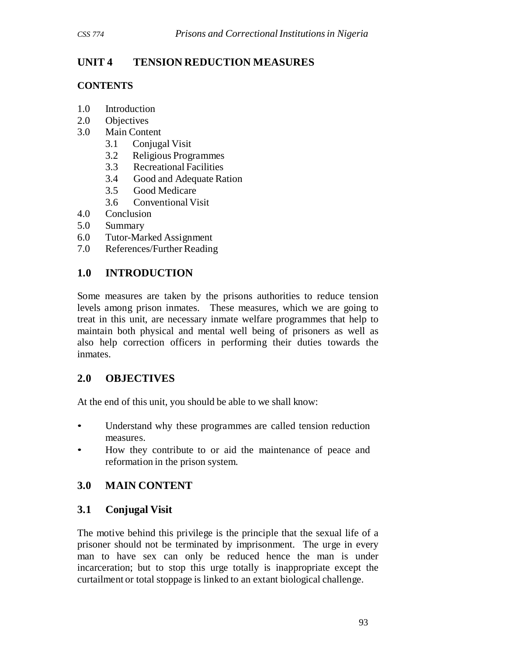# **UNIT 4 TENSION REDUCTION MEASURES**

### **CONTENTS**

- 1.0 Introduction
- 2.0 Objectives
- 3.0 Main Content
	- 3.1 Conjugal Visit
	- 3.2 Religious Programmes
	- 3.3 Recreational Facilities
	- 3.4 Good and Adequate Ration
	- 3.5 Good Medicare
	- 3.6 Conventional Visit
- 4.0 Conclusion
- 5.0 Summary
- 6.0 Tutor-Marked Assignment
- 7.0 References/Further Reading

# **1.0 INTRODUCTION**

Some measures are taken by the prisons authorities to reduce tension levels among prison inmates. These measures, which we are going to treat in this unit, are necessary inmate welfare programmes that help to maintain both physical and mental well being of prisoners as well as also help correction officers in performing their duties towards the inmates.

# **2.0 OBJECTIVES**

At the end of this unit, you should be able to we shall know:

- Understand why these programmes are called tension reduction measures.
- How they contribute to or aid the maintenance of peace and reformation in the prison system.

# **3.0 MAIN CONTENT**

# **3.1 Conjugal Visit**

The motive behind this privilege is the principle that the sexual life of a prisoner should not be terminated by imprisonment. The urge in every man to have sex can only be reduced hence the man is under incarceration; but to stop this urge totally is inappropriate except the curtailment or total stoppage is linked to an extant biological challenge.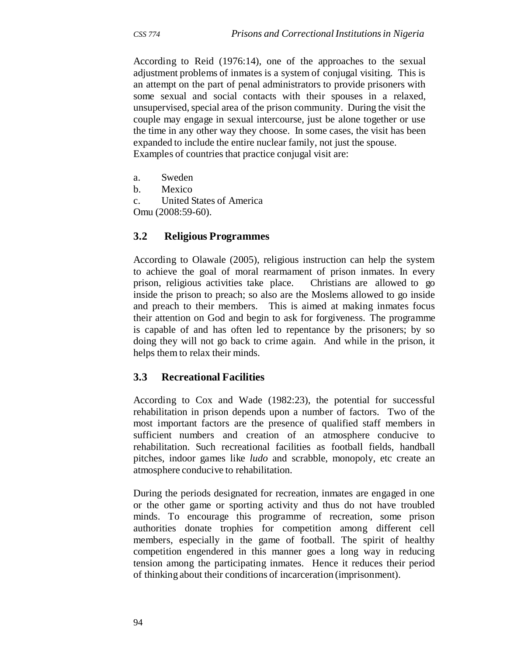According to Reid (1976:14), one of the approaches to the sexual adjustment problems of inmates is a system of conjugal visiting. This is an attempt on the part of penal administrators to provide prisoners with some sexual and social contacts with their spouses in a relaxed, unsupervised, special area of the prison community. During the visit the couple may engage in sexual intercourse, just be alone together or use the time in any other way they choose. In some cases, the visit has been expanded to include the entire nuclear family, not just the spouse. Examples of countries that practice conjugal visit are:

- a. Sweden
- b. Mexico
- c. United States of America

Omu (2008:59-60).

### **3.2 Religious Programmes**

According to Olawale (2005), religious instruction can help the system to achieve the goal of moral rearmament of prison inmates. In every prison, religious activities take place. Christians are allowed to go inside the prison to preach; so also are the Moslems allowed to go inside and preach to their members. This is aimed at making inmates focus their attention on God and begin to ask for forgiveness. The programme is capable of and has often led to repentance by the prisoners; by so doing they will not go back to crime again. And while in the prison, it helps them to relax their minds.

#### **3.3 Recreational Facilities**

According to Cox and Wade (1982:23), the potential for successful rehabilitation in prison depends upon a number of factors. Two of the most important factors are the presence of qualified staff members in sufficient numbers and creation of an atmosphere conducive to rehabilitation. Such recreational facilities as football fields, handball pitches, indoor games like *ludo* and scrabble, monopoly, etc create an atmosphere conducive to rehabilitation.

During the periods designated for recreation, inmates are engaged in one or the other game or sporting activity and thus do not have troubled minds. To encourage this programme of recreation, some prison authorities donate trophies for competition among different cell members, especially in the game of football. The spirit of healthy competition engendered in this manner goes a long way in reducing tension among the participating inmates. Hence it reduces their period of thinking about their conditions of incarceration (imprisonment).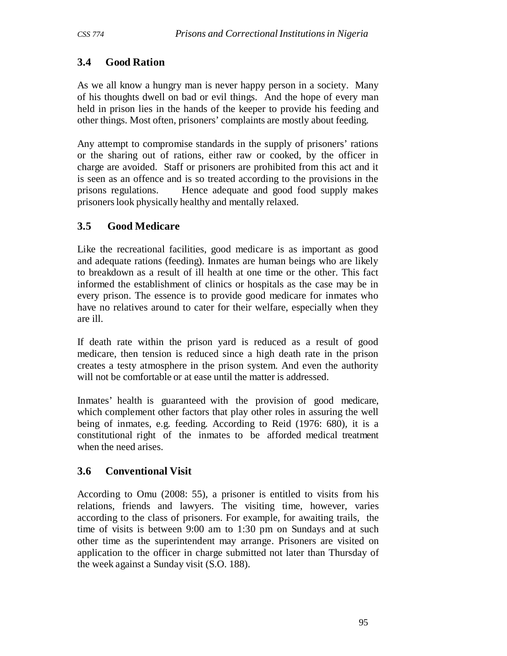# **3.4 Good Ration**

As we all know a hungry man is never happy person in a society. Many of his thoughts dwell on bad or evil things. And the hope of every man held in prison lies in the hands of the keeper to provide his feeding and other things. Most often, prisoners' complaints are mostly about feeding.

Any attempt to compromise standards in the supply of prisoners' rations or the sharing out of rations, either raw or cooked, by the officer in charge are avoided. Staff or prisoners are prohibited from this act and it is seen as an offence and is so treated according to the provisions in the prisons regulations. Hence adequate and good food supply makes prisoners look physically healthy and mentally relaxed.

# **3.5 Good Medicare**

Like the recreational facilities, good medicare is as important as good and adequate rations (feeding). Inmates are human beings who are likely to breakdown as a result of ill health at one time or the other. This fact informed the establishment of clinics or hospitals as the case may be in every prison. The essence is to provide good medicare for inmates who have no relatives around to cater for their welfare, especially when they are ill.

If death rate within the prison yard is reduced as a result of good medicare, then tension is reduced since a high death rate in the prison creates a testy atmosphere in the prison system. And even the authority will not be comfortable or at ease until the matter is addressed.

Inmates' health is guaranteed with the provision of good medicare, which complement other factors that play other roles in assuring the well being of inmates, e.g. feeding. According to Reid (1976: 680), it is a constitutional right of the inmates to be afforded medical treatment when the need arises.

# **3.6 Conventional Visit**

According to Omu (2008: 55), a prisoner is entitled to visits from his relations, friends and lawyers. The visiting time, however, varies according to the class of prisoners. For example, for awaiting trails, the time of visits is between 9:00 am to 1:30 pm on Sundays and at such other time as the superintendent may arrange. Prisoners are visited on application to the officer in charge submitted not later than Thursday of the week against a Sunday visit (S.O. 188).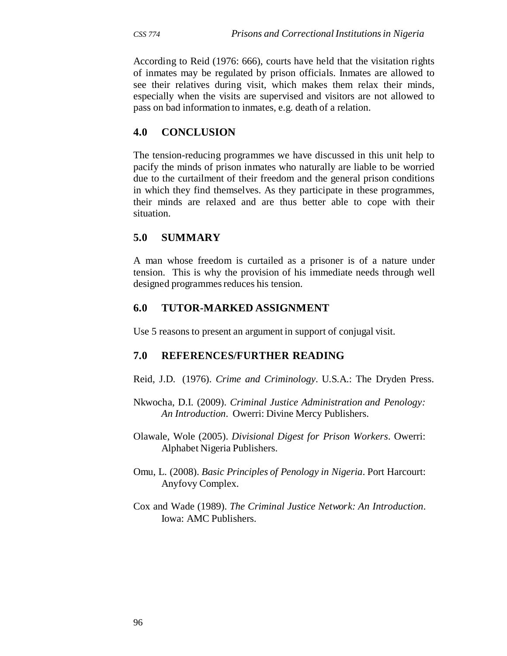According to Reid (1976: 666), courts have held that the visitation rights of inmates may be regulated by prison officials. Inmates are allowed to see their relatives during visit, which makes them relax their minds, especially when the visits are supervised and visitors are not allowed to pass on bad information to inmates, e.g. death of a relation.

### **4.0 CONCLUSION**

The tension-reducing programmes we have discussed in this unit help to pacify the minds of prison inmates who naturally are liable to be worried due to the curtailment of their freedom and the general prison conditions in which they find themselves. As they participate in these programmes, their minds are relaxed and are thus better able to cope with their situation.

### **5.0 SUMMARY**

A man whose freedom is curtailed as a prisoner is of a nature under tension. This is why the provision of his immediate needs through well designed programmes reduces his tension.

### **6.0 TUTOR-MARKED ASSIGNMENT**

Use 5 reasons to present an argument in support of conjugal visit.

- Reid, J.D. (1976). *Crime and Criminology*. U.S.A.: The Dryden Press.
- Nkwocha, D.I. (2009). *Criminal Justice Administration and Penology: An Introduction*. Owerri: Divine Mercy Publishers.
- Olawale, Wole (2005). *Divisional Digest for Prison Workers*. Owerri: Alphabet Nigeria Publishers.
- Omu, L. (2008). *Basic Principles of Penology in Nigeria*. Port Harcourt: Anyfovy Complex.
- Cox and Wade (1989). *The Criminal Justice Network: An Introduction*. Iowa: AMC Publishers.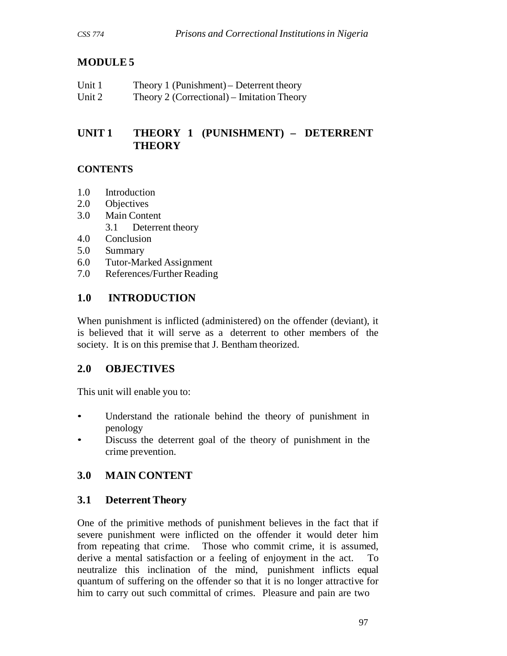# **MODULE 5**

| Unit 1 | Theory 1 (Punishment) – Deterrent theory   |
|--------|--------------------------------------------|
| Unit 2 | Theory 2 (Correctional) – Imitation Theory |

# **UNIT 1 THEORY 1 (PUNISHMENT) – DETERRENT THEORY**

### **CONTENTS**

- 1.0 Introduction
- 2.0 Objectives
- 3.0 Main Content
	- 3.1 Deterrent theory
- 4.0 Conclusion
- 5.0 Summary
- 6.0 Tutor-Marked Assignment
- 7.0 References/Further Reading

# **1.0 INTRODUCTION**

When punishment is inflicted (administered) on the offender (deviant), it is believed that it will serve as a deterrent to other members of the society. It is on this premise that J. Bentham theorized.

# **2.0 OBJECTIVES**

This unit will enable you to:

- Understand the rationale behind the theory of punishment in penology
- Discuss the deterrent goal of the theory of punishment in the crime prevention.

# **3.0 MAIN CONTENT**

# **3.1 Deterrent Theory**

One of the primitive methods of punishment believes in the fact that if severe punishment were inflicted on the offender it would deter him from repeating that crime. Those who commit crime, it is assumed, derive a mental satisfaction or a feeling of enjoyment in the act. To neutralize this inclination of the mind, punishment inflicts equal quantum of suffering on the offender so that it is no longer attractive for him to carry out such committal of crimes. Pleasure and pain are two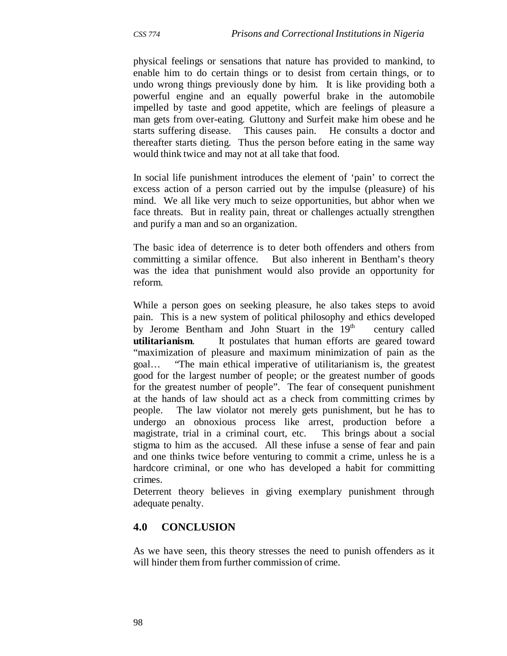physical feelings or sensations that nature has provided to mankind, to enable him to do certain things or to desist from certain things, or to undo wrong things previously done by him. It is like providing both a powerful engine and an equally powerful brake in the automobile impelled by taste and good appetite, which are feelings of pleasure a man gets from over-eating. Gluttony and Surfeit make him obese and he starts suffering disease. This causes pain. He consults a doctor and thereafter starts dieting. Thus the person before eating in the same way would think twice and may not at all take that food.

In social life punishment introduces the element of 'pain' to correct the excess action of a person carried out by the impulse (pleasure) of his mind. We all like very much to seize opportunities, but abhor when we face threats. But in reality pain, threat or challenges actually strengthen and purify a man and so an organization.

The basic idea of deterrence is to deter both offenders and others from committing a similar offence. But also inherent in Bentham's theory was the idea that punishment would also provide an opportunity for reform.

While a person goes on seeking pleasure, he also takes steps to avoid pain. This is a new system of political philosophy and ethics developed by Jerome Bentham and John Stuart in the  $19<sup>th</sup>$  century called **utilitarianism**. It postulates that human efforts are geared toward "maximization of pleasure and maximum minimization of pain as the goal… "The main ethical imperative of utilitarianism is, the greatest good for the largest number of people; or the greatest number of goods for the greatest number of people". The fear of consequent punishment at the hands of law should act as a check from committing crimes by people. The law violator not merely gets punishment, but he has to undergo an obnoxious process like arrest, production before a magistrate, trial in a criminal court, etc. This brings about a social stigma to him as the accused. All these infuse a sense of fear and pain and one thinks twice before venturing to commit a crime, unless he is a hardcore criminal, or one who has developed a habit for committing crimes.

Deterrent theory believes in giving exemplary punishment through adequate penalty.

### **4.0 CONCLUSION**

As we have seen, this theory stresses the need to punish offenders as it will hinder them from further commission of crime.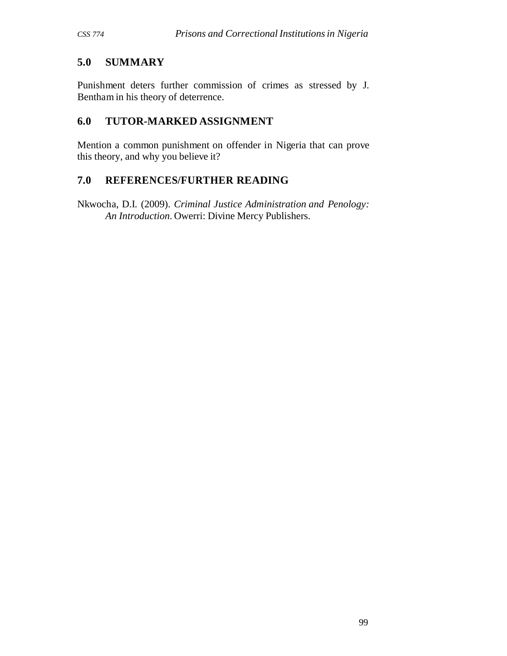# **5.0 SUMMARY**

Punishment deters further commission of crimes as stressed by J. Bentham in his theory of deterrence.

# **6.0 TUTOR-MARKED ASSIGNMENT**

Mention a common punishment on offender in Nigeria that can prove this theory, and why you believe it?

# **7.0 REFERENCES/FURTHER READING**

Nkwocha, D.I. (2009). *Criminal Justice Administration and Penology: An Introduction*. Owerri: Divine Mercy Publishers.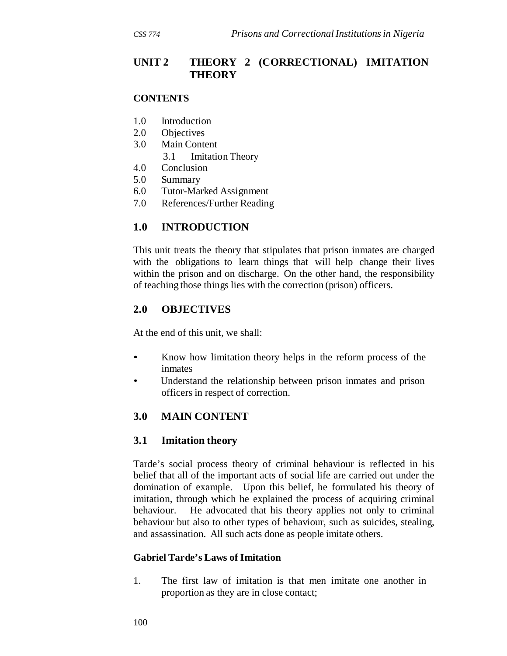## **UNIT 2 THEORY 2 (CORRECTIONAL) IMITATION THEORY**

#### **CONTENTS**

- 1.0 Introduction
- 2.0 Objectives
- 3.0 Main Content
	- 3.1 Imitation Theory
- 4.0 Conclusion
- 5.0 Summary
- 6.0 Tutor-Marked Assignment
- 7.0 References/Further Reading

# **1.0 INTRODUCTION**

This unit treats the theory that stipulates that prison inmates are charged with the obligations to learn things that will help change their lives within the prison and on discharge. On the other hand, the responsibility of teaching those things lies with the correction (prison) officers.

### **2.0 OBJECTIVES**

At the end of this unit, we shall:

- Know how limitation theory helps in the reform process of the inmates
- Understand the relationship between prison inmates and prison officers in respect of correction.

# **3.0 MAIN CONTENT**

### **3.1 Imitation theory**

Tarde's social process theory of criminal behaviour is reflected in his belief that all of the important acts of social life are carried out under the domination of example. Upon this belief, he formulated his theory of imitation, through which he explained the process of acquiring criminal behaviour. He advocated that his theory applies not only to criminal behaviour but also to other types of behaviour, such as suicides, stealing, and assassination. All such acts done as people imitate others.

### **Gabriel Tarde's Laws of Imitation**

1. The first law of imitation is that men imitate one another in proportion as they are in close contact;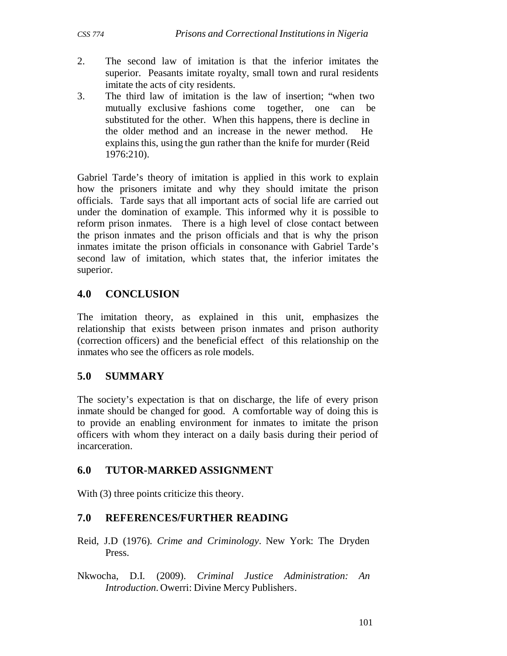- 2. The second law of imitation is that the inferior imitates the superior. Peasants imitate royalty, small town and rural residents imitate the acts of city residents.
- 3. The third law of imitation is the law of insertion; "when two mutually exclusive fashions come together, one can be substituted for the other. When this happens, there is decline in the older method and an increase in the newer method. He explains this, using the gun rather than the knife for murder (Reid 1976:210).

Gabriel Tarde's theory of imitation is applied in this work to explain how the prisoners imitate and why they should imitate the prison officials. Tarde says that all important acts of social life are carried out under the domination of example. This informed why it is possible to reform prison inmates. There is a high level of close contact between the prison inmates and the prison officials and that is why the prison inmates imitate the prison officials in consonance with Gabriel Tarde's second law of imitation, which states that, the inferior imitates the superior.

### **4.0 CONCLUSION**

The imitation theory, as explained in this unit, emphasizes the relationship that exists between prison inmates and prison authority (correction officers) and the beneficial effect of this relationship on the inmates who see the officers as role models.

# **5.0 SUMMARY**

The society's expectation is that on discharge, the life of every prison inmate should be changed for good. A comfortable way of doing this is to provide an enabling environment for inmates to imitate the prison officers with whom they interact on a daily basis during their period of incarceration.

# **6.0 TUTOR-MARKED ASSIGNMENT**

With (3) three points criticize this theory.

- Reid, J.D (1976). *Crime and Criminology*. New York: The Dryden Press.
- Nkwocha, D.I. (2009). *Criminal Justice Administration: An Introduction*. Owerri: Divine Mercy Publishers.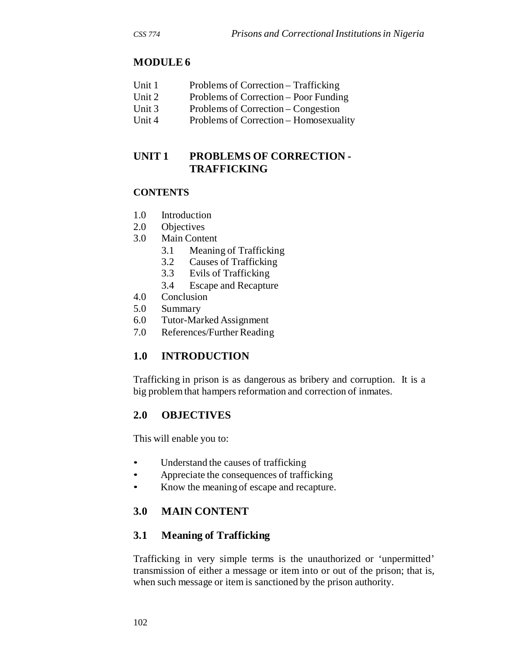# **MODULE 6**

- Unit 1 Problems of Correction Trafficking
- Unit 2 Problems of Correction Poor Funding
- Unit 3 Problems of Correction Congestion
- Unit 4 Problems of Correction Homosexuality

# **UNIT 1 PROBLEMS OF CORRECTION - TRAFFICKING**

#### **CONTENTS**

- 1.0 Introduction
- 2.0 Objectives
- 3.0 Main Content
	- 3.1 Meaning of Trafficking
	- 3.2 Causes of Trafficking
	- 3.3 Evils of Trafficking
	- 3.4 Escape and Recapture
- 4.0 Conclusion
- 5.0 Summary
- 6.0 Tutor-Marked Assignment
- 7.0 References/Further Reading

### **1.0 INTRODUCTION**

Trafficking in prison is as dangerous as bribery and corruption. It is a big problem that hampers reformation and correction of inmates.

### **2.0 OBJECTIVES**

This will enable you to:

- Understand the causes of trafficking
- Appreciate the consequences of trafficking
- Know the meaning of escape and recapture.

### **3.0 MAIN CONTENT**

### **3.1 Meaning of Trafficking**

Trafficking in very simple terms is the unauthorized or 'unpermitted' transmission of either a message or item into or out of the prison; that is, when such message or item is sanctioned by the prison authority.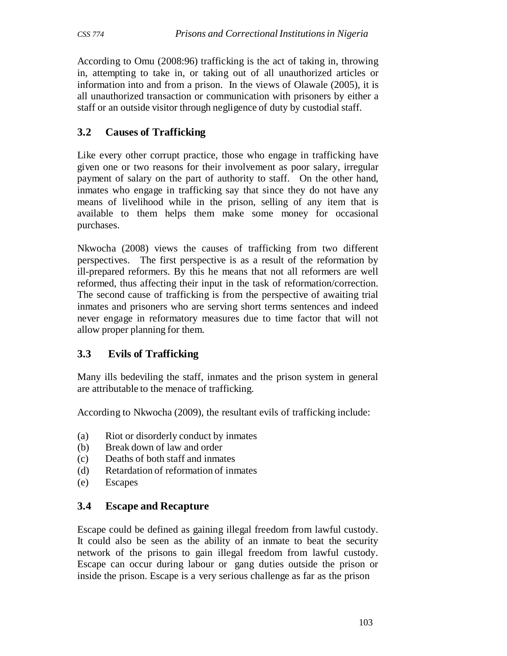According to Omu (2008:96) trafficking is the act of taking in, throwing in, attempting to take in, or taking out of all unauthorized articles or information into and from a prison. In the views of Olawale (2005), it is all unauthorized transaction or communication with prisoners by either a staff or an outside visitor through negligence of duty by custodial staff.

## **3.2 Causes of Trafficking**

Like every other corrupt practice, those who engage in trafficking have given one or two reasons for their involvement as poor salary, irregular payment of salary on the part of authority to staff. On the other hand, inmates who engage in trafficking say that since they do not have any means of livelihood while in the prison, selling of any item that is available to them helps them make some money for occasional purchases.

Nkwocha (2008) views the causes of trafficking from two different perspectives. The first perspective is as a result of the reformation by ill-prepared reformers. By this he means that not all reformers are well reformed, thus affecting their input in the task of reformation/correction. The second cause of trafficking is from the perspective of awaiting trial inmates and prisoners who are serving short terms sentences and indeed never engage in reformatory measures due to time factor that will not allow proper planning for them.

# **3.3 Evils of Trafficking**

Many ills bedeviling the staff, inmates and the prison system in general are attributable to the menace of trafficking.

According to Nkwocha (2009), the resultant evils of trafficking include:

- (a) Riot or disorderly conduct by inmates
- (b) Break down of law and order
- (c) Deaths of both staff and inmates
- (d) Retardation of reformation of inmates
- (e) Escapes

# **3.4 Escape and Recapture**

Escape could be defined as gaining illegal freedom from lawful custody. It could also be seen as the ability of an inmate to beat the security network of the prisons to gain illegal freedom from lawful custody. Escape can occur during labour or gang duties outside the prison or inside the prison. Escape is a very serious challenge as far as the prison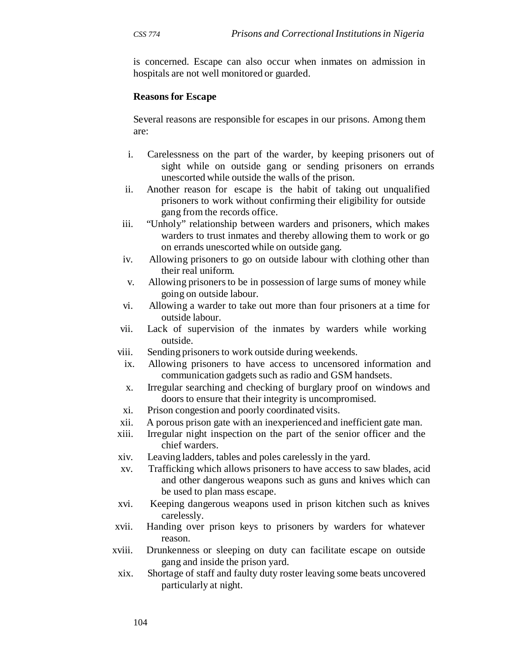is concerned. Escape can also occur when inmates on admission in hospitals are not well monitored or guarded.

#### **Reasons for Escape**

Several reasons are responsible for escapes in our prisons. Among them are:

- i. Carelessness on the part of the warder, by keeping prisoners out of sight while on outside gang or sending prisoners on errands unescorted while outside the walls of the prison.
- ii. Another reason for escape is the habit of taking out unqualified prisoners to work without confirming their eligibility for outside gang from the records office.
- iii. "Unholy" relationship between warders and prisoners, which makes warders to trust inmates and thereby allowing them to work or go on errands unescorted while on outside gang.
- iv. Allowing prisoners to go on outside labour with clothing other than their real uniform.
- v. Allowing prisoners to be in possession of large sums of money while going on outside labour.
- vi. Allowing a warder to take out more than four prisoners at a time for outside labour.
- vii. Lack of supervision of the inmates by warders while working outside.
- viii. Sending prisoners to work outside during weekends.
- ix. Allowing prisoners to have access to uncensored information and communication gadgets such as radio and GSM handsets.
- x. Irregular searching and checking of burglary proof on windows and doors to ensure that their integrity is uncompromised.
- xi. Prison congestion and poorly coordinated visits.
- xii. A porous prison gate with an inexperienced and inefficient gate man.
- xiii. Irregular night inspection on the part of the senior officer and the chief warders.
- xiv. Leaving ladders, tables and poles carelessly in the yard.
- xv. Trafficking which allows prisoners to have access to saw blades, acid and other dangerous weapons such as guns and knives which can be used to plan mass escape.
- xvi. Keeping dangerous weapons used in prison kitchen such as knives carelessly.
- xvii. Handing over prison keys to prisoners by warders for whatever reason.
- xviii. Drunkenness or sleeping on duty can facilitate escape on outside gang and inside the prison yard.
	- xix. Shortage of staff and faulty duty roster leaving some beats uncovered particularly at night.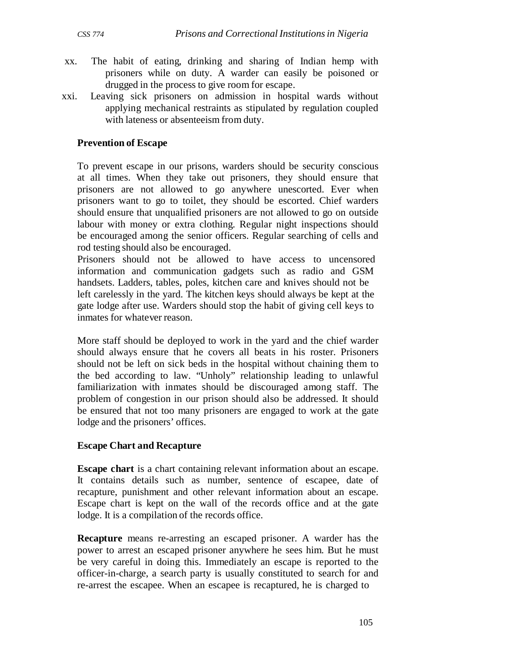- xx. The habit of eating, drinking and sharing of Indian hemp with prisoners while on duty. A warder can easily be poisoned or drugged in the process to give room for escape.
- xxi. Leaving sick prisoners on admission in hospital wards without applying mechanical restraints as stipulated by regulation coupled with lateness or absenteeism from duty.

#### **Prevention of Escape**

To prevent escape in our prisons, warders should be security conscious at all times. When they take out prisoners, they should ensure that prisoners are not allowed to go anywhere unescorted. Ever when prisoners want to go to toilet, they should be escorted. Chief warders should ensure that unqualified prisoners are not allowed to go on outside labour with money or extra clothing. Regular night inspections should be encouraged among the senior officers. Regular searching of cells and rod testing should also be encouraged.

Prisoners should not be allowed to have access to uncensored information and communication gadgets such as radio and GSM handsets. Ladders, tables, poles, kitchen care and knives should not be left carelessly in the yard. The kitchen keys should always be kept at the gate lodge after use. Warders should stop the habit of giving cell keys to inmates for whatever reason.

More staff should be deployed to work in the yard and the chief warder should always ensure that he covers all beats in his roster. Prisoners should not be left on sick beds in the hospital without chaining them to the bed according to law. "Unholy" relationship leading to unlawful familiarization with inmates should be discouraged among staff. The problem of congestion in our prison should also be addressed. It should be ensured that not too many prisoners are engaged to work at the gate lodge and the prisoners' offices.

#### **Escape Chart and Recapture**

**Escape chart** is a chart containing relevant information about an escape. It contains details such as number, sentence of escapee, date of recapture, punishment and other relevant information about an escape. Escape chart is kept on the wall of the records office and at the gate lodge. It is a compilation of the records office.

**Recapture** means re-arresting an escaped prisoner. A warder has the power to arrest an escaped prisoner anywhere he sees him. But he must be very careful in doing this. Immediately an escape is reported to the officer-in-charge, a search party is usually constituted to search for and re-arrest the escapee. When an escapee is recaptured, he is charged to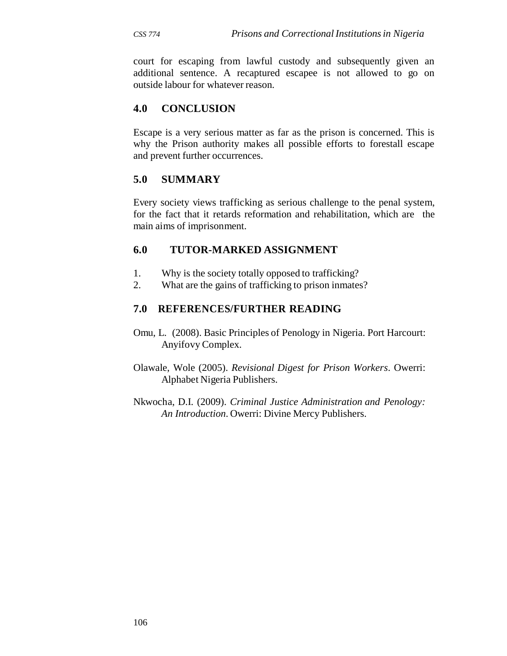court for escaping from lawful custody and subsequently given an additional sentence. A recaptured escapee is not allowed to go on outside labour for whatever reason.

### **4.0 CONCLUSION**

Escape is a very serious matter as far as the prison is concerned. This is why the Prison authority makes all possible efforts to forestall escape and prevent further occurrences.

### **5.0 SUMMARY**

Every society views trafficking as serious challenge to the penal system, for the fact that it retards reformation and rehabilitation, which are the main aims of imprisonment.

### **6.0 TUTOR-MARKED ASSIGNMENT**

- 1. Why is the society totally opposed to trafficking?
- 2. What are the gains of trafficking to prison inmates?

- Omu, L. (2008). Basic Principles of Penology in Nigeria. Port Harcourt: Anyifovy Complex.
- Olawale, Wole (2005). *Revisional Digest for Prison Workers*. Owerri: Alphabet Nigeria Publishers.
- Nkwocha, D.I. (2009). *Criminal Justice Administration and Penology: An Introduction*. Owerri: Divine Mercy Publishers.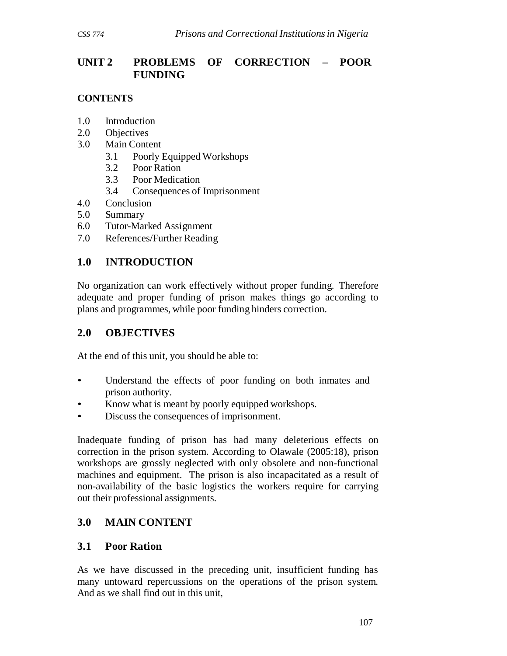# **UNIT 2 PROBLEMS OF CORRECTION – POOR FUNDING**

### **CONTENTS**

- 1.0 Introduction
- 2.0 Objectives
- 3.0 Main Content
	- 3.1 Poorly Equipped Workshops
	- 3.2 Poor Ration
	- 3.3 Poor Medication
	- 3.4 Consequences of Imprisonment
- 4.0 Conclusion
- 5.0 Summary
- 6.0 Tutor-Marked Assignment
- 7.0 References/Further Reading

### **1.0 INTRODUCTION**

No organization can work effectively without proper funding. Therefore adequate and proper funding of prison makes things go according to plans and programmes, while poor funding hinders correction.

### **2.0 OBJECTIVES**

At the end of this unit, you should be able to:

- Understand the effects of poor funding on both inmates and prison authority.
- Know what is meant by poorly equipped workshops.
- Discuss the consequences of imprisonment.

Inadequate funding of prison has had many deleterious effects on correction in the prison system. According to Olawale (2005:18), prison workshops are grossly neglected with only obsolete and non-functional machines and equipment. The prison is also incapacitated as a result of non-availability of the basic logistics the workers require for carrying out their professional assignments.

### **3.0 MAIN CONTENT**

### **3.1 Poor Ration**

As we have discussed in the preceding unit, insufficient funding has many untoward repercussions on the operations of the prison system. And as we shall find out in this unit,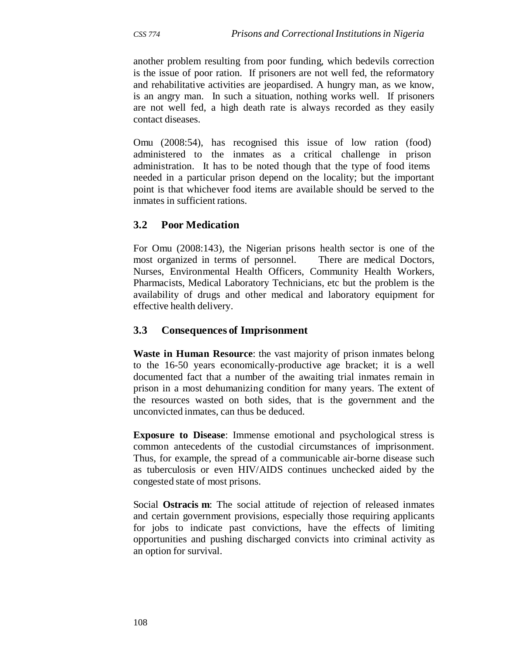another problem resulting from poor funding, which bedevils correction is the issue of poor ration. If prisoners are not well fed, the reformatory and rehabilitative activities are jeopardised. A hungry man, as we know, is an angry man. In such a situation, nothing works well. If prisoners are not well fed, a high death rate is always recorded as they easily contact diseases.

Omu (2008:54), has recognised this issue of low ration (food) administered to the inmates as a critical challenge in prison administration. It has to be noted though that the type of food items needed in a particular prison depend on the locality; but the important point is that whichever food items are available should be served to the inmates in sufficient rations.

### **3.2 Poor Medication**

For Omu (2008:143), the Nigerian prisons health sector is one of the most organized in terms of personnel. There are medical Doctors, Nurses, Environmental Health Officers, Community Health Workers, Pharmacists, Medical Laboratory Technicians, etc but the problem is the availability of drugs and other medical and laboratory equipment for effective health delivery.

#### **3.3 Consequences of Imprisonment**

**Waste in Human Resource**: the vast majority of prison inmates belong to the 16-50 years economically-productive age bracket; it is a well documented fact that a number of the awaiting trial inmates remain in prison in a most dehumanizing condition for many years. The extent of the resources wasted on both sides, that is the government and the unconvicted inmates, can thus be deduced.

**Exposure to Disease**: Immense emotional and psychological stress is common antecedents of the custodial circumstances of imprisonment. Thus, for example, the spread of a communicable air-borne disease such as tuberculosis or even HIV/AIDS continues unchecked aided by the congested state of most prisons.

Social **Ostracis m**: The social attitude of rejection of released inmates and certain government provisions, especially those requiring applicants for jobs to indicate past convictions, have the effects of limiting opportunities and pushing discharged convicts into criminal activity as an option for survival.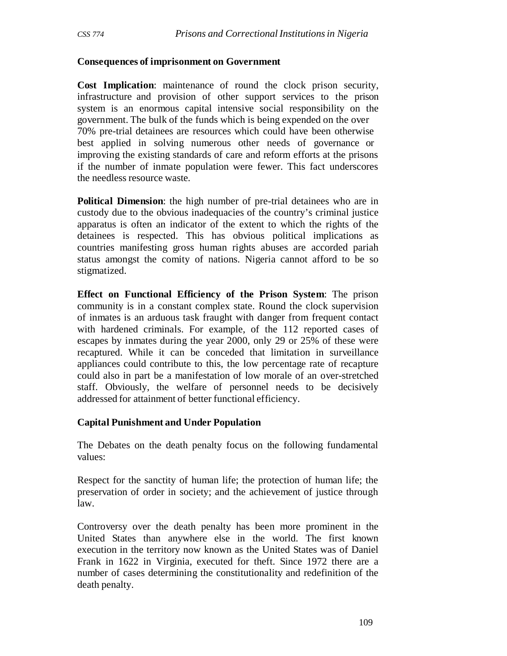#### **Consequences of imprisonment on Government**

**Cost Implication**: maintenance of round the clock prison security, infrastructure and provision of other support services to the prison system is an enormous capital intensive social responsibility on the government. The bulk of the funds which is being expended on the over 70% pre-trial detainees are resources which could have been otherwise best applied in solving numerous other needs of governance or improving the existing standards of care and reform efforts at the prisons if the number of inmate population were fewer. This fact underscores the needless resource waste.

**Political Dimension**: the high number of pre-trial detainees who are in custody due to the obvious inadequacies of the country's criminal justice apparatus is often an indicator of the extent to which the rights of the detainees is respected. This has obvious political implications as countries manifesting gross human rights abuses are accorded pariah status amongst the comity of nations. Nigeria cannot afford to be so stigmatized.

**Effect on Functional Efficiency of the Prison System**: The prison community is in a constant complex state. Round the clock supervision of inmates is an arduous task fraught with danger from frequent contact with hardened criminals. For example, of the 112 reported cases of escapes by inmates during the year 2000, only 29 or 25% of these were recaptured. While it can be conceded that limitation in surveillance appliances could contribute to this, the low percentage rate of recapture could also in part be a manifestation of low morale of an over-stretched staff. Obviously, the welfare of personnel needs to be decisively addressed for attainment of better functional efficiency.

#### **Capital Punishment and Under Population**

The Debates on the death penalty focus on the following fundamental values:

Respect for the sanctity of human life; the protection of human life; the preservation of order in society; and the achievement of justice through law.

Controversy over the death penalty has been more prominent in the United States than anywhere else in the world. The first known execution in the territory now known as the United States was of Daniel Frank in 1622 in Virginia, executed for theft. Since 1972 there are a number of cases determining the constitutionality and redefinition of the death penalty.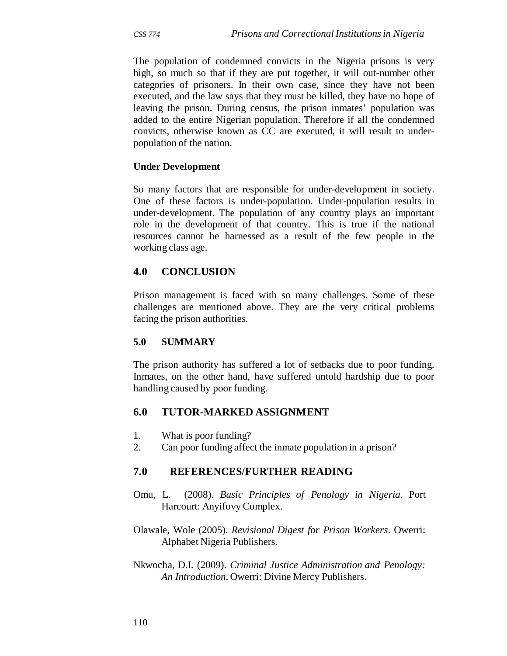The population of condemned convicts in the Nigeria prisons is very high, so much so that if they are put together, it will out-number other categories of prisoners. In their own case, since they have not been executed, and the law says that they must be killed, they have no hope of leaving the prison. During census, the prison inmates' population was added to the entire Nigerian population. Therefore if all the condemned convicts, otherwise known as CC are executed, it will result to underpopulation of the nation.

#### **Under Development**

So many factors that are responsible for under-development in society. One of these factors is under-population. Under-population results in under-development. The population of any country plays an important role in the development of that country. This is true if the national resources cannot be harnessed as a result of the few people in the working class age.

### **4.0 CONCLUSION**

Prison management is faced with so many challenges. Some of these challenges are mentioned above. They are the very critical problems facing the prison authorities.

#### **5.0 SUMMARY**

The prison authority has suffered a lot of setbacks due to poor funding. Inmates, on the other hand, have suffered untold hardship due to poor handling caused by poor funding.

#### **6.0 TUTOR-MARKED ASSIGNMENT**

- 1. What is poor funding?
- 2. Can poor funding affect the inmate population in a prison?

- Omu, L. (2008). *Basic Principles of Penology in Nigeria*. Port Harcourt: Anyifovy Complex.
- Olawale, Wole (2005). *Revisional Digest for Prison Workers*. Owerri: Alphabet Nigeria Publishers.
- Nkwocha, D.I. (2009). *Criminal Justice Administration and Penology: An Introduction*. Owerri: Divine Mercy Publishers.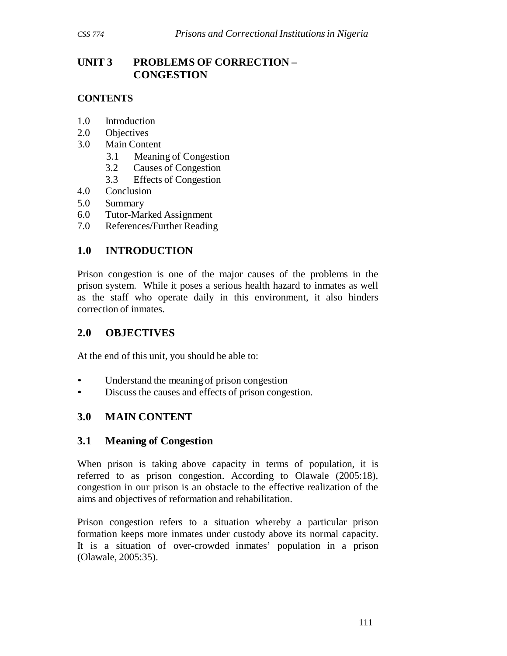# **UNIT 3 PROBLEMS OF CORRECTION – CONGESTION**

### **CONTENTS**

- 1.0 Introduction
- 2.0 Objectives
- 3.0 Main Content
	- 3.1 Meaning of Congestion
	- 3.2 Causes of Congestion
	- 3.3 Effects of Congestion
- 4.0 Conclusion
- 5.0 Summary
- 6.0 Tutor-Marked Assignment
- 7.0 References/Further Reading

# **1.0 INTRODUCTION**

Prison congestion is one of the major causes of the problems in the prison system. While it poses a serious health hazard to inmates as well as the staff who operate daily in this environment, it also hinders correction of inmates.

# **2.0 OBJECTIVES**

At the end of this unit, you should be able to:

- Understand the meaning of prison congestion
- Discuss the causes and effects of prison congestion.

# **3.0 MAIN CONTENT**

### **3.1 Meaning of Congestion**

When prison is taking above capacity in terms of population, it is referred to as prison congestion. According to Olawale (2005:18), congestion in our prison is an obstacle to the effective realization of the aims and objectives of reformation and rehabilitation.

Prison congestion refers to a situation whereby a particular prison formation keeps more inmates under custody above its normal capacity. It is a situation of over-crowded inmates' population in a prison (Olawale, 2005:35).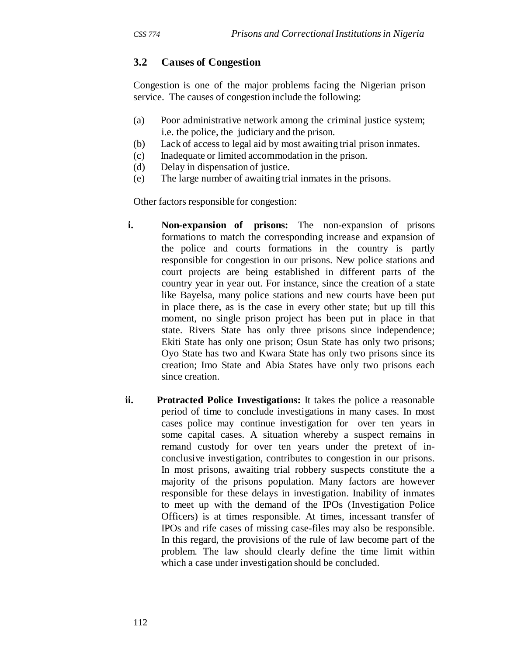### **3.2 Causes of Congestion**

Congestion is one of the major problems facing the Nigerian prison service. The causes of congestion include the following:

- (a) Poor administrative network among the criminal justice system; i.e. the police, the judiciary and the prison.
- (b) Lack of access to legal aid by most awaiting trial prison inmates.
- (c) Inadequate or limited accommodation in the prison.
- (d) Delay in dispensation of justice.
- (e) The large number of awaiting trial inmates in the prisons.

Other factors responsible for congestion:

- **i.** Non-expansion of prisons: The non-expansion of prisons formations to match the corresponding increase and expansion of the police and courts formations in the country is partly responsible for congestion in our prisons. New police stations and court projects are being established in different parts of the country year in year out. For instance, since the creation of a state like Bayelsa, many police stations and new courts have been put in place there, as is the case in every other state; but up till this moment, no single prison project has been put in place in that state. Rivers State has only three prisons since independence; Ekiti State has only one prison; Osun State has only two prisons; Oyo State has two and Kwara State has only two prisons since its creation; Imo State and Abia States have only two prisons each since creation.
- **ii. Protracted Police Investigations:** It takes the police a reasonable period of time to conclude investigations in many cases. In most cases police may continue investigation for over ten years in some capital cases. A situation whereby a suspect remains in remand custody for over ten years under the pretext of inconclusive investigation, contributes to congestion in our prisons. In most prisons, awaiting trial robbery suspects constitute the a majority of the prisons population. Many factors are however responsible for these delays in investigation. Inability of inmates to meet up with the demand of the IPOs (Investigation Police Officers) is at times responsible. At times, incessant transfer of IPOs and rife cases of missing case-files may also be responsible. In this regard, the provisions of the rule of law become part of the problem. The law should clearly define the time limit within which a case under investigation should be concluded.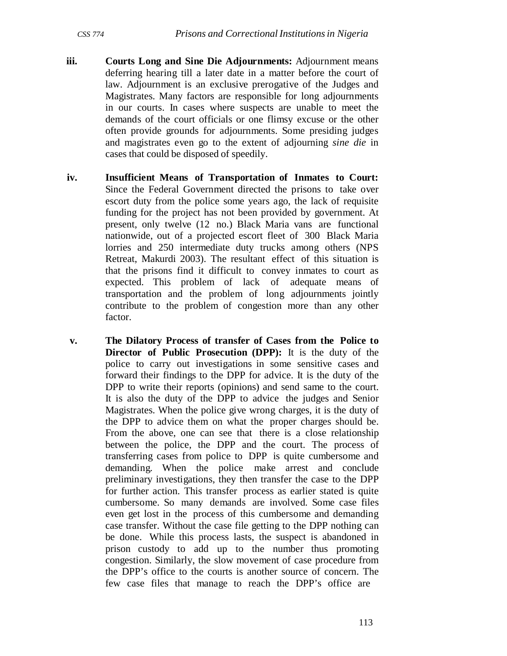- **iii. Courts Long and Sine Die Adjournments:** Adjournment means deferring hearing till a later date in a matter before the court of law. Adjournment is an exclusive prerogative of the Judges and Magistrates. Many factors are responsible for long adjournments in our courts. In cases where suspects are unable to meet the demands of the court officials or one flimsy excuse or the other often provide grounds for adjournments. Some presiding judges and magistrates even go to the extent of adjourning *sine die* in cases that could be disposed of speedily.
- **iv. Insufficient Means of Transportation of Inmates to Court:**  Since the Federal Government directed the prisons to take over escort duty from the police some years ago, the lack of requisite funding for the project has not been provided by government. At present, only twelve (12 no.) Black Maria vans are functional nationwide, out of a projected escort fleet of 300 Black Maria lorries and 250 intermediate duty trucks among others (NPS Retreat, Makurdi 2003). The resultant effect of this situation is that the prisons find it difficult to convey inmates to court as expected. This problem of lack of adequate means of transportation and the problem of long adjournments jointly contribute to the problem of congestion more than any other factor.
- **v. The Dilatory Process of transfer of Cases from the Police to Director of Public Prosecution (DPP):** It is the duty of the police to carry out investigations in some sensitive cases and forward their findings to the DPP for advice. It is the duty of the DPP to write their reports (opinions) and send same to the court. It is also the duty of the DPP to advice the judges and Senior Magistrates. When the police give wrong charges, it is the duty of the DPP to advice them on what the proper charges should be. From the above, one can see that there is a close relationship between the police, the DPP and the court. The process of transferring cases from police to DPP is quite cumbersome and demanding. When the police make arrest and conclude preliminary investigations, they then transfer the case to the DPP for further action. This transfer process as earlier stated is quite cumbersome. So many demands are involved. Some case files even get lost in the process of this cumbersome and demanding case transfer. Without the case file getting to the DPP nothing can be done. While this process lasts, the suspect is abandoned in prison custody to add up to the number thus promoting congestion. Similarly, the slow movement of case procedure from the DPP's office to the courts is another source of concern. The few case files that manage to reach the DPP's office are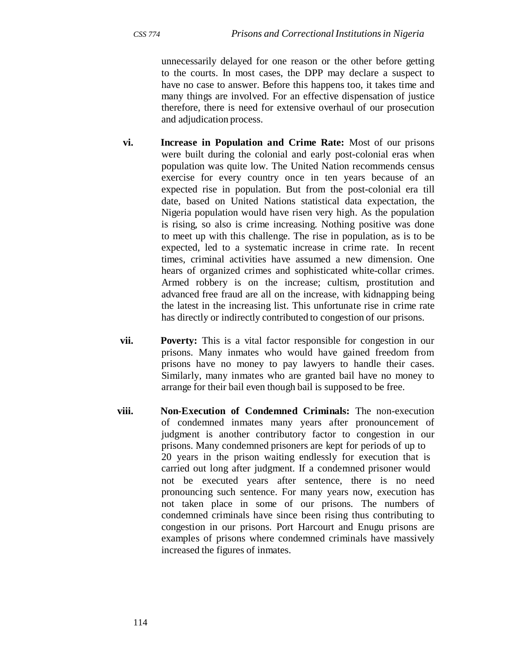unnecessarily delayed for one reason or the other before getting to the courts. In most cases, the DPP may declare a suspect to have no case to answer. Before this happens too, it takes time and many things are involved. For an effective dispensation of justice therefore, there is need for extensive overhaul of our prosecution and adjudication process.

- **vi. Increase in Population and Crime Rate:** Most of our prisons were built during the colonial and early post-colonial eras when population was quite low. The United Nation recommends census exercise for every country once in ten years because of an expected rise in population. But from the post-colonial era till date, based on United Nations statistical data expectation, the Nigeria population would have risen very high. As the population is rising, so also is crime increasing. Nothing positive was done to meet up with this challenge. The rise in population, as is to be expected, led to a systematic increase in crime rate. In recent times, criminal activities have assumed a new dimension. One hears of organized crimes and sophisticated white-collar crimes. Armed robbery is on the increase; cultism, prostitution and advanced free fraud are all on the increase, with kidnapping being the latest in the increasing list. This unfortunate rise in crime rate has directly or indirectly contributed to congestion of our prisons.
- **vii.** Poverty: This is a vital factor responsible for congestion in our prisons. Many inmates who would have gained freedom from prisons have no money to pay lawyers to handle their cases. Similarly, many inmates who are granted bail have no money to arrange for their bail even though bail is supposed to be free.
- **viii. Non-Execution of Condemned Criminals:** The non-execution of condemned inmates many years after pronouncement of judgment is another contributory factor to congestion in our prisons. Many condemned prisoners are kept for periods of up to 20 years in the prison waiting endlessly for execution that is carried out long after judgment. If a condemned prisoner would not be executed years after sentence, there is no need pronouncing such sentence. For many years now, execution has not taken place in some of our prisons. The numbers of condemned criminals have since been rising thus contributing to congestion in our prisons. Port Harcourt and Enugu prisons are examples of prisons where condemned criminals have massively increased the figures of inmates.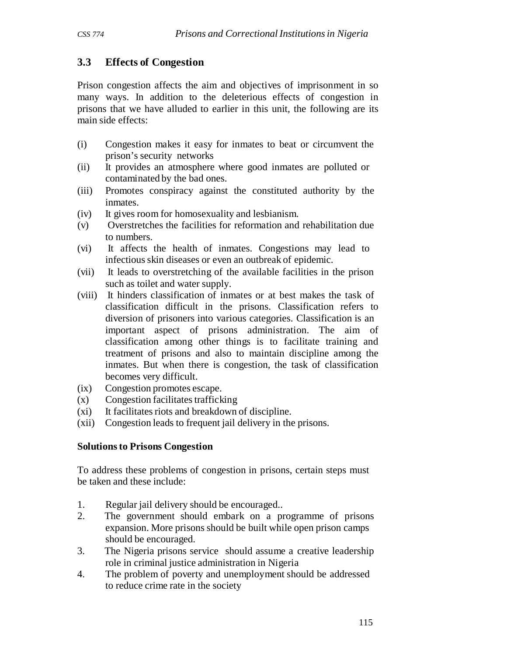# **3.3 Effects of Congestion**

Prison congestion affects the aim and objectives of imprisonment in so many ways. In addition to the deleterious effects of congestion in prisons that we have alluded to earlier in this unit, the following are its main side effects:

- (i) Congestion makes it easy for inmates to beat or circumvent the prison's security networks
- (ii) It provides an atmosphere where good inmates are polluted or contaminated by the bad ones.
- (iii) Promotes conspiracy against the constituted authority by the inmates.
- (iv) It gives room for homosexuality and lesbianism.
- (v) Overstretches the facilities for reformation and rehabilitation due to numbers.
- (vi) It affects the health of inmates. Congestions may lead to infectious skin diseases or even an outbreak of epidemic.
- (vii) It leads to overstretching of the available facilities in the prison such as toilet and water supply.
- (viii) It hinders classification of inmates or at best makes the task of classification difficult in the prisons. Classification refers to diversion of prisoners into various categories. Classification is an important aspect of prisons administration. The aim of classification among other things is to facilitate training and treatment of prisons and also to maintain discipline among the inmates. But when there is congestion, the task of classification becomes very difficult.
- (ix) Congestion promotes escape.
- (x) Congestion facilitates trafficking
- (xi) It facilitates riots and breakdown of discipline.
- (xii) Congestion leads to frequent jail delivery in the prisons.

### **Solutions to Prisons Congestion**

To address these problems of congestion in prisons, certain steps must be taken and these include:

- 1. Regular jail delivery should be encouraged..
- 2. The government should embark on a programme of prisons expansion. More prisons should be built while open prison camps should be encouraged.
- 3. The Nigeria prisons service should assume a creative leadership role in criminal justice administration in Nigeria
- 4. The problem of poverty and unemployment should be addressed to reduce crime rate in the society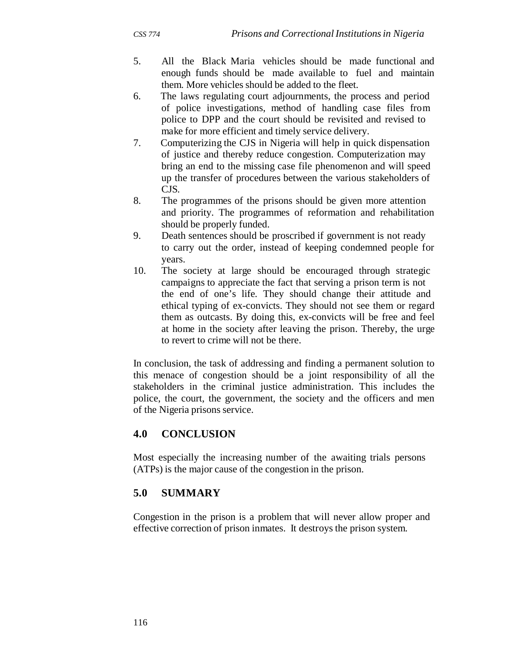- 5. All the Black Maria vehicles should be made functional and enough funds should be made available to fuel and maintain them. More vehicles should be added to the fleet.
- 6. The laws regulating court adjournments, the process and period of police investigations, method of handling case files from police to DPP and the court should be revisited and revised to make for more efficient and timely service delivery.
- 7. Computerizing the CJS in Nigeria will help in quick dispensation of justice and thereby reduce congestion. Computerization may bring an end to the missing case file phenomenon and will speed up the transfer of procedures between the various stakeholders of CJS.
- 8. The programmes of the prisons should be given more attention and priority. The programmes of reformation and rehabilitation should be properly funded.
- 9. Death sentences should be proscribed if government is not ready to carry out the order, instead of keeping condemned people for years.
- 10. The society at large should be encouraged through strategic campaigns to appreciate the fact that serving a prison term is not the end of one's life. They should change their attitude and ethical typing of ex-convicts. They should not see them or regard them as outcasts. By doing this, ex-convicts will be free and feel at home in the society after leaving the prison. Thereby, the urge to revert to crime will not be there.

In conclusion, the task of addressing and finding a permanent solution to this menace of congestion should be a joint responsibility of all the stakeholders in the criminal justice administration. This includes the police, the court, the government, the society and the officers and men of the Nigeria prisons service.

# **4.0 CONCLUSION**

Most especially the increasing number of the awaiting trials persons (ATPs) is the major cause of the congestion in the prison.

### **5.0 SUMMARY**

Congestion in the prison is a problem that will never allow proper and effective correction of prison inmates. It destroys the prison system.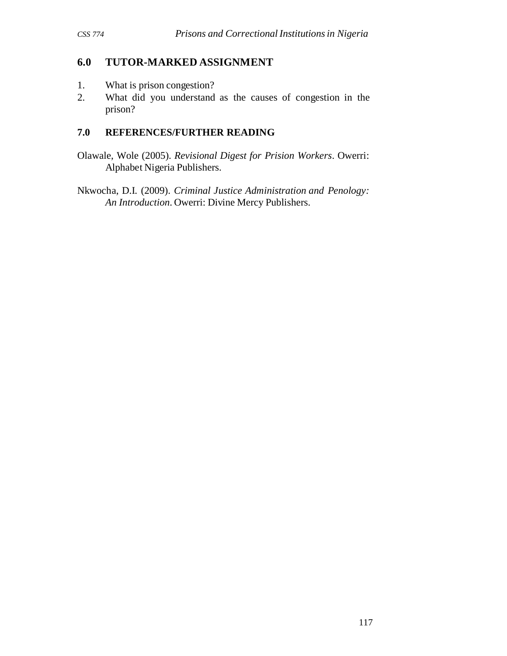### **6.0 TUTOR-MARKED ASSIGNMENT**

- 1. What is prison congestion?
- 2. What did you understand as the causes of congestion in the prison?

- Olawale, Wole (2005). *Revisional Digest for Prision Workers*. Owerri: Alphabet Nigeria Publishers.
- Nkwocha, D.I. (2009). *Criminal Justice Administration and Penology: An Introduction*. Owerri: Divine Mercy Publishers.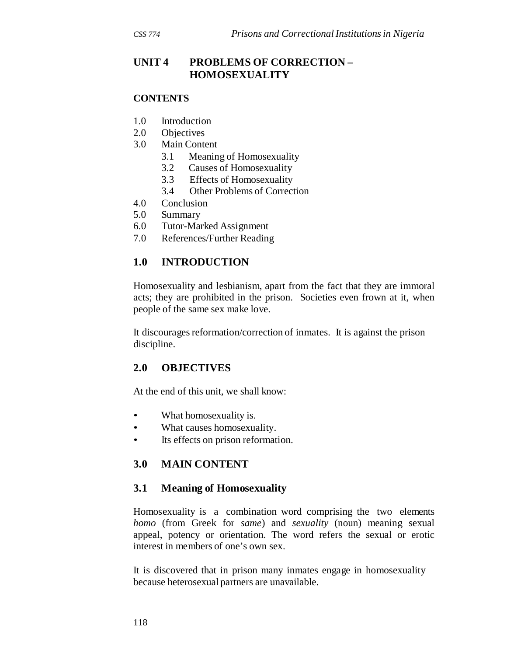#### **CONTENTS**

- 1.0 Introduction
- 2.0 Objectives
- 3.0 Main Content
	- 3.1 Meaning of Homosexuality
	- 3.2 Causes of Homosexuality
	- 3.3 Effects of Homosexuality
	- 3.4 Other Problems of Correction
- 4.0 Conclusion
- 5.0 Summary
- 6.0 Tutor-Marked Assignment
- 7.0 References/Further Reading

### **1.0 INTRODUCTION**

Homosexuality and lesbianism, apart from the fact that they are immoral acts; they are prohibited in the prison. Societies even frown at it, when people of the same sex make love.

It discourages reformation/correction of inmates. It is against the prison discipline.

### **2.0 OBJECTIVES**

At the end of this unit, we shall know:

- What homosexuality is.
- What causes homosexuality.
- Its effects on prison reformation.

### **3.0 MAIN CONTENT**

### **3.1 Meaning of Homosexuality**

Homosexuality is a combination word comprising the two elements *homo* (from Greek for *same*) and *sexuality* (noun) meaning sexual appeal, potency or orientation. The word refers the sexual or erotic interest in members of one's own sex.

It is discovered that in prison many inmates engage in homosexuality because heterosexual partners are unavailable.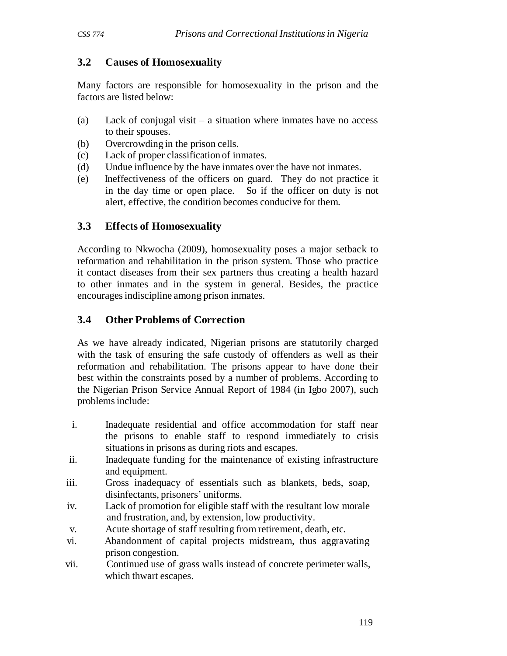# **3.2 Causes of Homosexuality**

Many factors are responsible for homosexuality in the prison and the factors are listed below:

- (a) Lack of conjugal visit a situation where inmates have no access to their spouses.
- (b) Overcrowding in the prison cells.
- (c) Lack of proper classification of inmates.
- (d) Undue influence by the have inmates over the have not inmates.
- (e) Ineffectiveness of the officers on guard. They do not practice it in the day time or open place. So if the officer on duty is not alert, effective, the condition becomes conducive for them.

### **3.3 Effects of Homosexuality**

According to Nkwocha (2009), homosexuality poses a major setback to reformation and rehabilitation in the prison system. Those who practice it contact diseases from their sex partners thus creating a health hazard to other inmates and in the system in general. Besides, the practice encourages indiscipline among prison inmates.

# **3.4 Other Problems of Correction**

As we have already indicated, Nigerian prisons are statutorily charged with the task of ensuring the safe custody of offenders as well as their reformation and rehabilitation. The prisons appear to have done their best within the constraints posed by a number of problems. According to the Nigerian Prison Service Annual Report of 1984 (in Igbo 2007), such problems include:

- i. Inadequate residential and office accommodation for staff near the prisons to enable staff to respond immediately to crisis situations in prisons as during riots and escapes.
- ii. Inadequate funding for the maintenance of existing infrastructure and equipment.
- iii. Gross inadequacy of essentials such as blankets, beds, soap, disinfectants, prisoners' uniforms.
- iv. Lack of promotion for eligible staff with the resultant low morale and frustration, and, by extension, low productivity.
- v. Acute shortage of staff resulting from retirement, death, etc.
- vi. Abandonment of capital projects midstream, thus aggravating prison congestion.
- vii. Continued use of grass walls instead of concrete perimeter walls, which thwart escapes.